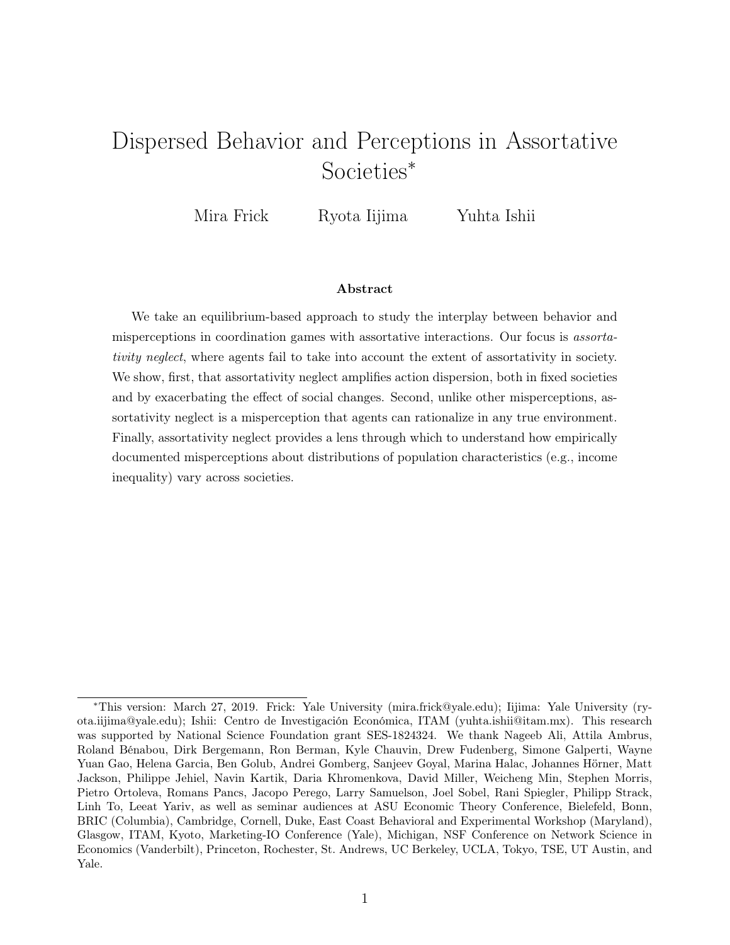# Dispersed Behavior and Perceptions in Assortative Societies<sup>∗</sup>

Mira Frick Ryota Iijima Yuhta Ishii

#### Abstract

We take an equilibrium-based approach to study the interplay between behavior and misperceptions in coordination games with assortative interactions. Our focus is assortativity neglect, where agents fail to take into account the extent of assortativity in society. We show, first, that assortativity neglect amplifies action dispersion, both in fixed societies and by exacerbating the effect of social changes. Second, unlike other misperceptions, assortativity neglect is a misperception that agents can rationalize in any true environment. Finally, assortativity neglect provides a lens through which to understand how empirically documented misperceptions about distributions of population characteristics (e.g., income inequality) vary across societies.

<sup>∗</sup>This version: March 27, 2019. Frick: Yale University (mira.frick@yale.edu); Iijima: Yale University (ryota.iijima@yale.edu); Ishii: Centro de Investigación Económica, ITAM (yuhta.ishii@itam.mx). This research was supported by National Science Foundation grant SES-1824324. We thank Nageeb Ali, Attila Ambrus, Roland Bénabou, Dirk Bergemann, Ron Berman, Kyle Chauvin, Drew Fudenberg, Simone Galperti, Wayne Yuan Gao, Helena Garcia, Ben Golub, Andrei Gomberg, Sanjeev Goyal, Marina Halac, Johannes Hörner, Matt Jackson, Philippe Jehiel, Navin Kartik, Daria Khromenkova, David Miller, Weicheng Min, Stephen Morris, Pietro Ortoleva, Romans Pancs, Jacopo Perego, Larry Samuelson, Joel Sobel, Rani Spiegler, Philipp Strack, Linh To, Leeat Yariv, as well as seminar audiences at ASU Economic Theory Conference, Bielefeld, Bonn, BRIC (Columbia), Cambridge, Cornell, Duke, East Coast Behavioral and Experimental Workshop (Maryland), Glasgow, ITAM, Kyoto, Marketing-IO Conference (Yale), Michigan, NSF Conference on Network Science in Economics (Vanderbilt), Princeton, Rochester, St. Andrews, UC Berkeley, UCLA, Tokyo, TSE, UT Austin, and Yale.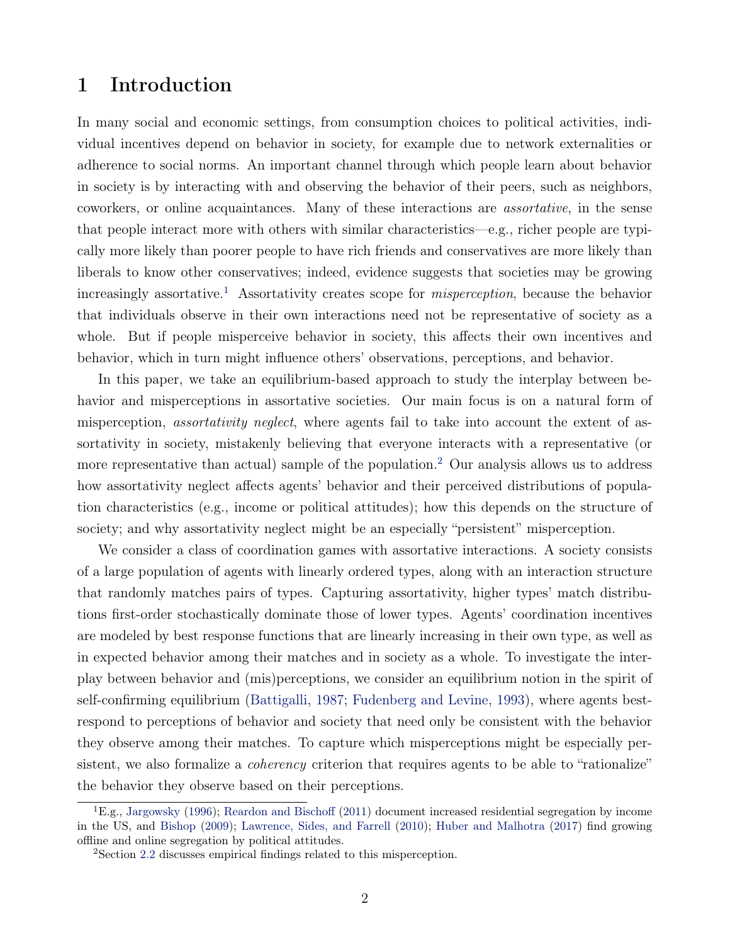## 1 Introduction

In many social and economic settings, from consumption choices to political activities, individual incentives depend on behavior in society, for example due to network externalities or adherence to social norms. An important channel through which people learn about behavior in society is by interacting with and observing the behavior of their peers, such as neighbors, coworkers, or online acquaintances. Many of these interactions are assortative, in the sense that people interact more with others with similar characteristics—e.g., richer people are typically more likely than poorer people to have rich friends and conservatives are more likely than liberals to know other conservatives; indeed, evidence suggests that societies may be growing increasingly assortative.<sup>[1](#page-1-0)</sup> Assortativity creates scope for *misperception*, because the behavior that individuals observe in their own interactions need not be representative of society as a whole. But if people misperceive behavior in society, this affects their own incentives and behavior, which in turn might influence others' observations, perceptions, and behavior.

In this paper, we take an equilibrium-based approach to study the interplay between behavior and misperceptions in assortative societies. Our main focus is on a natural form of misperception, assortativity neglect, where agents fail to take into account the extent of assortativity in society, mistakenly believing that everyone interacts with a representative (or more representative than actual) sample of the population.<sup>[2](#page-1-1)</sup> Our analysis allows us to address how assortativity neglect affects agents' behavior and their perceived distributions of population characteristics (e.g., income or political attitudes); how this depends on the structure of society; and why assortativity neglect might be an especially "persistent" misperception.

We consider a class of coordination games with assortative interactions. A society consists of a large population of agents with linearly ordered types, along with an interaction structure that randomly matches pairs of types. Capturing assortativity, higher types' match distributions first-order stochastically dominate those of lower types. Agents' coordination incentives are modeled by best response functions that are linearly increasing in their own type, as well as in expected behavior among their matches and in society as a whole. To investigate the interplay between behavior and (mis)perceptions, we consider an equilibrium notion in the spirit of self-confirming equilibrium [\(Battigalli,](#page-40-0) [1987;](#page-40-0) [Fudenberg and Levine,](#page-42-0) [1993\)](#page-42-0), where agents bestrespond to perceptions of behavior and society that need only be consistent with the behavior they observe among their matches. To capture which misperceptions might be especially persistent, we also formalize a *coherency* criterion that requires agents to be able to "rationalize" the behavior they observe based on their perceptions.

<span id="page-1-0"></span> ${}^{1}E.g.,$  [Jargowsky](#page-43-0) [\(1996\)](#page-43-0); [Reardon and Bischoff](#page-44-0) [\(2011\)](#page-44-0) document increased residential segregation by income in the US, and [Bishop](#page-41-0) [\(2009\)](#page-41-0); [Lawrence, Sides, and Farrell](#page-43-1) [\(2010\)](#page-43-1); [Huber and Malhotra](#page-43-2) [\(2017\)](#page-43-2) find growing offline and online segregation by political attitudes.

<span id="page-1-1"></span><sup>2</sup>Section [2.2](#page-7-0) discusses empirical findings related to this misperception.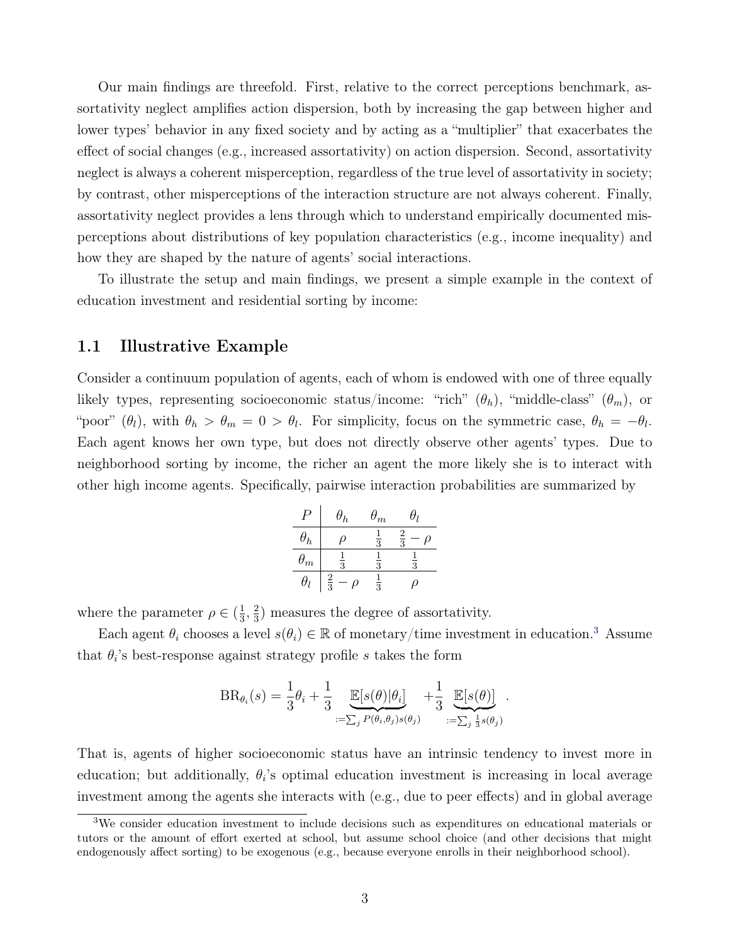Our main findings are threefold. First, relative to the correct perceptions benchmark, assortativity neglect amplifies action dispersion, both by increasing the gap between higher and lower types' behavior in any fixed society and by acting as a "multiplier" that exacerbates the effect of social changes (e.g., increased assortativity) on action dispersion. Second, assortativity neglect is always a coherent misperception, regardless of the true level of assortativity in society; by contrast, other misperceptions of the interaction structure are not always coherent. Finally, assortativity neglect provides a lens through which to understand empirically documented misperceptions about distributions of key population characteristics (e.g., income inequality) and how they are shaped by the nature of agents' social interactions.

To illustrate the setup and main findings, we present a simple example in the context of education investment and residential sorting by income:

### <span id="page-2-1"></span>1.1 Illustrative Example

Consider a continuum population of agents, each of whom is endowed with one of three equally likely types, representing socioeconomic status/income: "rich"  $(\theta_h)$ , "middle-class"  $(\theta_m)$ , or "poor"  $(\theta_l)$ , with  $\theta_h > \theta_m = 0 > \theta_l$ . For simplicity, focus on the symmetric case,  $\theta_h = -\theta_l$ . Each agent knows her own type, but does not directly observe other agents' types. Due to neighborhood sorting by income, the richer an agent the more likely she is to interact with other high income agents. Specifically, pairwise interaction probabilities are summarized by

| P          | $\theta_h$    | $\theta_m$    | $\theta_l$    |        |
|------------|---------------|---------------|---------------|--------|
| $\theta_h$ | $\rho$        | $\frac{1}{3}$ | $\frac{2}{3}$ | $\rho$ |
| $\theta_m$ | $\frac{1}{3}$ | $\frac{1}{3}$ | $\frac{1}{3}$ |        |
| $\theta_l$ | $\frac{2}{3}$ | $\rho$        | $\frac{1}{3}$ | $\rho$ |

where the parameter  $\rho \in (\frac{1}{3})$  $\frac{1}{3}, \frac{2}{3}$  $\frac{2}{3}$ ) measures the degree of assortativity.

Each agent  $\theta_i$  chooses a level  $s(\theta_i) \in \mathbb{R}$  of monetary/time investment in education.<sup>[3](#page-2-0)</sup> Assume that  $\theta_i$ 's best-response against strategy profile s takes the form

$$
BR_{\theta_i}(s) = \frac{1}{3}\theta_i + \frac{1}{3} \underbrace{\mathbb{E}[s(\theta)|\theta_i]}_{:=\sum_j P(\theta_i,\theta_j)s(\theta_j)} + \frac{1}{3} \underbrace{\mathbb{E}[s(\theta)]}_{:=\sum_j \frac{1}{3}s(\theta_j)}
$$

.

That is, agents of higher socioeconomic status have an intrinsic tendency to invest more in education; but additionally,  $\theta_i$ 's optimal education investment is increasing in local average investment among the agents she interacts with (e.g., due to peer effects) and in global average

<span id="page-2-0"></span><sup>3</sup>We consider education investment to include decisions such as expenditures on educational materials or tutors or the amount of effort exerted at school, but assume school choice (and other decisions that might endogenously affect sorting) to be exogenous (e.g., because everyone enrolls in their neighborhood school).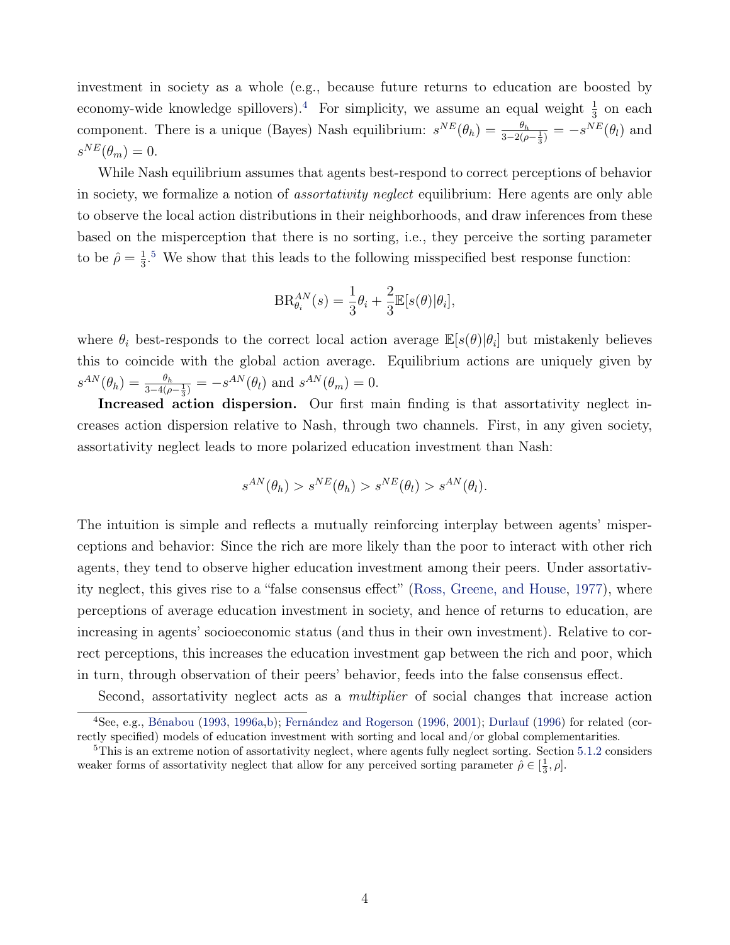investment in society as a whole (e.g., because future returns to education are boosted by economy-wide knowledge spillovers).<sup>[4](#page-3-0)</sup> For simplicity, we assume an equal weight  $\frac{1}{3}$  on each component. There is a unique (Bayes) Nash equilibrium:  $s^{NE}(\theta_h) = \frac{\theta_h}{3 - 2(\rho - \frac{1}{3})} = -s^{NE}(\theta_l)$  and  $s^{NE}(\theta_m) = 0.$ 

While Nash equilibrium assumes that agents best-respond to correct perceptions of behavior in society, we formalize a notion of assortativity neglect equilibrium: Here agents are only able to observe the local action distributions in their neighborhoods, and draw inferences from these based on the misperception that there is no sorting, i.e., they perceive the sorting parameter to be  $\hat{\rho} = \frac{1}{3}$  $\frac{1}{3}$ .<sup>[5](#page-3-1)</sup> We show that this leads to the following misspecified best response function:

$$
BR_{\theta_i}^{AN}(s) = \frac{1}{3}\theta_i + \frac{2}{3}\mathbb{E}[s(\theta)|\theta_i],
$$

where  $\theta_i$  best-responds to the correct local action average  $\mathbb{E}[s(\theta)|\theta_i]$  but mistakenly believes this to coincide with the global action average. Equilibrium actions are uniquely given by  $s^{AN}(\theta_h) = \frac{\theta_h}{3-4(\rho-\frac{1}{3})} = -s^{AN}(\theta_l)$  and  $s^{AN}(\theta_m) = 0$ .

Increased action dispersion. Our first main finding is that assortativity neglect increases action dispersion relative to Nash, through two channels. First, in any given society, assortativity neglect leads to more polarized education investment than Nash:

$$
s^{AN}(\theta_h) > s^{NE}(\theta_h) > s^{NE}(\theta_l) > s^{AN}(\theta_l).
$$

The intuition is simple and reflects a mutually reinforcing interplay between agents' misperceptions and behavior: Since the rich are more likely than the poor to interact with other rich agents, they tend to observe higher education investment among their peers. Under assortativity neglect, this gives rise to a "false consensus effect" [\(Ross, Greene, and House,](#page-44-1) [1977\)](#page-44-1), where perceptions of average education investment in society, and hence of returns to education, are increasing in agents' socioeconomic status (and thus in their own investment). Relative to correct perceptions, this increases the education investment gap between the rich and poor, which in turn, through observation of their peers' behavior, feeds into the false consensus effect.

<span id="page-3-0"></span>Second, assortativity neglect acts as a multiplier of social changes that increase action

<sup>4</sup>See, e.g., [Bénabou](#page-40-1) [\(1993,](#page-40-1) [1996a,](#page-40-2)[b\)](#page-41-1); [Fernández and Rogerson](#page-42-1) [\(1996,](#page-42-1) [2001\)](#page-42-2); [Durlauf](#page-41-2) [\(1996\)](#page-41-2) for related (correctly specified) models of education investment with sorting and local and/or global complementarities.

<span id="page-3-1"></span> $5$ This is an extreme notion of assortativity neglect, where agents fully neglect sorting. Section [5.1.2](#page-26-0) considers weaker forms of assortativity neglect that allow for any perceived sorting parameter  $\hat{\rho} \in [\frac{1}{3}, \rho]$ .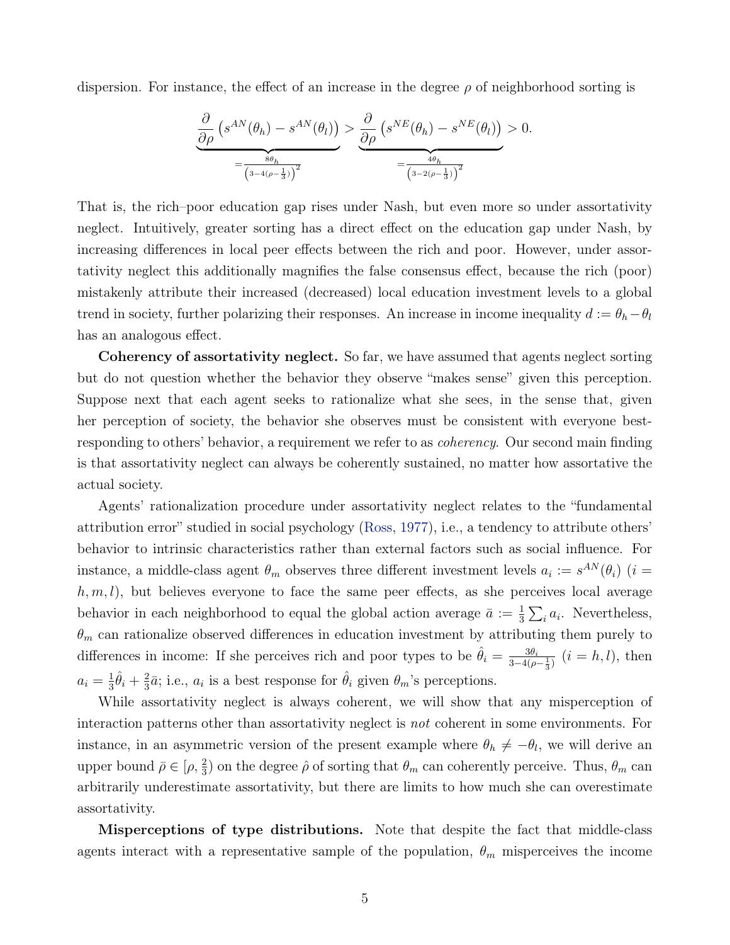dispersion. For instance, the effect of an increase in the degree  $\rho$  of neighborhood sorting is

$$
\underbrace{\frac{\partial}{\partial \rho} \left( s^{AN}(\theta_h) - s^{AN}(\theta_l) \right)}_{=\frac{8\theta_h}{\left(3^{-4(\rho - \frac{1}{3})}\right)^2}} > \underbrace{\frac{\partial}{\partial \rho} \left( s^{NE}(\theta_h) - s^{NE}(\theta_l) \right)}_{=\frac{4\theta_h}{\left(3^{-2(\rho - \frac{1}{3})}\right)^2}} > 0.
$$

That is, the rich–poor education gap rises under Nash, but even more so under assortativity neglect. Intuitively, greater sorting has a direct effect on the education gap under Nash, by increasing differences in local peer effects between the rich and poor. However, under assortativity neglect this additionally magnifies the false consensus effect, because the rich (poor) mistakenly attribute their increased (decreased) local education investment levels to a global trend in society, further polarizing their responses. An increase in income inequality  $d := \theta_h - \theta_l$ has an analogous effect.

Coherency of assortativity neglect. So far, we have assumed that agents neglect sorting but do not question whether the behavior they observe "makes sense" given this perception. Suppose next that each agent seeks to rationalize what she sees, in the sense that, given her perception of society, the behavior she observes must be consistent with everyone bestresponding to others' behavior, a requirement we refer to as *coherency*. Our second main finding is that assortativity neglect can always be coherently sustained, no matter how assortative the actual society.

Agents' rationalization procedure under assortativity neglect relates to the "fundamental attribution error" studied in social psychology [\(Ross,](#page-44-2) [1977\)](#page-44-2), i.e., a tendency to attribute others' behavior to intrinsic characteristics rather than external factors such as social influence. For instance, a middle-class agent  $\theta_m$  observes three different investment levels  $a_i := s^{AN}(\theta_i)$  (i =  $h, m, l$ , but believes everyone to face the same peer effects, as she perceives local average behavior in each neighborhood to equal the global action average  $\bar{a} := \frac{1}{3} \sum_i a_i$ . Nevertheless,  $\theta_m$  can rationalize observed differences in education investment by attributing them purely to differences in income: If she perceives rich and poor types to be  $\hat{\theta}_i = \frac{3\theta_i}{3-4(a)}$  $\frac{3\theta_i}{3-4(\rho-\frac{1}{3})}$   $(i = h, l)$ , then  $a_i = \frac{1}{3}$  $\frac{1}{3}\hat{\theta}_i + \frac{2}{3}$  $\frac{2}{3}\bar{a}$ ; i.e.,  $a_i$  is a best response for  $\hat{\theta}_i$  given  $\theta_m$ 's perceptions.

While assortativity neglect is always coherent, we will show that any misperception of interaction patterns other than assortativity neglect is not coherent in some environments. For instance, in an asymmetric version of the present example where  $\theta_h \neq -\theta_l$ , we will derive an upper bound  $\bar{\rho} \in [\rho, \frac{2}{3})$  on the degree  $\hat{\rho}$  of sorting that  $\theta_m$  can coherently perceive. Thus,  $\theta_m$  can arbitrarily underestimate assortativity, but there are limits to how much she can overestimate assortativity.

Misperceptions of type distributions. Note that despite the fact that middle-class agents interact with a representative sample of the population,  $\theta_m$  misperceives the income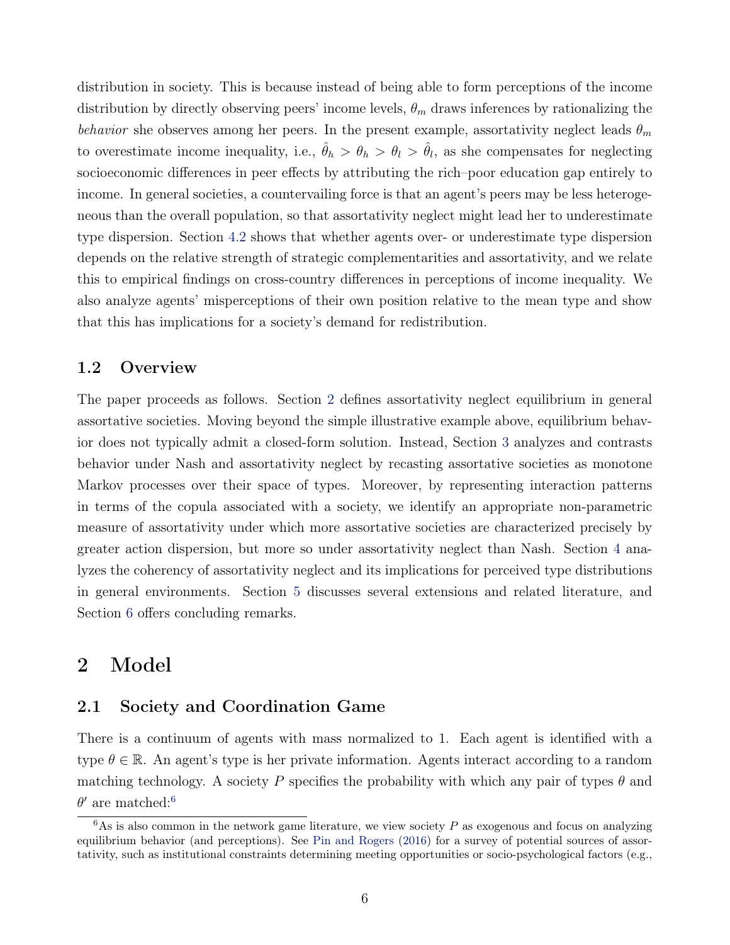distribution in society. This is because instead of being able to form perceptions of the income distribution by directly observing peers' income levels,  $\theta_m$  draws inferences by rationalizing the behavior she observes among her peers. In the present example, assortativity neglect leads  $\theta_m$ to overestimate income inequality, i.e.,  $\hat{\theta}_h > \theta_h > \theta_l > \hat{\theta}_l$ , as she compensates for neglecting socioeconomic differences in peer effects by attributing the rich–poor education gap entirely to income. In general societies, a countervailing force is that an agent's peers may be less heterogeneous than the overall population, so that assortativity neglect might lead her to underestimate type dispersion. Section [4.2](#page-19-0) shows that whether agents over- or underestimate type dispersion depends on the relative strength of strategic complementarities and assortativity, and we relate this to empirical findings on cross-country differences in perceptions of income inequality. We also analyze agents' misperceptions of their own position relative to the mean type and show that this has implications for a society's demand for redistribution.

## 1.2 Overview

The paper proceeds as follows. Section [2](#page-5-0) defines assortativity neglect equilibrium in general assortative societies. Moving beyond the simple illustrative example above, equilibrium behavior does not typically admit a closed-form solution. Instead, Section [3](#page-12-0) analyzes and contrasts behavior under Nash and assortativity neglect by recasting assortative societies as monotone Markov processes over their space of types. Moreover, by representing interaction patterns in terms of the copula associated with a society, we identify an appropriate non-parametric measure of assortativity under which more assortative societies are characterized precisely by greater action dispersion, but more so under assortativity neglect than Nash. Section [4](#page-18-0) analyzes the coherency of assortativity neglect and its implications for perceived type distributions in general environments. Section [5](#page-25-0) discusses several extensions and related literature, and Section [6](#page-30-0) offers concluding remarks.

## <span id="page-5-0"></span>2 Model

### 2.1 Society and Coordination Game

There is a continuum of agents with mass normalized to 1. Each agent is identified with a type  $\theta \in \mathbb{R}$ . An agent's type is her private information. Agents interact according to a random matching technology. A society P specifies the probability with which any pair of types  $\theta$  and  $\theta'$  are matched:<sup>[6](#page-5-1)</sup>

<span id="page-5-1"></span> $6$ As is also common in the network game literature, we view society  $P$  as exogenous and focus on analyzing equilibrium behavior (and perceptions). See [Pin and Rogers](#page-44-3) [\(2016\)](#page-44-3) for a survey of potential sources of assortativity, such as institutional constraints determining meeting opportunities or socio-psychological factors (e.g.,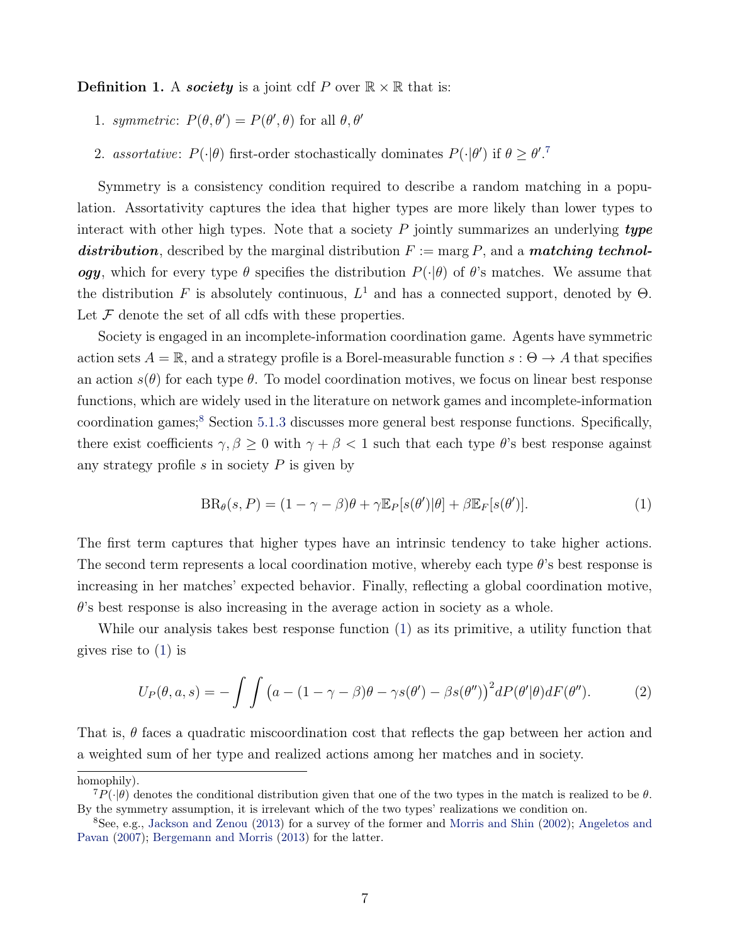**Definition 1.** A **society** is a joint cdf P over  $\mathbb{R} \times \mathbb{R}$  that is:

- 1. symmetric:  $P(\theta, \theta') = P(\theta', \theta)$  for all  $\theta, \theta'$
- 2. assortative:  $P(\cdot|\theta)$  first-order stochastically dominates  $P(\cdot|\theta')$  if  $\theta \geq \theta'.^7$  $\theta \geq \theta'.^7$

Symmetry is a consistency condition required to describe a random matching in a population. Assortativity captures the idea that higher types are more likely than lower types to interact with other high types. Note that a society  $P$  jointly summarizes an underlying type distribution, described by the marginal distribution  $F := \arg P$ , and a matching technology, which for every type  $\theta$  specifies the distribution  $P(\cdot|\theta)$  of  $\theta$ 's matches. We assume that the distribution F is absolutely continuous,  $L^1$  and has a connected support, denoted by  $\Theta$ . Let  $\mathcal F$  denote the set of all cdfs with these properties.

Society is engaged in an incomplete-information coordination game. Agents have symmetric action sets  $A = \mathbb{R}$ , and a strategy profile is a Borel-measurable function  $s : \Theta \to A$  that specifies an action  $s(\theta)$  for each type  $\theta$ . To model coordination motives, we focus on linear best response functions, which are widely used in the literature on network games and incomplete-information coordination games;<sup>[8](#page-6-1)</sup> Section [5.1.3](#page-27-0) discusses more general best response functions. Specifically, there exist coefficients  $\gamma, \beta \geq 0$  with  $\gamma + \beta < 1$  such that each type  $\theta$ 's best response against any strategy profile  $s$  in society  $P$  is given by

<span id="page-6-2"></span>
$$
BR_{\theta}(s, P) = (1 - \gamma - \beta)\theta + \gamma \mathbb{E}_P[s(\theta')|\theta] + \beta \mathbb{E}_F[s(\theta')]. \tag{1}
$$

The first term captures that higher types have an intrinsic tendency to take higher actions. The second term represents a local coordination motive, whereby each type θ's best response is increasing in her matches' expected behavior. Finally, reflecting a global coordination motive,  $\theta$ 's best response is also increasing in the average action in society as a whole.

While our analysis takes best response function [\(1\)](#page-6-2) as its primitive, a utility function that gives rise to [\(1\)](#page-6-2) is

<span id="page-6-3"></span>
$$
U_P(\theta, a, s) = -\int \int \left( a - (1 - \gamma - \beta)\theta - \gamma s(\theta') - \beta s(\theta'') \right)^2 dP(\theta'|\theta) dF(\theta''). \tag{2}
$$

That is,  $\theta$  faces a quadratic miscoordination cost that reflects the gap between her action and a weighted sum of her type and realized actions among her matches and in society.

homophily).

<span id="page-6-0"></span> ${}^{7}P(\cdot|\theta)$  denotes the conditional distribution given that one of the two types in the match is realized to be  $\theta$ . By the symmetry assumption, it is irrelevant which of the two types' realizations we condition on.

<span id="page-6-1"></span><sup>&</sup>lt;sup>8</sup>See, e.g., [Jackson and Zenou](#page-43-3) [\(2013\)](#page-43-3) for a survey of the former and [Morris and Shin](#page-43-4) [\(2002\)](#page-43-4); [Angeletos and](#page-40-3) [Pavan](#page-40-3) [\(2007\)](#page-40-3); [Bergemann and Morris](#page-41-3) [\(2013\)](#page-41-3) for the latter.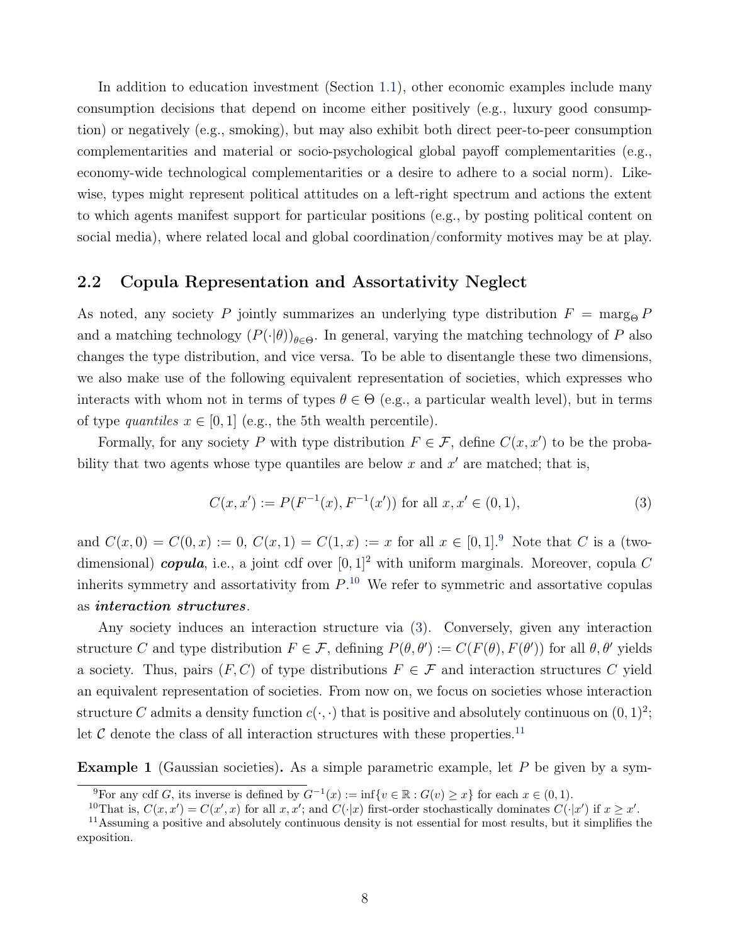In addition to education investment (Section [1.1\)](#page-2-1), other economic examples include many consumption decisions that depend on income either positively (e.g., luxury good consumption) or negatively (e.g., smoking), but may also exhibit both direct peer-to-peer consumption complementarities and material or socio-psychological global payoff complementarities (e.g., economy-wide technological complementarities or a desire to adhere to a social norm). Likewise, types might represent political attitudes on a left-right spectrum and actions the extent to which agents manifest support for particular positions (e.g., by posting political content on social media), where related local and global coordination/conformity motives may be at play.

## <span id="page-7-0"></span>2.2 Copula Representation and Assortativity Neglect

As noted, any society P jointly summarizes an underlying type distribution  $F = \text{marg}_{\Theta} P$ and a matching technology  $(P(\cdot|\theta))_{\theta \in \Theta}$ . In general, varying the matching technology of P also changes the type distribution, and vice versa. To be able to disentangle these two dimensions, we also make use of the following equivalent representation of societies, which expresses who interacts with whom not in terms of types  $\theta \in \Theta$  (e.g., a particular wealth level), but in terms of type quantiles  $x \in [0, 1]$  (e.g., the 5th wealth percentile).

Formally, for any society P with type distribution  $F \in \mathcal{F}$ , define  $C(x, x')$  to be the probability that two agents whose type quantiles are below  $x$  and  $x'$  are matched; that is,

<span id="page-7-3"></span>
$$
C(x, x') := P(F^{-1}(x), F^{-1}(x')) \text{ for all } x, x' \in (0, 1),
$$
\n(3)

and  $C(x, 0) = C(0, x) := 0$ ,  $C(x, 1) = C(1, x) := x$  for all  $x \in [0, 1]^9$  $x \in [0, 1]^9$ . Note that C is a (twodimensional) copula, i.e., a joint cdf over  $[0, 1]^2$  with uniform marginals. Moreover, copula C inherits symmetry and assortativity from  $P^{10}$  $P^{10}$  $P^{10}$ . We refer to symmetric and assortative copulas as interaction structures.

Any society induces an interaction structure via [\(3\)](#page-7-3). Conversely, given any interaction structure C and type distribution  $F \in \mathcal{F}$ , defining  $P(\theta, \theta') := C(F(\theta), F(\theta'))$  for all  $\theta, \theta'$  yields a society. Thus, pairs  $(F, C)$  of type distributions  $F \in \mathcal{F}$  and interaction structures C yield an equivalent representation of societies. From now on, we focus on societies whose interaction structure C admits a density function  $c(\cdot, \cdot)$  that is positive and absolutely continuous on  $(0, 1)^2$ ; let  $\mathcal C$  denote the class of all interaction structures with these properties.<sup>[11](#page-7-4)</sup>

<span id="page-7-5"></span>**Example 1** (Gaussian societies). As a simple parametric example, let  $P$  be given by a sym-

<span id="page-7-1"></span><sup>&</sup>lt;sup>9</sup>For any cdf G, its inverse is defined by  $G^{-1}(x) := \inf\{v \in \mathbb{R} : G(v) \geq x\}$  for each  $x \in (0, 1)$ .

<span id="page-7-4"></span><span id="page-7-2"></span><sup>&</sup>lt;sup>10</sup>That is,  $C(x, x') = C(x', x)$  for all  $x, x'$ ; and  $C(\cdot|x)$  first-order stochastically dominates  $C(\cdot|x')$  if  $x \geq x'$ .

<sup>11</sup>Assuming a positive and absolutely continuous density is not essential for most results, but it simplifies the exposition.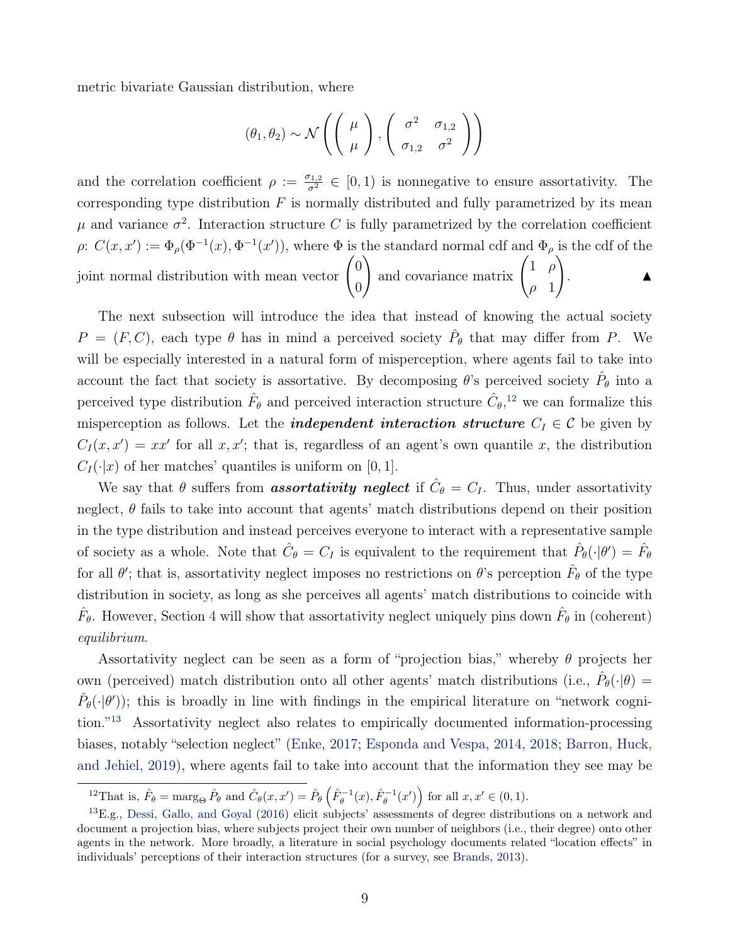metric bivariate Gaussian distribution, where

$$
(\theta_1, \theta_2) \sim \mathcal{N}\left(\left(\begin{array}{c} \mu \\ \mu \end{array}\right), \left(\begin{array}{cc} \sigma^2 & \sigma_{1,2} \\ \sigma_{1,2} & \sigma^2 \end{array}\right)\right)
$$

and the correlation coefficient  $\rho := \frac{\sigma_{1,2}}{\sigma^2} \in [0,1)$  is nonnegative to ensure assortativity. The corresponding type distribution  $F$  is normally distributed and fully parametrized by its mean μ and variance  $σ^2$ . Interaction structure C is fully parametrized by the correlation coefficient  $\rho: C(x, x') := \Phi_{\rho}(\Phi^{-1}(x), \Phi^{-1}(x'))$ , where  $\Phi$  is the standard normal cdf and  $\Phi_{\rho}$  is the cdf of the joint normal distribution with mean vector  $\begin{pmatrix} 0 \\ 0 \end{pmatrix}$ 0 and covariance matrix  $\begin{pmatrix} 1 & \rho \\ & 1 & \rho \end{pmatrix}$  $\rho$  1  $\setminus$ .  $\blacksquare$ 

The next subsection will introduce the idea that instead of knowing the actual society  $P = (F, C)$ , each type  $\theta$  has in mind a perceived society  $\hat{P}_{\theta}$  that may differ from P. We will be especially interested in a natural form of misperception, where agents fail to take into account the fact that society is assortative. By decomposing  $\theta$ 's perceived society  $\hat{P}_{\theta}$  into a perceived type distribution  $\hat{F}_{\theta}$  and perceived interaction structure  $\hat{C}_{\theta}$ ,<sup>[12](#page-8-0)</sup> we can formalize this misperception as follows. Let the *independent interaction structure*  $C_I \in \mathcal{C}$  be given by  $C_I(x, x') = xx'$  for all  $x, x'$ ; that is, regardless of an agent's own quantile x, the distribution  $C_I(\cdot|x)$  of her matches' quantiles is uniform on [0, 1].

We say that  $\theta$  suffers from **assortativity neglect** if  $\hat{C}_{\theta} = C_I$ . Thus, under assortativity neglect,  $\theta$  fails to take into account that agents' match distributions depend on their position in the type distribution and instead perceives everyone to interact with a representative sample of society as a whole. Note that  $\hat{C}_{\theta} = C_I$  is equivalent to the requirement that  $\hat{P}_{\theta}(\cdot|\theta') = \hat{F}_{\theta}$ for all  $\theta'$ ; that is, assortativity neglect imposes no restrictions on  $\theta$ 's perception  $\hat{F}_{\theta}$  of the type distribution in society, as long as she perceives all agents' match distributions to coincide with  $\hat{F}_{\theta}$ . However, Section [4](#page-18-0) will show that assortativity neglect uniquely pins down  $\hat{F}_{\theta}$  in (coherent) equilibrium.

Assortativity neglect can be seen as a form of "projection bias," whereby  $\theta$  projects her own (perceived) match distribution onto all other agents' match distributions (i.e.,  $\hat{P}_{\theta}(\cdot|\theta)$ )  $\hat{P}_{\theta}(\cdot|\theta')$ ; this is broadly in line with findings in the empirical literature on "network cognition."[13](#page-8-1) Assortativity neglect also relates to empirically documented information-processing biases, notably "selection neglect" [\(Enke,](#page-41-4) [2017;](#page-41-4) [Esponda and Vespa,](#page-42-3) [2014,](#page-42-3) [2018;](#page-42-4) [Barron, Huck,](#page-40-4) [and Jehiel,](#page-40-4) [2019\)](#page-40-4), where agents fail to take into account that the information they see may be

<span id="page-8-1"></span><span id="page-8-0"></span><sup>&</sup>lt;sup>12</sup>That is,  $\hat{F}_{\theta} = \arg_{\Theta} \hat{P}_{\theta}$  and  $\hat{C}_{\theta}(x, x') = \hat{P}_{\theta} \left( \hat{F}_{\theta}^{-1}(x), \hat{F}_{\theta}^{-1}(x') \right)$  for all  $x, x' \in (0, 1)$ .

<sup>&</sup>lt;sup>13</sup>E.g., [Dessi, Gallo, and Goyal](#page-41-5) [\(2016\)](#page-41-5) elicit subjects' assessments of degree distributions on a network and document a projection bias, where subjects project their own number of neighbors (i.e., their degree) onto other agents in the network. More broadly, a literature in social psychology documents related "location effects" in individuals' perceptions of their interaction structures (for a survey, see [Brands,](#page-41-6) [2013\)](#page-41-6).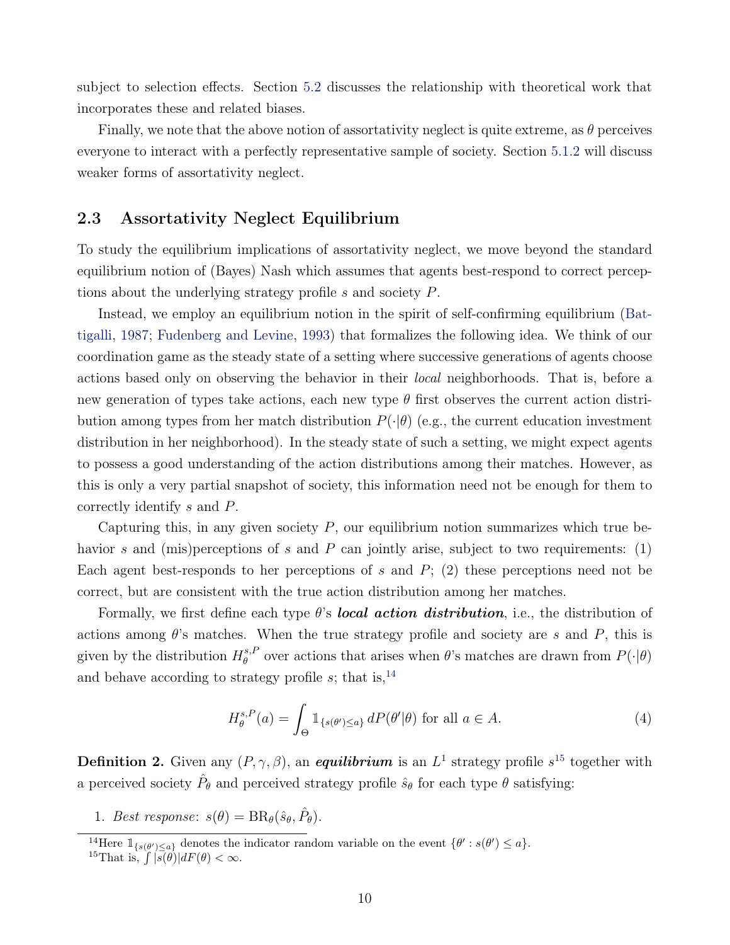subject to selection effects. Section [5.2](#page-28-0) discusses the relationship with theoretical work that incorporates these and related biases.

Finally, we note that the above notion of assortativity neglect is quite extreme, as  $\theta$  perceives everyone to interact with a perfectly representative sample of society. Section [5.1.2](#page-26-0) will discuss weaker forms of assortativity neglect.

## 2.3 Assortativity Neglect Equilibrium

To study the equilibrium implications of assortativity neglect, we move beyond the standard equilibrium notion of (Bayes) Nash which assumes that agents best-respond to correct perceptions about the underlying strategy profile s and society P.

Instead, we employ an equilibrium notion in the spirit of self-confirming equilibrium [\(Bat](#page-40-0)[tigalli,](#page-40-0) [1987;](#page-40-0) [Fudenberg and Levine,](#page-42-0) [1993\)](#page-42-0) that formalizes the following idea. We think of our coordination game as the steady state of a setting where successive generations of agents choose actions based only on observing the behavior in their *local* neighborhoods. That is, before a new generation of types take actions, each new type  $\theta$  first observes the current action distribution among types from her match distribution  $P(\cdot|\theta)$  (e.g., the current education investment distribution in her neighborhood). In the steady state of such a setting, we might expect agents to possess a good understanding of the action distributions among their matches. However, as this is only a very partial snapshot of society, this information need not be enough for them to correctly identify s and P.

Capturing this, in any given society  $P$ , our equilibrium notion summarizes which true behavior s and (mis)perceptions of s and P can jointly arise, subject to two requirements:  $(1)$ Each agent best-responds to her perceptions of  $s$  and  $P$ ; (2) these perceptions need not be correct, but are consistent with the true action distribution among her matches.

Formally, we first define each type  $\theta$ 's **local action distribution**, i.e., the distribution of actions among  $\theta$ 's matches. When the true strategy profile and society are s and P, this is given by the distribution  $H^{s,F}_{\theta}$  $\theta_{\theta}^{s,P}$  over actions that arises when  $\theta$ 's matches are drawn from  $P(\cdot|\theta)$ and behave according to strategy profile  $s$ ; that is,<sup>[14](#page-9-0)</sup>

$$
H_{\theta}^{s,P}(a) = \int_{\Theta} \mathbb{1}_{\{s(\theta') \le a\}} dP(\theta'|\theta) \text{ for all } a \in A.
$$
 (4)

<span id="page-9-2"></span>**Definition 2.** Given any  $(P, \gamma, \beta)$ , an *equilibrium* is an  $L^1$  strategy profile  $s^{15}$  $s^{15}$  $s^{15}$  together with a perceived society  $\hat{P}_{\theta}$  and perceived strategy profile  $\hat{s}_{\theta}$  for each type  $\theta$  satisfying:

1. Best response:  $s(\theta) = BR_{\theta}(\hat{s}_{\theta}, \hat{P}_{\theta})$ .

<span id="page-9-0"></span><sup>&</sup>lt;sup>14</sup>Here  $\mathbb{1}_{\{s(\theta')\leq a\}}$  denotes the indicator random variable on the event  $\{\theta' : s(\theta') \leq a\}.$ 

<span id="page-9-1"></span><sup>&</sup>lt;sup>15</sup>That is,  $\int |s(\theta)|dF(\theta) < \infty$ .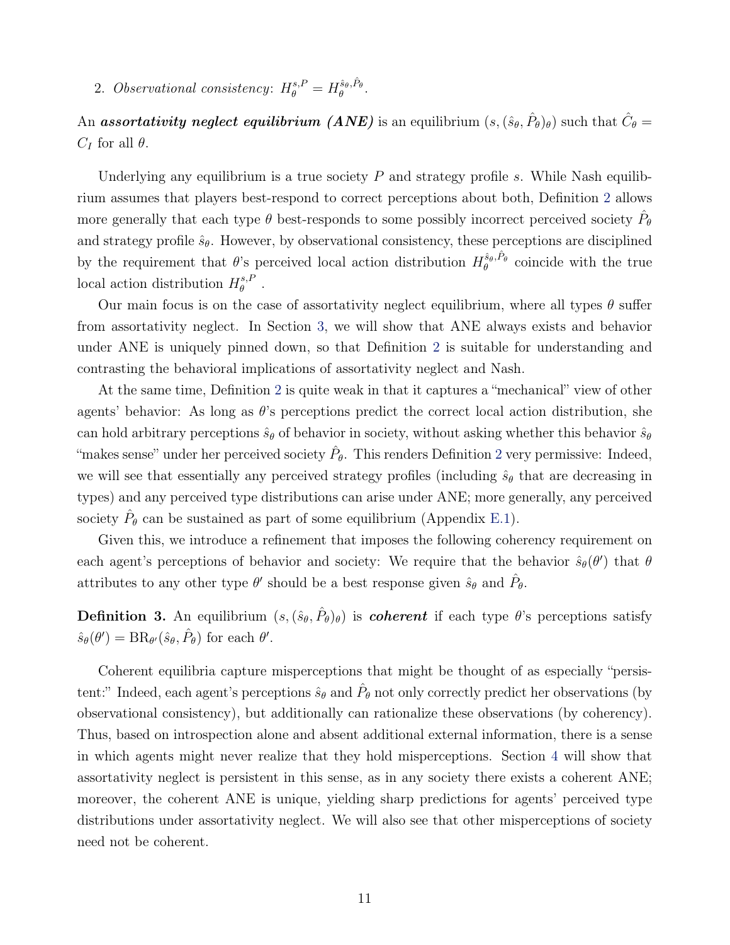2. Observational consistency:  $H_{\theta}^{s,P} = H_{\theta}^{\hat{s}_{\theta},\hat{P}_{\theta}}$ .

An assortativity neglect equilibrium (ANE) is an equilibrium  $(s,(\hat{s}_{\theta}, \hat{P}_{\theta})_{\theta})$  such that  $\hat{C}_{\theta} =$  $C_I$  for all  $\theta$ .

Underlying any equilibrium is a true society  $P$  and strategy profile s. While Nash equilibrium assumes that players best-respond to correct perceptions about both, Definition [2](#page-9-2) allows more generally that each type  $\theta$  best-responds to some possibly incorrect perceived society  $\hat{P}_{\theta}$ and strategy profile  $\hat{s}_{\theta}$ . However, by observational consistency, these perceptions are disciplined by the requirement that  $\theta$ 's perceived local action distribution  $H_{\theta}^{\hat{s}_{\theta},\hat{P}_{\theta}}$  coincide with the true local action distribution  $H^{s,F}_{\theta}$  $_{\theta}^{s,P}$  .

Our main focus is on the case of assortativity neglect equilibrium, where all types  $\theta$  suffer from assortativity neglect. In Section [3,](#page-12-0) we will show that ANE always exists and behavior under ANE is uniquely pinned down, so that Definition [2](#page-9-2) is suitable for understanding and contrasting the behavioral implications of assortativity neglect and Nash.

At the same time, Definition [2](#page-9-2) is quite weak in that it captures a "mechanical" view of other agents' behavior: As long as  $\theta$ 's perceptions predict the correct local action distribution, she can hold arbitrary perceptions  $\hat{s}_{\theta}$  of behavior in society, without asking whether this behavior  $\hat{s}_{\theta}$ "makes sense" under her perceived society  $\hat{P}_{\theta}$ . This renders Definition [2](#page-9-2) very permissive: Indeed, we will see that essentially any perceived strategy profiles (including  $\hat{s}_{\theta}$  that are decreasing in types) and any perceived type distributions can arise under ANE; more generally, any perceived society  $\hat{P}_{\theta}$  can be sustained as part of some equilibrium (Appendix [E.1\)](#page--1-0).

Given this, we introduce a refinement that imposes the following coherency requirement on each agent's perceptions of behavior and society: We require that the behavior  $\hat{s}_{\theta}(\theta')$  that  $\theta$ attributes to any other type  $\theta'$  should be a best response given  $\hat{s}_{\theta}$  and  $\hat{P}_{\theta}$ .

<span id="page-10-0"></span>**Definition 3.** An equilibrium  $(s, (\hat{s}_{\theta}, \hat{P}_{\theta})_{\theta})$  is *coherent* if each type  $\theta$ 's perceptions satisfy  $\hat{s}_{\theta}(\theta') = BR_{\theta'}(\hat{s}_{\theta}, \hat{P}_{\theta})$  for each  $\theta'$ .

Coherent equilibria capture misperceptions that might be thought of as especially "persistent:" Indeed, each agent's perceptions  $\hat{s}_{\theta}$  and  $\hat{P}_{\theta}$  not only correctly predict her observations (by observational consistency), but additionally can rationalize these observations (by coherency). Thus, based on introspection alone and absent additional external information, there is a sense in which agents might never realize that they hold misperceptions. Section [4](#page-18-0) will show that assortativity neglect is persistent in this sense, as in any society there exists a coherent ANE; moreover, the coherent ANE is unique, yielding sharp predictions for agents' perceived type distributions under assortativity neglect. We will also see that other misperceptions of society need not be coherent.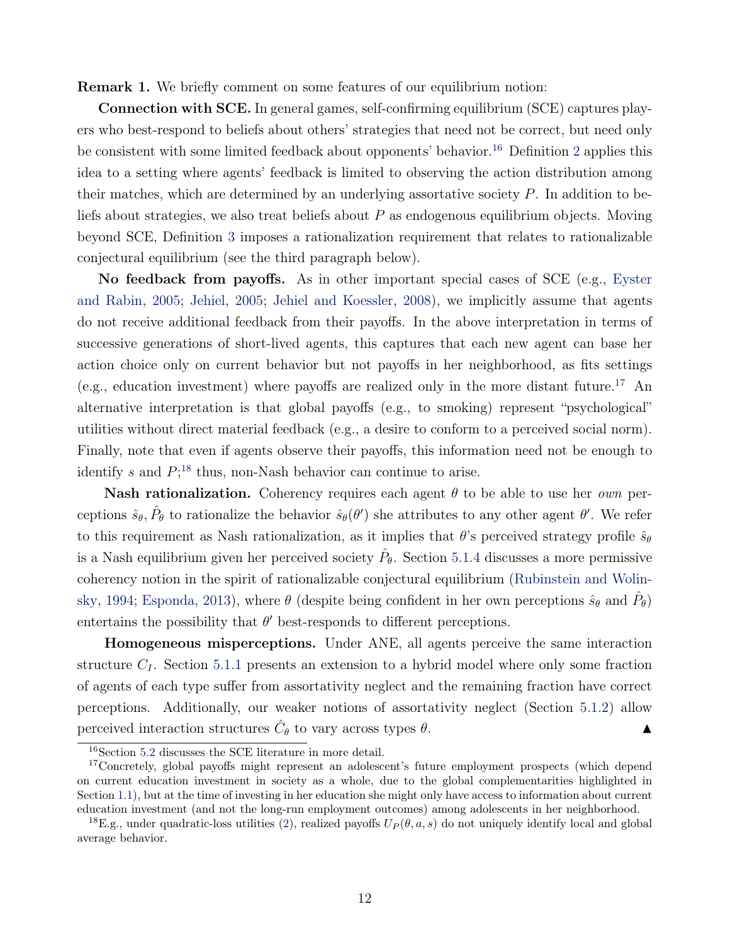Remark 1. We briefly comment on some features of our equilibrium notion:

Connection with SCE. In general games, self-confirming equilibrium (SCE) captures players who best-respond to beliefs about others' strategies that need not be correct, but need only be consistent with some limited feedback about opponents' behavior.<sup>[16](#page-11-0)</sup> Definition [2](#page-9-2) applies this idea to a setting where agents' feedback is limited to observing the action distribution among their matches, which are determined by an underlying assortative society P. In addition to beliefs about strategies, we also treat beliefs about  $P$  as endogenous equilibrium objects. Moving beyond SCE, Definition [3](#page-10-0) imposes a rationalization requirement that relates to rationalizable conjectural equilibrium (see the third paragraph below).

No feedback from payoffs. As in other important special cases of SCE (e.g., [Eyster](#page-42-5) [and Rabin,](#page-42-5) [2005;](#page-42-5) [Jehiel,](#page-43-5) [2005;](#page-43-5) [Jehiel and Koessler,](#page-43-6) [2008\)](#page-43-6), we implicitly assume that agents do not receive additional feedback from their payoffs. In the above interpretation in terms of successive generations of short-lived agents, this captures that each new agent can base her action choice only on current behavior but not payoffs in her neighborhood, as fits settings (e.g., education investment) where payoffs are realized only in the more distant future.<sup>[17](#page-11-1)</sup> An alternative interpretation is that global payoffs (e.g., to smoking) represent "psychological" utilities without direct material feedback (e.g., a desire to conform to a perceived social norm). Finally, note that even if agents observe their payoffs, this information need not be enough to identify s and  $P;^{18}$  $P;^{18}$  $P;^{18}$  thus, non-Nash behavior can continue to arise.

**Nash rationalization.** Coherency requires each agent  $\theta$  to be able to use her *own* perceptions  $\hat{s}_{\theta}$ ,  $\hat{P}_{\theta}$  to rationalize the behavior  $\hat{s}_{\theta}(\theta')$  she attributes to any other agent  $\theta'$ . We refer to this requirement as Nash rationalization, as it implies that  $\theta$ 's perceived strategy profile  $\hat{s}_{\theta}$ is a Nash equilibrium given her perceived society  $\hat{P}_{\theta}$ . Section [5.1.4](#page-28-1) discusses a more permissive coherency notion in the spirit of rationalizable conjectural equilibrium [\(Rubinstein and Wolin](#page-44-4)[sky,](#page-44-4) [1994;](#page-44-4) [Esponda,](#page-42-6) [2013\)](#page-42-6), where  $\theta$  (despite being confident in her own perceptions  $\hat{s}_{\theta}$  and  $\hat{P}_{\theta}$ ) entertains the possibility that  $\theta'$  best-responds to different perceptions.

Homogeneous misperceptions. Under ANE, all agents perceive the same interaction structure  $C_I$ . Section [5.1.1](#page-25-1) presents an extension to a hybrid model where only some fraction of agents of each type suffer from assortativity neglect and the remaining fraction have correct perceptions. Additionally, our weaker notions of assortativity neglect (Section [5.1.2\)](#page-26-0) allow perceived interaction structures  $\hat{C}_{\theta}$  to vary across types  $\theta$ .

<span id="page-11-1"></span><span id="page-11-0"></span><sup>&</sup>lt;sup>16</sup>Section [5.2](#page-28-0) discusses the SCE literature in more detail.

<sup>&</sup>lt;sup>17</sup>Concretely, global payoffs might represent an adolescent's future employment prospects (which depend on current education investment in society as a whole, due to the global complementarities highlighted in Section [1.1\)](#page-2-1), but at the time of investing in her education she might only have access to information about current education investment (and not the long-run employment outcomes) among adolescents in her neighborhood.

<span id="page-11-2"></span><sup>&</sup>lt;sup>18</sup>E.g., under quadratic-loss utilities [\(2\)](#page-6-3), realized payoffs  $U_P(\theta, a, s)$  do not uniquely identify local and global average behavior.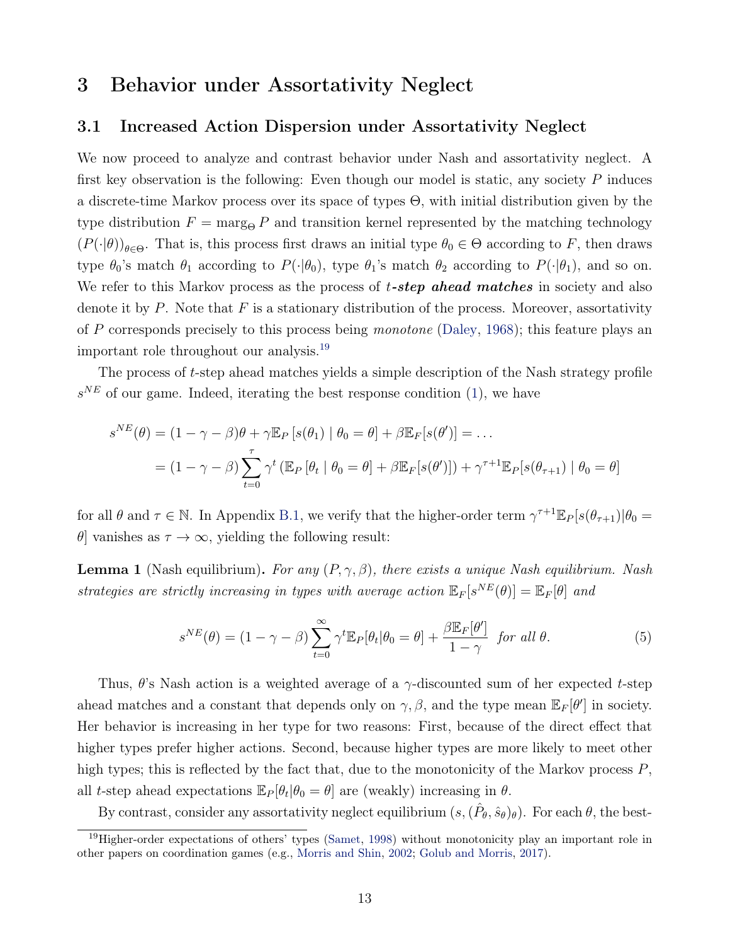## <span id="page-12-0"></span>3 Behavior under Assortativity Neglect

### 3.1 Increased Action Dispersion under Assortativity Neglect

We now proceed to analyze and contrast behavior under Nash and assortativity neglect. A first key observation is the following: Even though our model is static, any society  $P$  induces a discrete-time Markov process over its space of types Θ, with initial distribution given by the type distribution  $F = \text{marg}_{\Theta} P$  and transition kernel represented by the matching technology  $(P(\cdot|\theta))_{\theta \in \Theta}$ . That is, this process first draws an initial type  $\theta_0 \in \Theta$  according to F, then draws type  $\theta_0$ 's match  $\theta_1$  according to  $P(\cdot|\theta_0)$ , type  $\theta_1$ 's match  $\theta_2$  according to  $P(\cdot|\theta_1)$ , and so on. We refer to this Markov process as the process of  $t\text{-}step$  ahead matches in society and also denote it by P. Note that F is a stationary distribution of the process. Moreover, assortativity of P corresponds precisely to this process being monotone [\(Daley,](#page-41-7) [1968\)](#page-41-7); this feature plays an important role throughout our analysis.[19](#page-12-1)

The process of t-step ahead matches yields a simple description of the Nash strategy profile  $s^{NE}$  of our game. Indeed, iterating the best response condition [\(1\)](#page-6-2), we have

$$
s^{NE}(\theta) = (1 - \gamma - \beta)\theta + \gamma \mathbb{E}_P[s(\theta_1) | \theta_0 = \theta] + \beta \mathbb{E}_F[s(\theta')] = \dots
$$
  
=  $(1 - \gamma - \beta) \sum_{t=0}^{\tau} \gamma^t (\mathbb{E}_P[\theta_t | \theta_0 = \theta] + \beta \mathbb{E}_F[s(\theta')]) + \gamma^{\tau+1} \mathbb{E}_P[s(\theta_{\tau+1}) | \theta_0 = \theta]$ 

for all  $\theta$  and  $\tau \in \mathbb{N}$ . In Appendix [B.1,](#page-33-0) we verify that the higher-order term  $\gamma^{\tau+1} \mathbb{E}_P[s(\theta_{\tau+1}) | \theta_0 =$  $\theta$ ] vanishes as  $\tau \to \infty$ , yielding the following result:

<span id="page-12-3"></span>**Lemma 1** (Nash equilibrium). For any  $(P, \gamma, \beta)$ , there exists a unique Nash equilibrium. Nash strategies are strictly increasing in types with average action  $\mathbb{E}_F[s^{NE}(\theta)] = \mathbb{E}_F[\theta]$  and

<span id="page-12-2"></span>
$$
s^{NE}(\theta) = (1 - \gamma - \beta) \sum_{t=0}^{\infty} \gamma^t \mathbb{E}_P[\theta_t | \theta_0 = \theta] + \frac{\beta \mathbb{E}_F[\theta']}{1 - \gamma} \text{ for all } \theta.
$$
 (5)

Thus,  $\theta$ 's Nash action is a weighted average of a  $\gamma$ -discounted sum of her expected t-step ahead matches and a constant that depends only on  $\gamma$ ,  $\beta$ , and the type mean  $\mathbb{E}_F[\theta']$  in society. Her behavior is increasing in her type for two reasons: First, because of the direct effect that higher types prefer higher actions. Second, because higher types are more likely to meet other high types; this is reflected by the fact that, due to the monotonicity of the Markov process  $P$ , all t-step ahead expectations  $\mathbb{E}_P[\theta_t|\theta_0 = \theta]$  are (weakly) increasing in  $\theta$ .

By contrast, consider any assortativity neglect equilibrium  $(s, (\hat{P}_{\theta}, \hat{s}_{\theta})_{\theta})$ . For each  $\theta$ , the best-

<span id="page-12-1"></span><sup>&</sup>lt;sup>19</sup>Higher-order expectations of others' types [\(Samet,](#page-44-5) [1998\)](#page-44-5) without monotonicity play an important role in other papers on coordination games (e.g., [Morris and Shin,](#page-43-4) [2002;](#page-43-4) [Golub and Morris,](#page-42-7) [2017\)](#page-42-7).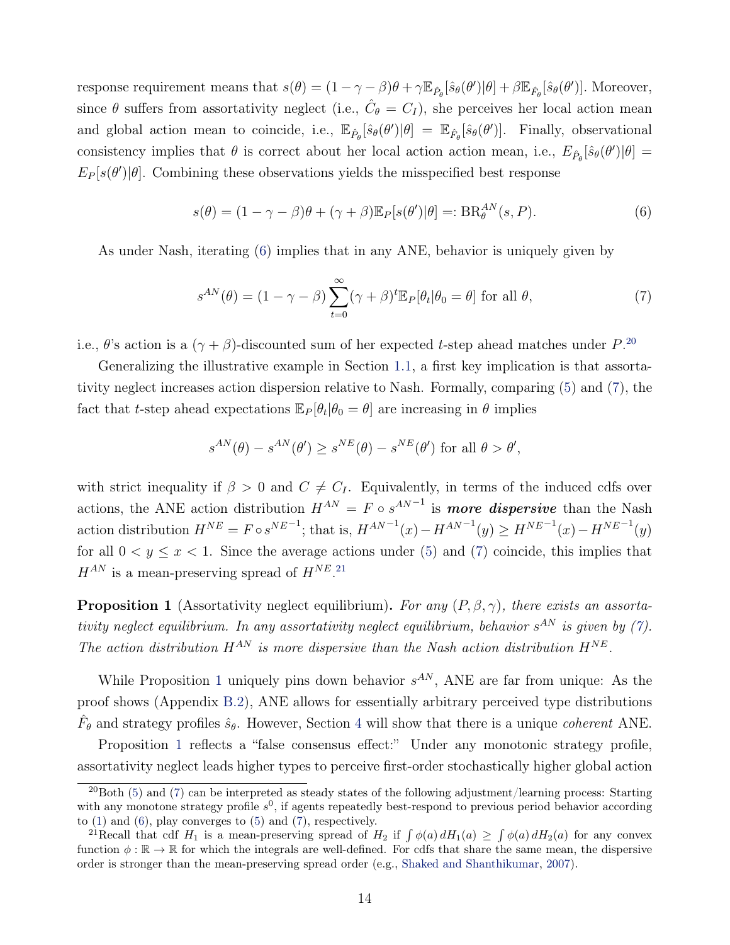response requirement means that  $s(\theta) = (1 - \gamma - \beta)\theta + \gamma \mathbb{E}_{\hat{P}_{\theta}}[\hat{s}_{\theta}(\theta')|\theta] + \beta \mathbb{E}_{\hat{F}_{\theta}}[\hat{s}_{\theta}(\theta')]$ . Moreover, since  $\theta$  suffers from assortativity neglect (i.e.,  $\hat{C}_{\theta} = C_I$ ), she perceives her local action mean and global action mean to coincide, i.e.,  $\mathbb{E}_{\hat{P}_{\theta}}[\hat{s}_{\theta}(\theta')|\theta] = \mathbb{E}_{\hat{F}_{\theta}}[\hat{s}_{\theta}(\theta')]$ . Finally, observational consistency implies that  $\theta$  is correct about her local action action mean, i.e.,  $E_{\hat{P}_{\theta}}[\hat{s}_{\theta}(\theta')|\theta] =$  $E_P[s(\theta')|\theta]$ . Combining these observations yields the misspecified best response

<span id="page-13-0"></span>
$$
s(\theta) = (1 - \gamma - \beta)\theta + (\gamma + \beta)\mathbb{E}_P[s(\theta')|\theta] =: BR_{\theta}^{AN}(s, P). \tag{6}
$$

As under Nash, iterating [\(6\)](#page-13-0) implies that in any ANE, behavior is uniquely given by

<span id="page-13-2"></span>
$$
s^{AN}(\theta) = (1 - \gamma - \beta) \sum_{t=0}^{\infty} (\gamma + \beta)^t \mathbb{E}_P[\theta_t | \theta_0 = \theta] \text{ for all } \theta,
$$
 (7)

i.e.,  $\theta$ 's action is a  $(\gamma + \beta)$ -discounted sum of her expected t-step ahead matches under P.<sup>[20](#page-13-1)</sup>

Generalizing the illustrative example in Section [1.1,](#page-2-1) a first key implication is that assortativity neglect increases action dispersion relative to Nash. Formally, comparing [\(5\)](#page-12-2) and [\(7\)](#page-13-2), the fact that t-step ahead expectations  $\mathbb{E}_P[\theta_t|\theta_0 = \theta]$  are increasing in  $\theta$  implies

$$
s^{AN}(\theta) - s^{AN}(\theta') \ge s^{NE}(\theta) - s^{NE}(\theta')
$$
 for all  $\theta > \theta'$ ,

with strict inequality if  $\beta > 0$  and  $C \neq C_I$ . Equivalently, in terms of the induced cdfs over actions, the ANE action distribution  $H^{AN} = F \circ s^{AN-1}$  is **more dispersive** than the Nash action distribution  $H^{NE} = F \circ s^{NE^{-1}}$ ; that is,  $H^{AN^{-1}}(x) - H^{AN^{-1}}(y) \ge H^{NE^{-1}}(x) - H^{NE^{-1}}(y)$ for all  $0 < y \leq x < 1$ . Since the average actions under [\(5\)](#page-12-2) and [\(7\)](#page-13-2) coincide, this implies that  $H^{AN}$  is a mean-preserving spread of  $H^{NE}$ .<sup>[21](#page-13-3)</sup>

<span id="page-13-4"></span>**Proposition 1** (Assortativity neglect equilibrium). For any  $(P, \beta, \gamma)$ , there exists an assortativity neglect equilibrium. In any assortativity neglect equilibrium, behavior  $s^{AN}$  is given by [\(7\)](#page-13-2). The action distribution  $H^{AN}$  is more dispersive than the Nash action distribution  $H^{NE}$ .

While Proposition [1](#page-13-4) uniquely pins down behavior  $s^{AN}$ , ANE are far from unique: As the proof shows (Appendix [B.2\)](#page-34-0), ANE allows for essentially arbitrary perceived type distributions  $\hat{F}_{\theta}$  and strategy profiles  $\hat{s}_{\theta}$ . However, Section [4](#page-18-0) will show that there is a unique *coherent* ANE.

Proposition [1](#page-13-4) reflects a "false consensus effect:" Under any monotonic strategy profile, assortativity neglect leads higher types to perceive first-order stochastically higher global action

<span id="page-13-1"></span> $^{20}$ Both [\(5\)](#page-12-2) and [\(7\)](#page-13-2) can be interpreted as steady states of the following adjustment/learning process: Starting with any monotone strategy profile  $s^0$ , if agents repeatedly best-respond to previous period behavior according to  $(1)$  and  $(6)$ , play converges to  $(5)$  and  $(7)$ , respectively.

<span id="page-13-3"></span><sup>&</sup>lt;sup>21</sup>Recall that cdf  $H_1$  is a mean-preserving spread of  $H_2$  if  $\int \phi(a) dH_1(a) \geq \int \phi(a) dH_2(a)$  for any convex function  $\phi : \mathbb{R} \to \mathbb{R}$  for which the integrals are well-defined. For cdfs that share the same mean, the dispersive order is stronger than the mean-preserving spread order (e.g., [Shaked and Shanthikumar,](#page-44-6) [2007\)](#page-44-6).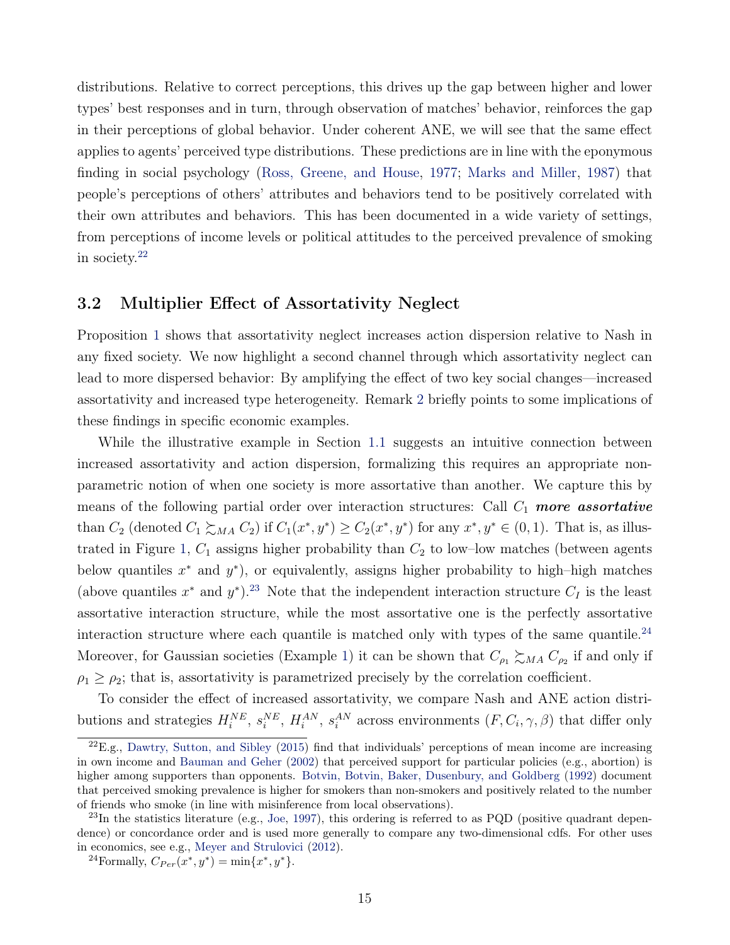distributions. Relative to correct perceptions, this drives up the gap between higher and lower types' best responses and in turn, through observation of matches' behavior, reinforces the gap in their perceptions of global behavior. Under coherent ANE, we will see that the same effect applies to agents' perceived type distributions. These predictions are in line with the eponymous finding in social psychology [\(Ross, Greene, and House,](#page-44-1) [1977;](#page-44-1) [Marks and Miller,](#page-43-7) [1987\)](#page-43-7) that people's perceptions of others' attributes and behaviors tend to be positively correlated with their own attributes and behaviors. This has been documented in a wide variety of settings, from perceptions of income levels or political attitudes to the perceived prevalence of smoking in society.[22](#page-14-0)

### <span id="page-14-3"></span>3.2 Multiplier Effect of Assortativity Neglect

Proposition [1](#page-13-4) shows that assortativity neglect increases action dispersion relative to Nash in any fixed society. We now highlight a second channel through which assortativity neglect can lead to more dispersed behavior: By amplifying the effect of two key social changes—increased assortativity and increased type heterogeneity. Remark [2](#page-16-0) briefly points to some implications of these findings in specific economic examples.

While the illustrative example in Section [1.1](#page-2-1) suggests an intuitive connection between increased assortativity and action dispersion, formalizing this requires an appropriate nonparametric notion of when one society is more assortative than another. We capture this by means of the following partial order over interaction structures: Call  $C_1$  more assortative than  $C_2$  (denoted  $C_1 \succsim_{MA} C_2$ ) if  $C_1(x^*, y^*) \geq C_2(x^*, y^*)$  for any  $x^*, y^* \in (0, 1)$ . That is, as illus-trated in Figure [1,](#page-15-0)  $C_1$  assigns higher probability than  $C_2$  to low-low matches (between agents below quantiles  $x^*$  and  $y^*$ ), or equivalently, assigns higher probability to high-high matches (above quantiles  $x^*$  and  $y^*$ ).<sup>[23](#page-14-1)</sup> Note that the independent interaction structure  $C_I$  is the least assortative interaction structure, while the most assortative one is the perfectly assortative interaction structure where each quantile is matched only with types of the same quantile.<sup>[24](#page-14-2)</sup> Moreover, for Gaussian societies (Example [1\)](#page-7-5) it can be shown that  $C_{\rho_1} \succsim_{MA} C_{\rho_2}$  if and only if  $\rho_1 \geq \rho_2$ ; that is, assortativity is parametrized precisely by the correlation coefficient.

To consider the effect of increased assortativity, we compare Nash and ANE action distributions and strategies  $H_i^{NE}$ ,  $s_i^{NE}$ ,  $H_i^{AN}$ ,  $s_i^{AN}$  across environments  $(F, C_i, \gamma, \beta)$  that differ only

<span id="page-14-0"></span> $22E.g.,$  [Dawtry, Sutton, and Sibley](#page-41-8) [\(2015\)](#page-41-8) find that individuals' perceptions of mean income are increasing in own income and [Bauman and Geher](#page-40-5) [\(2002\)](#page-40-5) that perceived support for particular policies (e.g., abortion) is higher among supporters than opponents. [Botvin, Botvin, Baker, Dusenbury, and Goldberg](#page-41-9) [\(1992\)](#page-41-9) document that perceived smoking prevalence is higher for smokers than non-smokers and positively related to the number of friends who smoke (in line with misinference from local observations).

<span id="page-14-1"></span> $^{23}$ In the statistics literature (e.g., [Joe,](#page-43-8) [1997\)](#page-43-8), this ordering is referred to as PQD (positive quadrant dependence) or concordance order and is used more generally to compare any two-dimensional cdfs. For other uses in economics, see e.g., [Meyer and Strulovici](#page-43-9) [\(2012\)](#page-43-9).

<span id="page-14-2"></span><sup>&</sup>lt;sup>24</sup>Formally,  $C_{Per}(x^*, y^*) = \min\{x^*, y^*\}.$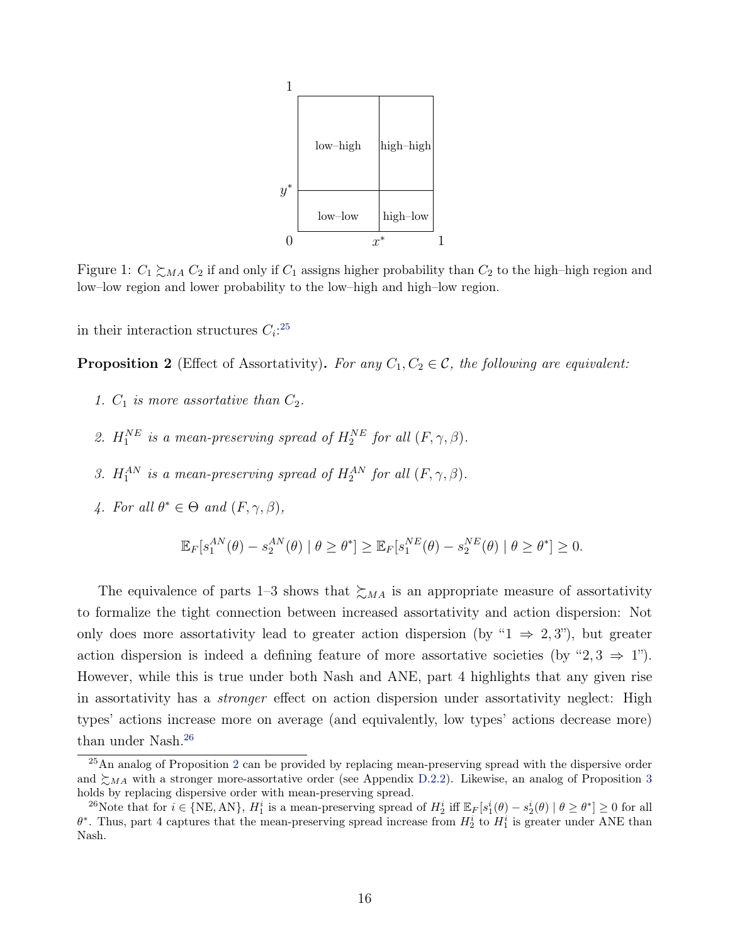<span id="page-15-0"></span>

Figure 1:  $C_1 \succeq_{MA} C_2$  if and only if  $C_1$  assigns higher probability than  $C_2$  to the high–high region and low–low region and lower probability to the low–high and high–low region.

in their interaction structures  $C_i$ :<sup>[25](#page-15-1)</sup>

<span id="page-15-3"></span>**Proposition 2** (Effect of Assortativity). For any  $C_1, C_2 \in \mathcal{C}$ , the following are equivalent:

- 1.  $C_1$  is more assortative than  $C_2$ .
- 2.  $H_1^{NE}$  is a mean-preserving spread of  $H_2^{NE}$  for all  $(F, \gamma, \beta)$ .
- 3.  $H_1^{AN}$  is a mean-preserving spread of  $H_2^{AN}$  for all  $(F, \gamma, \beta)$ .
- 4. For all  $\theta^* \in \Theta$  and  $(F, \gamma, \beta)$ ,

$$
\mathbb{E}_F[s_1^{AN}(\theta) - s_2^{AN}(\theta) \mid \theta \ge \theta^*] \ge \mathbb{E}_F[s_1^{NE}(\theta) - s_2^{NE}(\theta) \mid \theta \ge \theta^*] \ge 0.
$$

The equivalence of parts 1–3 shows that  $\succsim_{MA}$  is an appropriate measure of assortativity to formalize the tight connection between increased assortativity and action dispersion: Not only does more assortativity lead to greater action dispersion (by " $1 \Rightarrow 2, 3$ "), but greater action dispersion is indeed a defining feature of more assortative societies (by "2, 3  $\Rightarrow$  1"). However, while this is true under both Nash and ANE, part 4 highlights that any given rise in assortativity has a *stronger* effect on action dispersion under assortativity neglect: High types' actions increase more on average (and equivalently, low types' actions decrease more) than under Nash.<sup>[26](#page-15-2)</sup>

<span id="page-15-1"></span><sup>&</sup>lt;sup>[2](#page-15-3)5</sup>An analog of Proposition 2 can be provided by replacing mean-preserving spread with the dispersive order and  $\sum_{MA}$  with a stronger more-assortative order (see Appendix [D.2.2\)](#page--1-1). Likewise, an analog of Proposition [3](#page-16-1) holds by replacing dispersive order with mean-preserving spread.

<span id="page-15-2"></span><sup>&</sup>lt;sup>26</sup>Note that for  $i \in \{NE, AN\}$ ,  $H_1^i$  is a mean-preserving spread of  $H_2^i$  iff  $\mathbb{E}_F[s_1^i(\theta) - s_2^i(\theta) | \theta \ge \theta^*] \ge 0$  for all  $\theta^*$ . Thus, part 4 captures that the mean-preserving spread increase from  $H_2^i$  to  $H_1^i$  is greater under ANE than Nash.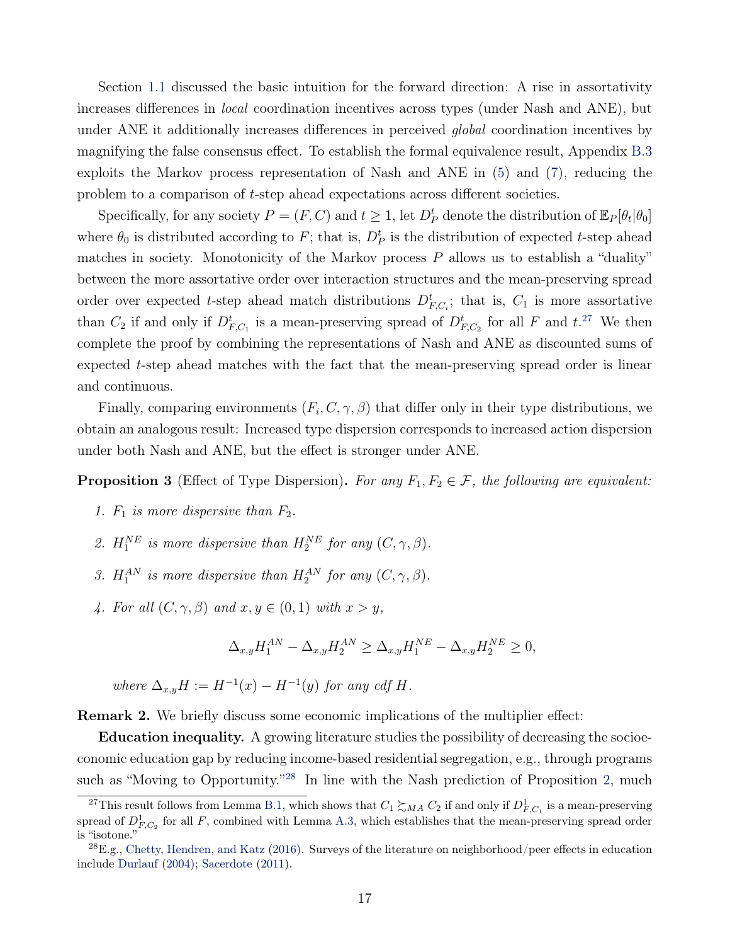Section [1.1](#page-2-1) discussed the basic intuition for the forward direction: A rise in assortativity increases differences in local coordination incentives across types (under Nash and ANE), but under ANE it additionally increases differences in perceived *global* coordination incentives by magnifying the false consensus effect. To establish the formal equivalence result, Appendix [B.3](#page-34-1) exploits the Markov process representation of Nash and ANE in [\(5\)](#page-12-2) and [\(7\)](#page-13-2), reducing the problem to a comparison of t-step ahead expectations across different societies.

Specifically, for any society  $P = (F, C)$  and  $t \ge 1$ , let  $D_P^t$  denote the distribution of  $\mathbb{E}_P[\theta_t|\theta_0]$ where  $\theta_0$  is distributed according to F; that is,  $D_P^t$  is the distribution of expected t-step ahead matches in society. Monotonicity of the Markov process P allows us to establish a "duality" between the more assortative order over interaction structures and the mean-preserving spread order over expected t-step ahead match distributions  $D_{F,C_i}^t$ ; that is,  $C_1$  is more assortative than  $C_2$  if and only if  $D_{F,C_1}^t$  is a mean-preserving spread of  $D_{F,C_2}^t$  for all F and  $t^{27}$  $t^{27}$  $t^{27}$ . We then complete the proof by combining the representations of Nash and ANE as discounted sums of expected t-step ahead matches with the fact that the mean-preserving spread order is linear and continuous.

Finally, comparing environments  $(F_i, C, \gamma, \beta)$  that differ only in their type distributions, we obtain an analogous result: Increased type dispersion corresponds to increased action dispersion under both Nash and ANE, but the effect is stronger under ANE.

<span id="page-16-1"></span>**Proposition 3** (Effect of Type Dispersion). For any  $F_1, F_2 \in \mathcal{F}$ , the following are equivalent:

- 1.  $F_1$  is more dispersive than  $F_2$ .
- 2.  $H_1^{NE}$  is more dispersive than  $H_2^{NE}$  for any  $(C, \gamma, \beta)$ .
- 3.  $H_1^{AN}$  is more dispersive than  $H_2^{AN}$  for any  $(C, \gamma, \beta)$ .
- 4. For all  $(C, \gamma, \beta)$  and  $x, y \in (0, 1)$  with  $x > y$ ,

$$
\Delta_{x,y}H_1^{AN} - \Delta_{x,y}H_2^{AN} \ge \Delta_{x,y}H_1^{NE} - \Delta_{x,y}H_2^{NE} \ge 0,
$$

where  $\Delta_{x,y}H := H^{-1}(x) - H^{-1}(y)$  for any cdf H.

<span id="page-16-0"></span>Remark 2. We briefly discuss some economic implications of the multiplier effect:

Education inequality. A growing literature studies the possibility of decreasing the socioeconomic education gap by reducing income-based residential segregation, e.g., through programs such as "Moving to Opportunity."<sup>[28](#page-16-3)</sup> In line with the Nash prediction of Proposition [2,](#page-15-3) much

<span id="page-16-2"></span><sup>&</sup>lt;sup>27</sup>This result follows from Lemma [B.1,](#page-34-2) which shows that  $C_1 \succsim_{MA} C_2$  if and only if  $D^1_{F,C_1}$  is a mean-preserving spread of  $D_{F,C_2}^1$  for all F, combined with Lemma [A.3,](#page-32-0) which establishes that the mean-preserving spread order is "isotone."

<span id="page-16-3"></span><sup>28</sup>E.g., [Chetty, Hendren, and Katz](#page-41-10) [\(2016\)](#page-41-10). Surveys of the literature on neighborhood/peer effects in education include [Durlauf](#page-41-11) [\(2004\)](#page-41-11); [Sacerdote](#page-44-7) [\(2011\)](#page-44-7).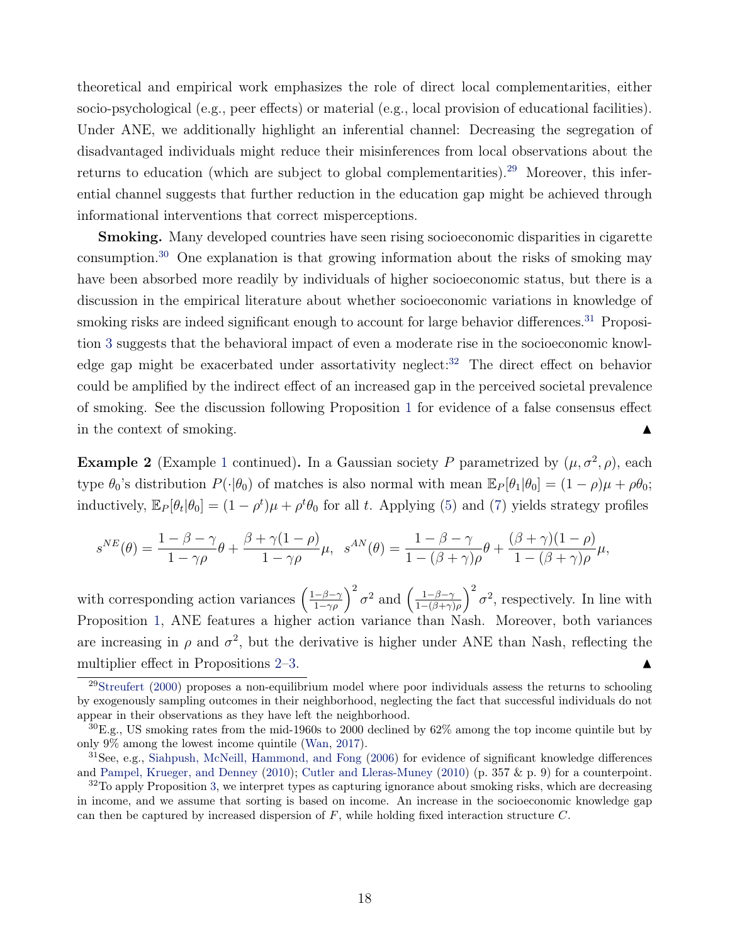theoretical and empirical work emphasizes the role of direct local complementarities, either socio-psychological (e.g., peer effects) or material (e.g., local provision of educational facilities). Under ANE, we additionally highlight an inferential channel: Decreasing the segregation of disadvantaged individuals might reduce their misinferences from local observations about the returns to education (which are subject to global complementarities).<sup>[29](#page-17-0)</sup> Moreover, this inferential channel suggests that further reduction in the education gap might be achieved through informational interventions that correct misperceptions.

Smoking. Many developed countries have seen rising socioeconomic disparities in cigarette consumption.[30](#page-17-1) One explanation is that growing information about the risks of smoking may have been absorbed more readily by individuals of higher socioeconomic status, but there is a discussion in the empirical literature about whether socioeconomic variations in knowledge of smoking risks are indeed significant enough to account for large behavior differences.<sup>[31](#page-17-2)</sup> Proposition [3](#page-16-1) suggests that the behavioral impact of even a moderate rise in the socioeconomic knowl-edge gap might be exacerbated under assortativity neglect:<sup>[32](#page-17-3)</sup> The direct effect on behavior could be amplified by the indirect effect of an increased gap in the perceived societal prevalence of smoking. See the discussion following Proposition [1](#page-13-4) for evidence of a false consensus effect in the context of smoking.  $\blacksquare$ 

<span id="page-17-4"></span>**Example 2** (Example [1](#page-7-5) continued). In a Gaussian society P parametrized by  $(\mu, \sigma^2, \rho)$ , each type  $\theta_0$ 's distribution  $P(\cdot|\theta_0)$  of matches is also normal with mean  $\mathbb{E}_P[\theta_1|\theta_0] = (1 - \rho)\mu + \rho\theta_0;$ inductively,  $\mathbb{E}_P[\theta_t|\theta_0] = (1 - \rho^t)\mu + \rho^t\theta_0$  for all t. Applying [\(5\)](#page-12-2) and [\(7\)](#page-13-2) yields strategy profiles

$$
s^{NE}(\theta) = \frac{1 - \beta - \gamma}{1 - \gamma \rho} \theta + \frac{\beta + \gamma(1 - \rho)}{1 - \gamma \rho} \mu, \quad s^{AN}(\theta) = \frac{1 - \beta - \gamma}{1 - (\beta + \gamma) \rho} \theta + \frac{(\beta + \gamma)(1 - \rho)}{1 - (\beta + \gamma) \rho} \mu,
$$

with corresponding action variances  $\left(\frac{1-\beta-\gamma}{1-\gamma\rho}\right)^2 \sigma^2$  and  $\left(\frac{1-\beta-\gamma}{1-(\beta+\gamma)}\right)^2$  $\frac{1-\beta-\gamma}{1-(\beta+\gamma)\rho}$ <sup>2</sup>  $\sigma^2$ , respectively. In line with Proposition [1,](#page-13-4) ANE features a higher action variance than Nash. Moreover, both variances are increasing in  $\rho$  and  $\sigma^2$ , but the derivative is higher under ANE than Nash, reflecting the multiplier effect in Propositions  $2-3$  $2-3$ .

<span id="page-17-0"></span> $29$ [Streufert](#page-44-8) [\(2000\)](#page-44-8) proposes a non-equilibrium model where poor individuals assess the returns to schooling by exogenously sampling outcomes in their neighborhood, neglecting the fact that successful individuals do not appear in their observations as they have left the neighborhood.

<span id="page-17-1"></span><sup>30</sup>E.g., US smoking rates from the mid-1960s to 2000 declined by 62% among the top income quintile but by only 9% among the lowest income quintile [\(Wan,](#page-44-9) [2017\)](#page-44-9).

<span id="page-17-2"></span><sup>31</sup>See, e.g., [Siahpush, McNeill, Hammond, and Fong](#page-44-10) [\(2006\)](#page-44-10) for evidence of significant knowledge differences and [Pampel, Krueger, and Denney](#page-44-11) [\(2010\)](#page-44-11); [Cutler and Lleras-Muney](#page-41-12) [\(2010\)](#page-41-12) (p. 357 & p. 9) for a counterpoint.

<span id="page-17-3"></span> $32$ To apply Proposition [3,](#page-16-1) we interpret types as capturing ignorance about smoking risks, which are decreasing in income, and we assume that sorting is based on income. An increase in the socioeconomic knowledge gap can then be captured by increased dispersion of  $F$ , while holding fixed interaction structure  $C$ .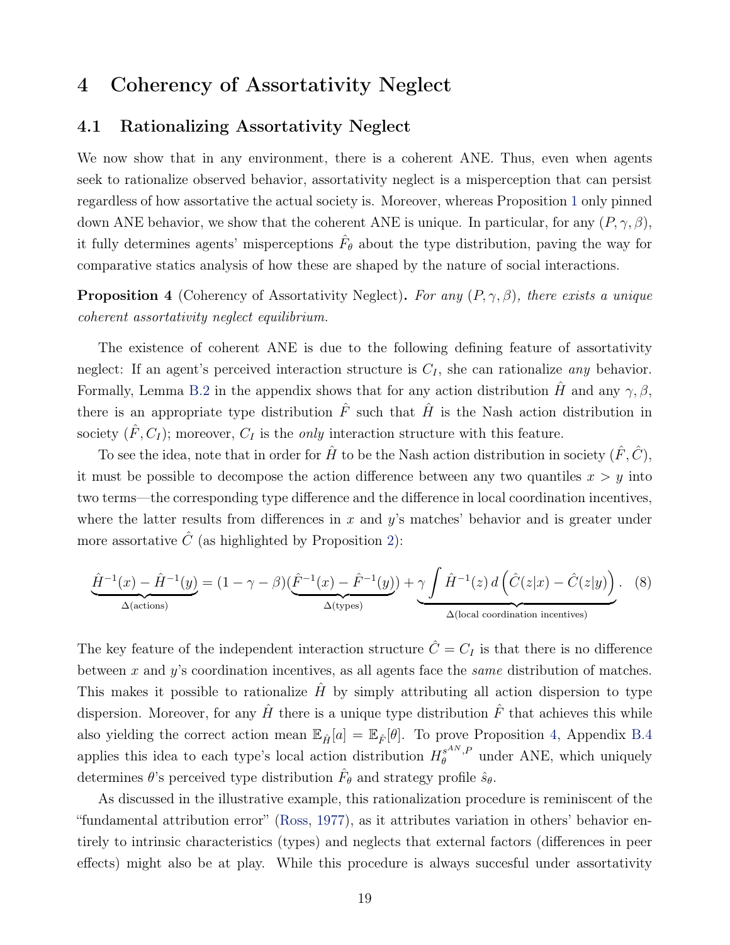## <span id="page-18-0"></span>4 Coherency of Assortativity Neglect

## 4.1 Rationalizing Assortativity Neglect

We now show that in any environment, there is a coherent ANE. Thus, even when agents seek to rationalize observed behavior, assortativity neglect is a misperception that can persist regardless of how assortative the actual society is. Moreover, whereas Proposition [1](#page-13-4) only pinned down ANE behavior, we show that the coherent ANE is unique. In particular, for any  $(P, \gamma, \beta)$ , it fully determines agents' misperceptions  $\hat{F}_{\theta}$  about the type distribution, paving the way for comparative statics analysis of how these are shaped by the nature of social interactions.

<span id="page-18-1"></span>**Proposition 4** (Coherency of Assortativity Neglect). For any  $(P, \gamma, \beta)$ , there exists a unique coherent assortativity neglect equilibrium.

The existence of coherent ANE is due to the following defining feature of assortativity neglect: If an agent's perceived interaction structure is  $C_I$ , she can rationalize any behavior. Formally, Lemma [B.2](#page-37-0) in the appendix shows that for any action distribution  $\hat{H}$  and any  $\gamma, \beta$ , there is an appropriate type distribution  $\hat{F}$  such that  $\hat{H}$  is the Nash action distribution in society  $(\hat{F}, C_I)$ ; moreover,  $C_I$  is the *only* interaction structure with this feature.

To see the idea, note that in order for  $\hat{H}$  to be the Nash action distribution in society  $(\hat{F}, \hat{C})$ , it must be possible to decompose the action difference between any two quantiles  $x > y$  into two terms—the corresponding type difference and the difference in local coordination incentives, where the latter results from differences in x and  $y$ 's matches' behavior and is greater under more assortative  $\hat{C}$  (as highlighted by Proposition [2\)](#page-15-3):

<span id="page-18-2"></span>
$$
\underbrace{\hat{H}^{-1}(x) - \hat{H}^{-1}(y)}_{\Delta(\text{actions})} = (1 - \gamma - \beta) \underbrace{(\hat{F}^{-1}(x) - \hat{F}^{-1}(y))}_{\Delta(\text{types})} + \underbrace{\gamma \int \hat{H}^{-1}(z) d\left(\hat{C}(z|x) - \hat{C}(z|y)\right)}_{\Delta(\text{local coordination incentives})}.
$$
 (8)

The key feature of the independent interaction structure  $\hat{C}=C_I$  is that there is no difference between x and  $y$ 's coordination incentives, as all agents face the *same* distribution of matches. This makes it possible to rationalize  $\hat{H}$  by simply attributing all action dispersion to type dispersion. Moreover, for any  $\hat{H}$  there is a unique type distribution  $\hat{F}$  that achieves this while also yielding the correct action mean  $\mathbb{E}_{\hat{H}}[a] = \mathbb{E}_{\hat{F}}[\theta]$ . To prove Proposition [4,](#page-18-1) Appendix [B.4](#page-37-1) applies this idea to each type's local action distribution  $H_{\theta}^{s^{AN},P}$  $\theta_{\theta}^{s\text{max},P}$  under ANE, which uniquely determines  $\theta$ 's perceived type distribution  $\hat{F}_{\theta}$  and strategy profile  $\hat{s}_{\theta}$ .

As discussed in the illustrative example, this rationalization procedure is reminiscent of the "fundamental attribution error" [\(Ross,](#page-44-2) [1977\)](#page-44-2), as it attributes variation in others' behavior entirely to intrinsic characteristics (types) and neglects that external factors (differences in peer effects) might also be at play. While this procedure is always succesful under assortativity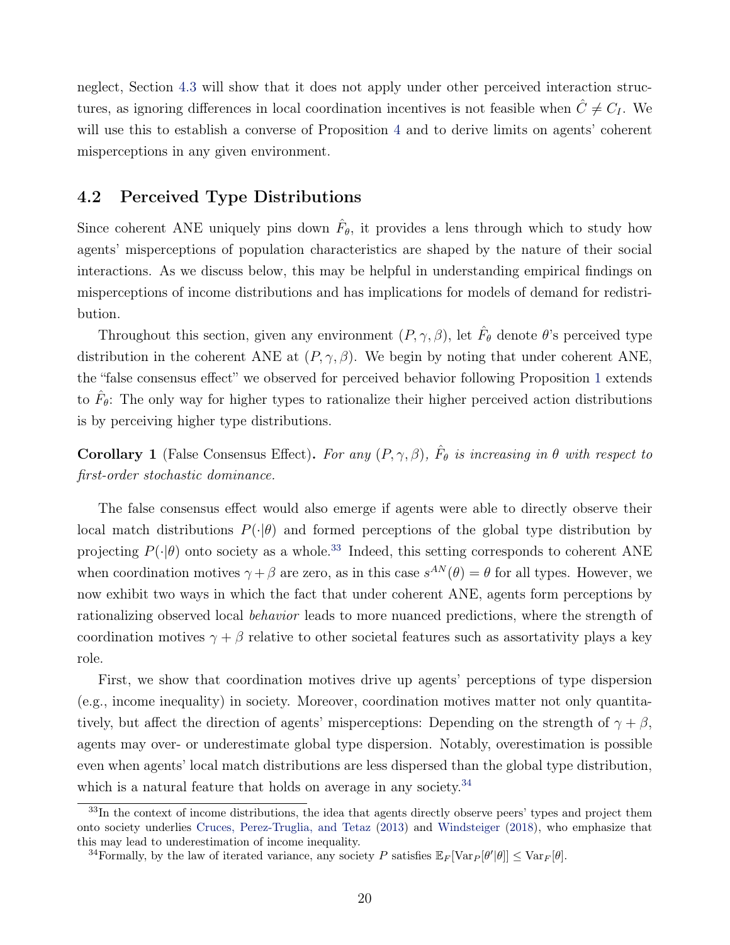neglect, Section [4.3](#page-23-0) will show that it does not apply under other perceived interaction structures, as ignoring differences in local coordination incentives is not feasible when  $\hat{C} \neq C_I$ . We will use this to establish a converse of Proposition [4](#page-18-1) and to derive limits on agents' coherent misperceptions in any given environment.

## <span id="page-19-0"></span>4.2 Perceived Type Distributions

Since coherent ANE uniquely pins down  $\hat{F}_{\theta}$ , it provides a lens through which to study how agents' misperceptions of population characteristics are shaped by the nature of their social interactions. As we discuss below, this may be helpful in understanding empirical findings on misperceptions of income distributions and has implications for models of demand for redistribution.

Throughout this section, given any environment  $(P, \gamma, \beta)$ , let  $\hat{F}_{\theta}$  denote  $\theta$ 's perceived type distribution in the coherent ANE at  $(P, \gamma, \beta)$ . We begin by noting that under coherent ANE, the "false consensus effect" we observed for perceived behavior following Proposition [1](#page-13-4) extends to  $\hat{F}_{\theta}$ : The only way for higher types to rationalize their higher perceived action distributions is by perceiving higher type distributions.

**Corollary 1** (False Consensus Effect). For any  $(P, \gamma, \beta)$ ,  $\hat{F}_{\theta}$  is increasing in  $\theta$  with respect to first-order stochastic dominance.

The false consensus effect would also emerge if agents were able to directly observe their local match distributions  $P(\cdot|\theta)$  and formed perceptions of the global type distribution by projecting  $P(\cdot|\theta)$  onto society as a whole.<sup>[33](#page-19-1)</sup> Indeed, this setting corresponds to coherent ANE when coordination motives  $\gamma + \beta$  are zero, as in this case  $s^{AN}(\theta) = \theta$  for all types. However, we now exhibit two ways in which the fact that under coherent ANE, agents form perceptions by rationalizing observed local *behavior* leads to more nuanced predictions, where the strength of coordination motives  $\gamma + \beta$  relative to other societal features such as assortativity plays a key role.

First, we show that coordination motives drive up agents' perceptions of type dispersion (e.g., income inequality) in society. Moreover, coordination motives matter not only quantitatively, but affect the direction of agents' misperceptions: Depending on the strength of  $\gamma + \beta$ , agents may over- or underestimate global type dispersion. Notably, overestimation is possible even when agents' local match distributions are less dispersed than the global type distribution, which is a natural feature that holds on average in any society.<sup>[34](#page-19-2)</sup>

<span id="page-19-1"></span><sup>&</sup>lt;sup>33</sup>In the context of income distributions, the idea that agents directly observe peers' types and project them onto society underlies [Cruces, Perez-Truglia, and Tetaz](#page-41-13) [\(2013\)](#page-41-13) and [Windsteiger](#page-44-12) [\(2018\)](#page-44-12), who emphasize that this may lead to underestimation of income inequality.

<span id="page-19-2"></span><sup>&</sup>lt;sup>34</sup>Formally, by the law of iterated variance, any society P satisfies  $\mathbb{E}_F[\text{Var}_P[\theta'|\theta]] \leq \text{Var}_F[\theta]$ .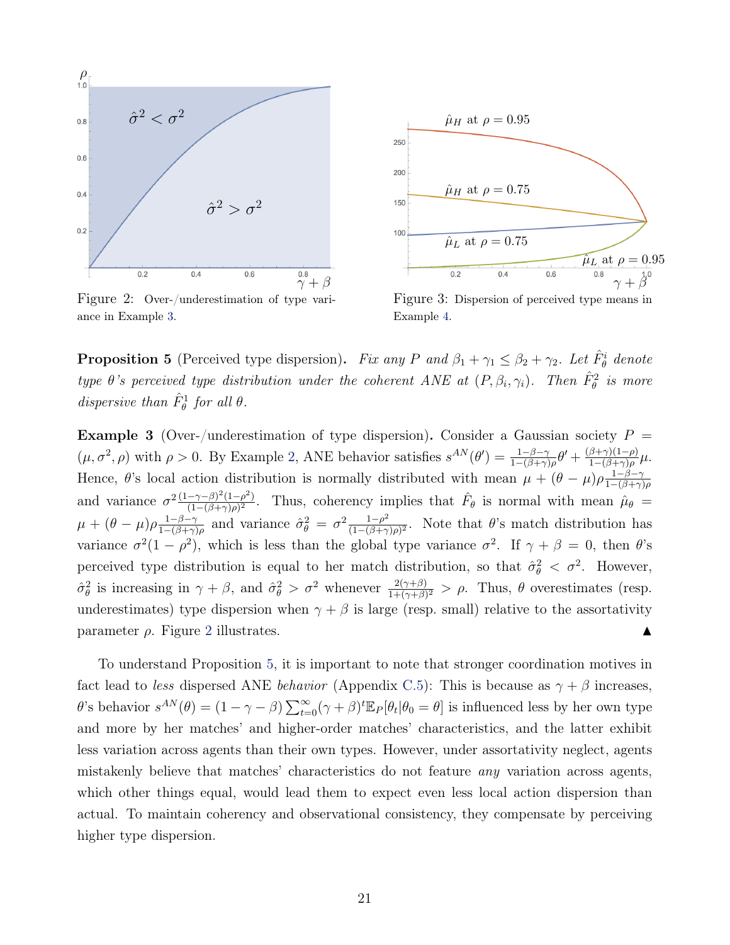<span id="page-20-1"></span>

Figure 2: Over-/underestimation of type variance in Example [3.](#page-20-0)



Figure 3: Dispersion of perceived type means in Example [4.](#page-22-0)

<span id="page-20-2"></span>**Proposition 5** (Perceived type dispersion). Fix any P and  $\beta_1 + \gamma_1 \leq \beta_2 + \gamma_2$ . Let  $\hat{F}^i_{\theta}$  denote type  $\theta$ 's perceived type distribution under the coherent ANE at  $(P, \beta_i, \gamma_i)$ . Then  $\hat{F}^2_{\theta}$  is more dispersive than  $\hat{F}^1_{\theta}$  for all  $\theta$ .

<span id="page-20-0"></span>**Example 3** (Over-/underestimation of type dispersion). Consider a Gaussian society  $P =$  $(\mu, \sigma^2, \rho)$  $(\mu, \sigma^2, \rho)$  $(\mu, \sigma^2, \rho)$  with  $\rho > 0$ . By Example 2, ANE behavior satisfies  $s^{AN}(\theta') = \frac{1-\beta-\gamma}{1-(\beta+\gamma)\rho} \theta' + \frac{(\beta+\gamma)(1-\rho)}{1-(\beta+\gamma)\rho}$  $\frac{\beta+\gamma(1-\rho)}{1-(\beta+\gamma)\rho}\mu.$ Hence,  $\theta$ 's local action distribution is normally distributed with mean  $\mu + (\theta - \mu)\rho \frac{1-\beta-\gamma}{1-(\beta+\gamma)}$  $1-(\beta+\gamma)\rho$ and variance  $\sigma^2 \frac{(1-\gamma-\beta)^2(1-\rho^2)}{(1-(\beta+\gamma)\rho)^2}$  $\frac{(-\gamma-\beta)^2(1-\rho^2)}{(1-(\beta+\gamma)\rho)^2}$ . Thus, coherency implies that  $\hat{F}_{\theta}$  is normal with mean  $\hat{\mu}_{\theta}$  =  $\mu + (\theta - \mu)\rho \frac{1-\beta-\gamma}{1-(\beta+\gamma)}$  $\frac{1-\beta-\gamma}{1-(\beta+\gamma)\rho}$  and variance  $\hat{\sigma}_{\theta}^2 = \sigma^2 \frac{1-\rho^2}{(1-(\beta+\gamma)\rho)}$  $\frac{1-\rho^2}{(1-(\beta+\gamma)\rho)^2}$ . Note that  $\theta$ 's match distribution has variance  $\sigma^2(1-\rho^2)$ , which is less than the global type variance  $\sigma^2$ . If  $\gamma + \beta = 0$ , then  $\theta$ 's perceived type distribution is equal to her match distribution, so that  $\hat{\sigma}_{\theta}^2 < \sigma^2$ . However,  $\hat{\sigma}_{\theta}^2$  is increasing in  $\gamma + \beta$ , and  $\hat{\sigma}_{\theta}^2 > \sigma^2$  whenever  $\frac{2(\gamma+\beta)}{1+(\gamma+\beta)^2} > \rho$ . Thus,  $\theta$  overestimates (resp. underestimates) type dispersion when  $\gamma + \beta$  is large (resp. small) relative to the assortativity parameter  $\rho$ . Figure [2](#page-20-1) illustrates.

To understand Proposition [5,](#page-20-2) it is important to note that stronger coordination motives in fact lead to less dispersed ANE behavior (Appendix [C.5\)](#page--1-2): This is because as  $\gamma + \beta$  increases,  $\theta$ 's behavior  $s^{AN}(\theta) = (1 - \gamma - \beta) \sum_{t=0}^{\infty} (\gamma + \beta)^t \mathbb{E}_P[\theta_t | \theta_0 = \theta]$  is influenced less by her own type and more by her matches' and higher-order matches' characteristics, and the latter exhibit less variation across agents than their own types. However, under assortativity neglect, agents mistakenly believe that matches' characteristics do not feature any variation across agents, which other things equal, would lead them to expect even less local action dispersion than actual. To maintain coherency and observational consistency, they compensate by perceiving higher type dispersion.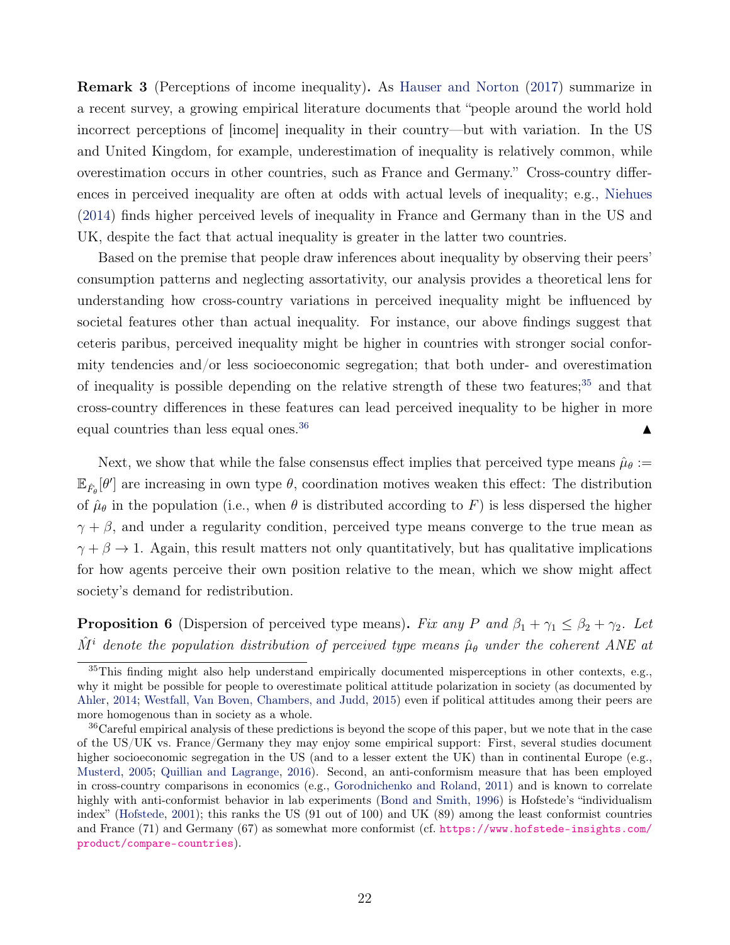Remark 3 (Perceptions of income inequality). As [Hauser and Norton](#page-42-8) [\(2017\)](#page-42-8) summarize in a recent survey, a growing empirical literature documents that "people around the world hold incorrect perceptions of [income] inequality in their country—but with variation. In the US and United Kingdom, for example, underestimation of inequality is relatively common, while overestimation occurs in other countries, such as France and Germany." Cross-country differences in perceived inequality are often at odds with actual levels of inequality; e.g., [Niehues](#page-43-10) [\(2014\)](#page-43-10) finds higher perceived levels of inequality in France and Germany than in the US and UK, despite the fact that actual inequality is greater in the latter two countries.

Based on the premise that people draw inferences about inequality by observing their peers' consumption patterns and neglecting assortativity, our analysis provides a theoretical lens for understanding how cross-country variations in perceived inequality might be influenced by societal features other than actual inequality. For instance, our above findings suggest that ceteris paribus, perceived inequality might be higher in countries with stronger social conformity tendencies and/or less socioeconomic segregation; that both under- and overestimation of inequality is possible depending on the relative strength of these two features; $35$  and that cross-country differences in these features can lead perceived inequality to be higher in more equal countries than less equal ones.<sup>[36](#page-21-1)</sup>  $\blacksquare$ 

Next, we show that while the false consensus effect implies that perceived type means  $\hat{\mu}_{\theta}$  :=  $\mathbb{E}_{\hat{F}_{\theta}}[\theta']$  are increasing in own type  $\theta$ , coordination motives weaken this effect: The distribution of  $\hat{\mu}_{\theta}$  in the population (i.e., when  $\theta$  is distributed according to F) is less dispersed the higher  $\gamma + \beta$ , and under a regularity condition, perceived type means converge to the true mean as  $\gamma + \beta \rightarrow 1$ . Again, this result matters not only quantitatively, but has qualitative implications for how agents perceive their own position relative to the mean, which we show might affect society's demand for redistribution.

<span id="page-21-2"></span>**Proposition 6** (Dispersion of perceived type means). Fix any P and  $\beta_1 + \gamma_1 \leq \beta_2 + \gamma_2$ . Let  $\hat{M}^i$  denote the population distribution of perceived type means  $\hat{\mu}_{\theta}$  under the coherent ANE at

<span id="page-21-0"></span><sup>35</sup>This finding might also help understand empirically documented misperceptions in other contexts, e.g., why it might be possible for people to overestimate political attitude polarization in society (as documented by [Ahler,](#page-40-6) [2014;](#page-40-6) [Westfall, Van Boven, Chambers, and Judd,](#page-44-13) [2015\)](#page-44-13) even if political attitudes among their peers are more homogenous than in society as a whole.

<span id="page-21-1"></span><sup>36</sup>Careful empirical analysis of these predictions is beyond the scope of this paper, but we note that in the case of the US/UK vs. France/Germany they may enjoy some empirical support: First, several studies document higher socioeconomic segregation in the US (and to a lesser extent the UK) than in continental Europe (e.g., [Musterd,](#page-43-11) [2005;](#page-43-11) [Quillian and Lagrange,](#page-44-14) [2016\)](#page-44-14). Second, an anti-conformism measure that has been employed in cross-country comparisons in economics (e.g., [Gorodnichenko and Roland,](#page-42-9) [2011\)](#page-42-9) and is known to correlate highly with anti-conformist behavior in lab experiments [\(Bond and Smith,](#page-41-14) [1996\)](#page-41-14) is Hofstede's "individualism index" [\(Hofstede,](#page-42-10) [2001\)](#page-42-10); this ranks the US (91 out of 100) and UK (89) among the least conformist countries and France (71) and Germany (67) as somewhat more conformist (cf. [https://www.hofstede-insights.com/](https://www.hofstede-insights.com/product/compare-countries) [product/compare-countries](https://www.hofstede-insights.com/product/compare-countries)).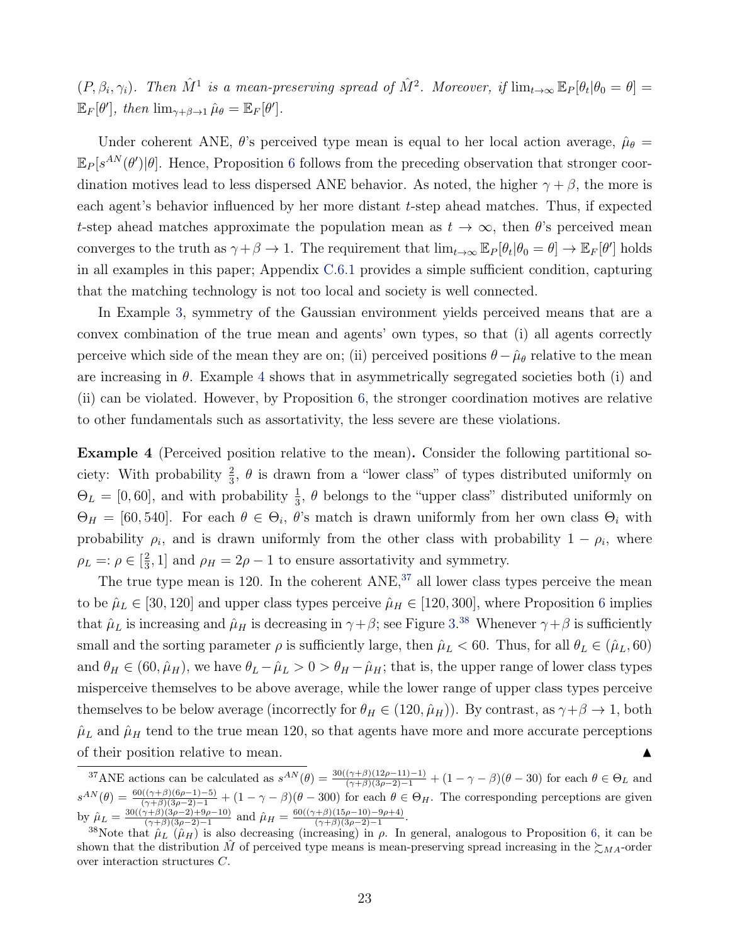$(P, \beta_i, \gamma_i)$ . Then  $\hat{M}^1$  is a mean-preserving spread of  $\hat{M}^2$ . Moreover, if  $\lim_{t\to\infty} \mathbb{E}_P[\theta_t | \theta_0 = \theta] =$  $\mathbb{E}_F[\theta'], \text{ then } \lim_{\gamma+\beta \to 1} \hat{\mu}_\theta = \mathbb{E}_F[\theta'].$ 

Under coherent ANE,  $\theta$ 's perceived type mean is equal to her local action average,  $\hat{\mu}_{\theta} =$  $\mathbb{E}_P[s^{AN}(\theta')|\theta]$ . Hence, Proposition [6](#page-21-2) follows from the preceding observation that stronger coordination motives lead to less dispersed ANE behavior. As noted, the higher  $\gamma + \beta$ , the more is each agent's behavior influenced by her more distant  $t$ -step ahead matches. Thus, if expected t-step ahead matches approximate the population mean as  $t \to \infty$ , then  $\theta$ 's perceived mean converges to the truth as  $\gamma + \beta \to 1$ . The requirement that  $\lim_{t\to\infty} \mathbb{E}_P[\theta_t | \theta_0 = \theta] \to \mathbb{E}_F[\theta']$  holds in all examples in this paper; Appendix [C.6.1](#page--1-3) provides a simple sufficient condition, capturing that the matching technology is not too local and society is well connected.

In Example [3,](#page-20-0) symmetry of the Gaussian environment yields perceived means that are a convex combination of the true mean and agents' own types, so that (i) all agents correctly perceive which side of the mean they are on; (ii) perceived positions  $\theta - \hat{\mu}_{\theta}$  relative to the mean are increasing in  $\theta$ . Example [4](#page-22-0) shows that in asymmetrically segregated societies both (i) and (ii) can be violated. However, by Proposition [6,](#page-21-2) the stronger coordination motives are relative to other fundamentals such as assortativity, the less severe are these violations.

<span id="page-22-0"></span>Example 4 (Perceived position relative to the mean). Consider the following partitional society: With probability  $\frac{2}{3}$ ,  $\theta$  is drawn from a "lower class" of types distributed uniformly on  $\Theta_L = [0, 60]$ , and with probability  $\frac{1}{3}$ ,  $\theta$  belongs to the "upper class" distributed uniformly on  $\Theta_H = [60, 540]$ . For each  $\theta \in \Theta_i$ ,  $\theta$ 's match is drawn uniformly from her own class  $\Theta_i$  with probability  $\rho_i$ , and is drawn uniformly from the other class with probability  $1 - \rho_i$ , where  $\rho_L =: \rho \in [\frac{2}{3}]$  $\frac{2}{3}$ , 1] and  $\rho_H = 2\rho - 1$  to ensure assortativity and symmetry.

The true type mean is 120. In the coherent  $ANE$ ,  $37$  all lower class types perceive the mean to be  $\hat{\mu}_L \in [30, 120]$  and upper class types perceive  $\hat{\mu}_H \in [120, 300]$ , where Proposition [6](#page-21-2) implies that  $\hat{\mu}_L$  is increasing and  $\hat{\mu}_H$  is decreasing in  $\gamma + \beta$ ; see Figure [3.](#page-20-1)<sup>[38](#page-22-2)</sup> Whenever  $\gamma + \beta$  is sufficiently small and the sorting parameter  $\rho$  is sufficiently large, then  $\hat{\mu}_L < 60$ . Thus, for all  $\theta_L \in (\hat{\mu}_L, 60)$ and  $\theta_H \in (60, \hat{\mu}_H)$ , we have  $\theta_L - \hat{\mu}_L > 0 > \theta_H - \hat{\mu}_H$ ; that is, the upper range of lower class types misperceive themselves to be above average, while the lower range of upper class types perceive themselves to be below average (incorrectly for  $\theta_H \in (120, \hat{\mu}_H)$ ). By contrast, as  $\gamma + \beta \to 1$ , both  $\hat{\mu}_L$  and  $\hat{\mu}_H$  tend to the true mean 120, so that agents have more and more accurate perceptions of their position relative to mean.

<span id="page-22-1"></span><sup>&</sup>lt;sup>37</sup>ANE actions can be calculated as  $s^{AN}(\theta) = \frac{30((\gamma+\beta)(12\rho-11)-1)}{(\gamma+\beta)(3\rho-2)-1} + (1-\gamma-\beta)(\theta-30)$  for each  $\theta \in \Theta_L$  and  $s^{AN}(\theta) = \frac{60((\gamma+\beta)(6\rho-1)-5)}{(\gamma+\beta)(3\rho-2)-1} + (1-\gamma-\beta)(\theta-300)$  for each  $\theta \in \Theta_H$ . The corresponding perceptions are given by  $\hat{\mu}_L = \frac{30((\gamma+\beta)(3\rho-2)+9\rho-10)}{(\gamma+\beta)(3\rho-2)-1}$  $\frac{\gamma(\gamma+\beta)(3\rho-2)+9\rho-10)}{(\gamma+\beta)(3\rho-2)-1}$  and  $\hat{\mu}_H = \frac{60((\gamma+\beta)(15\rho-10)-9\rho+4)}{(\gamma+\beta)(3\rho-2)-1}$  $\frac{(\gamma+\beta)(15\rho-10)-9\rho+4)}{(\gamma+\beta)(3\rho-2)-1}.$ 

<span id="page-22-2"></span><sup>&</sup>lt;sup>38</sup>Note that  $\hat{\mu}_L(\hat{\mu}_H)$  is also decreasing (increasing) in  $\rho$ . In general, analogous to Proposition [6,](#page-21-2) it can be shown that the distribution M of perceived type means is mean-preserving spread increasing in the  $\gtrsim_{MA}$ -order over interaction structures C.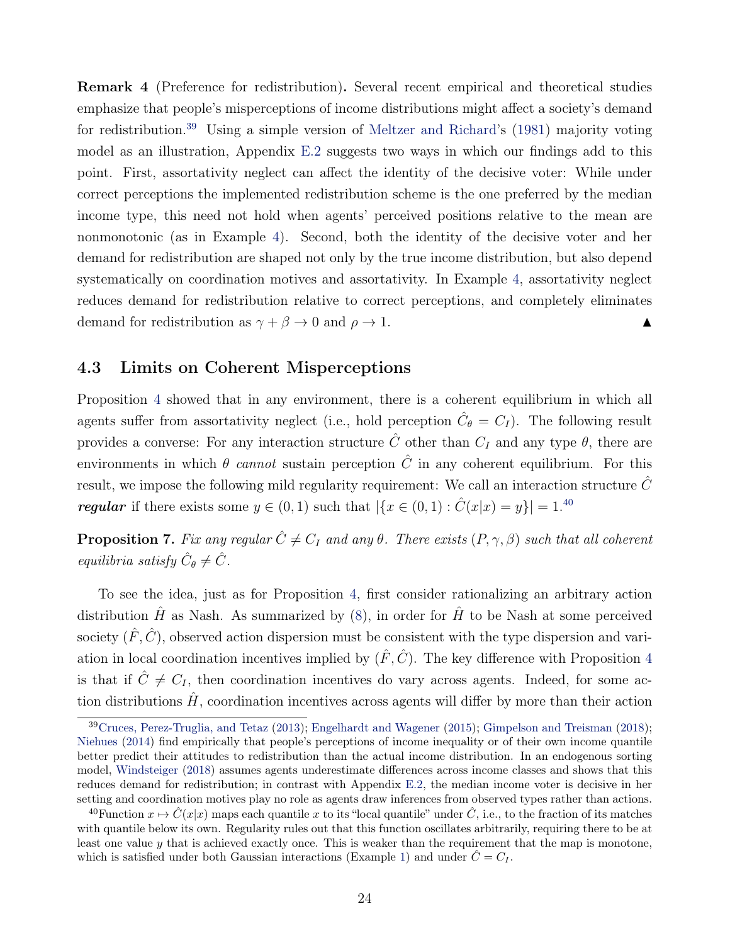Remark 4 (Preference for redistribution). Several recent empirical and theoretical studies emphasize that people's misperceptions of income distributions might affect a society's demand for redistribution.[39](#page-23-1) Using a simple version of [Meltzer and Richard'](#page-43-12)s [\(1981\)](#page-43-12) majority voting model as an illustration, Appendix [E.2](#page--1-4) suggests two ways in which our findings add to this point. First, assortativity neglect can affect the identity of the decisive voter: While under correct perceptions the implemented redistribution scheme is the one preferred by the median income type, this need not hold when agents' perceived positions relative to the mean are nonmonotonic (as in Example [4\)](#page-22-0). Second, both the identity of the decisive voter and her demand for redistribution are shaped not only by the true income distribution, but also depend systematically on coordination motives and assortativity. In Example [4,](#page-22-0) assortativity neglect reduces demand for redistribution relative to correct perceptions, and completely eliminates demand for redistribution as  $\gamma + \beta \to 0$  and  $\rho \to 1$ .

### <span id="page-23-0"></span>4.3 Limits on Coherent Misperceptions

Proposition [4](#page-18-1) showed that in any environment, there is a coherent equilibrium in which all agents suffer from assortativity neglect (i.e., hold perception  $\hat{C}_{\theta} = C_I$ ). The following result provides a converse: For any interaction structure  $\hat{C}$  other than  $C_I$  and any type  $\theta$ , there are environments in which  $\theta$  cannot sustain perception  $\hat{C}$  in any coherent equilibrium. For this result, we impose the following mild regularity requirement: We call an interaction structure  $\tilde{C}$ **regular** if there exists some  $y \in (0,1)$  such that  $|\{x \in (0,1): \hat{C}(x|x) = y\}| = 1^{40}$  $|\{x \in (0,1): \hat{C}(x|x) = y\}| = 1^{40}$  $|\{x \in (0,1): \hat{C}(x|x) = y\}| = 1^{40}$ 

<span id="page-23-3"></span>**Proposition 7.** Fix any regular  $\hat{C} \neq C_I$  and any  $\theta$ . There exists  $(P, \gamma, \beta)$  such that all coherent equilibria satisfy  $\hat{C}_{\theta} \neq \hat{C}$ .

To see the idea, just as for Proposition [4,](#page-18-1) first consider rationalizing an arbitrary action distribution  $\hat{H}$  as Nash. As summarized by [\(8\)](#page-18-2), in order for  $\hat{H}$  to be Nash at some perceived society  $(\hat{F}, \hat{C})$ , observed action dispersion must be consistent with the type dispersion and variation in local coordination incentives implied by  $(\hat{F}, \hat{C})$ . The key difference with Proposition [4](#page-18-1) is that if  $\hat{C} \neq C_I$ , then coordination incentives do vary across agents. Indeed, for some action distributions  $\hat{H}$ , coordination incentives across agents will differ by more than their action

<span id="page-23-1"></span><sup>39</sup>[Cruces, Perez-Truglia, and Tetaz](#page-41-13) [\(2013\)](#page-41-13); [Engelhardt and Wagener](#page-41-15) [\(2015\)](#page-41-15); [Gimpelson and Treisman](#page-42-11) [\(2018\)](#page-42-11); [Niehues](#page-43-10) [\(2014\)](#page-43-10) find empirically that people's perceptions of income inequality or of their own income quantile better predict their attitudes to redistribution than the actual income distribution. In an endogenous sorting model, [Windsteiger](#page-44-12) [\(2018\)](#page-44-12) assumes agents underestimate differences across income classes and shows that this reduces demand for redistribution; in contrast with Appendix [E.2,](#page--1-4) the median income voter is decisive in her setting and coordination motives play no role as agents draw inferences from observed types rather than actions.

<span id="page-23-2"></span><sup>&</sup>lt;sup>40</sup>Function  $x \mapsto \hat{C}(x|x)$  maps each quantile x to its "local quantile" under  $\hat{C}$ , i.e., to the fraction of its matches with quantile below its own. Regularity rules out that this function oscillates arbitrarily, requiring there to be at least one value y that is achieved exactly once. This is weaker than the requirement that the map is monotone, which is satisfied under both Gaussian interactions (Example [1\)](#page-7-5) and under  $\hat{C} = C_I$ .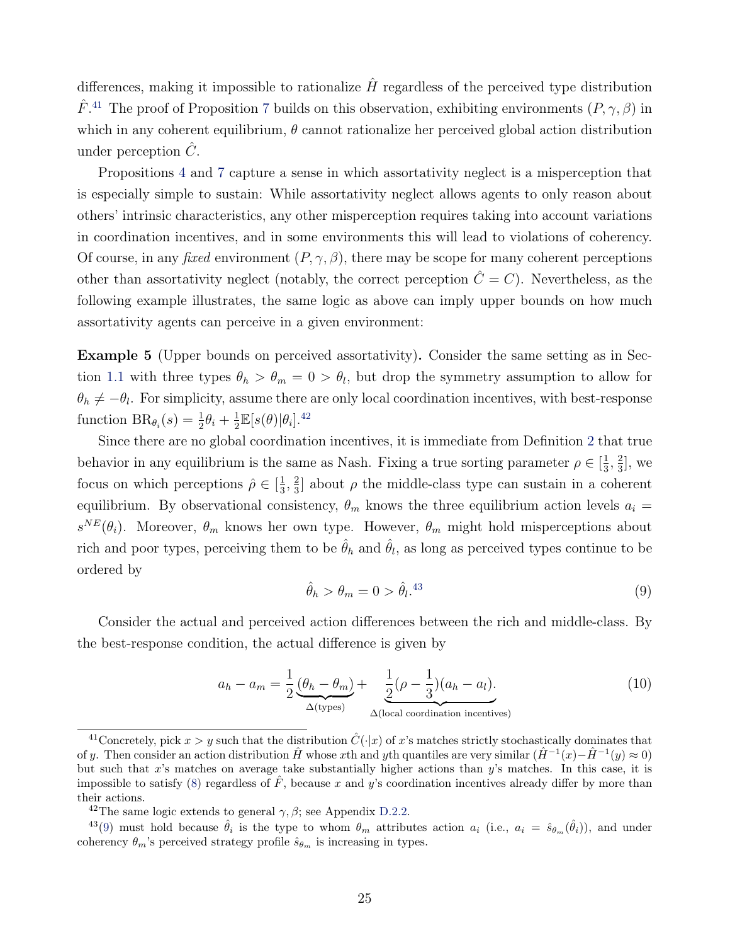differences, making it impossible to rationalize  $\hat{H}$  regardless of the perceived type distribution  $\hat{F}$ <sup>[41](#page-24-0)</sup>. The proof of Proposition [7](#page-23-3) builds on this observation, exhibiting environments  $(P, \gamma, \beta)$  in which in any coherent equilibrium,  $\theta$  cannot rationalize her perceived global action distribution under perception  $\tilde{C}$ .

Propositions [4](#page-18-1) and [7](#page-23-3) capture a sense in which assortativity neglect is a misperception that is especially simple to sustain: While assortativity neglect allows agents to only reason about others' intrinsic characteristics, any other misperception requires taking into account variations in coordination incentives, and in some environments this will lead to violations of coherency. Of course, in any fixed environment  $(P, \gamma, \beta)$ , there may be scope for many coherent perceptions other than assortativity neglect (notably, the correct perception  $\hat{C} = C$ ). Nevertheless, as the following example illustrates, the same logic as above can imply upper bounds on how much assortativity agents can perceive in a given environment:

<span id="page-24-5"></span>Example 5 (Upper bounds on perceived assortativity). Consider the same setting as in Sec-tion [1.1](#page-2-1) with three types  $\theta_h > \theta_m = 0 > \theta_l$ , but drop the symmetry assumption to allow for  $\theta_h \neq -\theta_l$ . For simplicity, assume there are only local coordination incentives, with best-response function  $BR_{\theta_i}(s) = \frac{1}{2}\theta_i + \frac{1}{2}$  $\frac{1}{2}\mathbb{E}[s(\theta)|\theta_i].^{42}$  $\frac{1}{2}\mathbb{E}[s(\theta)|\theta_i].^{42}$  $\frac{1}{2}\mathbb{E}[s(\theta)|\theta_i].^{42}$ 

Since there are no global coordination incentives, it is immediate from Definition [2](#page-9-2) that true behavior in any equilibrium is the same as Nash. Fixing a true sorting parameter  $\rho \in \left[\frac{1}{3}\right]$  $\frac{1}{3}, \frac{2}{3}$  $\frac{2}{3}$ , we focus on which perceptions  $\hat{\rho} \in \left[\frac{1}{3}\right]$  $\frac{1}{3}, \frac{2}{3}$  $\frac{2}{3}$  about  $\rho$  the middle-class type can sustain in a coherent equilibrium. By observational consistency,  $\theta_m$  knows the three equilibrium action levels  $a_i =$  $s^{NE}(\theta_i)$ . Moreover,  $\theta_m$  knows her own type. However,  $\theta_m$  might hold misperceptions about rich and poor types, perceiving them to be  $\hat{\theta}_h$  and  $\hat{\theta}_l$ , as long as perceived types continue to be ordered by

<span id="page-24-3"></span>
$$
\hat{\theta}_h > \theta_m = 0 > \hat{\theta}_l^{43} \tag{9}
$$

Consider the actual and perceived action differences between the rich and middle-class. By the best-response condition, the actual difference is given by

<span id="page-24-4"></span>
$$
a_h - a_m = \frac{1}{2} \underbrace{(\theta_h - \theta_m)}_{\Delta \text{(types)}} + \underbrace{\frac{1}{2} (\rho - \frac{1}{3}) (a_h - a_l)}_{\Delta \text{(local coordination incentives)}}.
$$
\n(10)

<span id="page-24-0"></span><sup>&</sup>lt;sup>41</sup>Concretely, pick  $x > y$  such that the distribution  $\hat{C}(\cdot|x)$  of x's matches strictly stochastically dominates that of y. Then consider an action distribution  $\hat{H}$  whose xth and yth quantiles are very similar  $(\hat{H}^{-1}(x) - \hat{H}^{-1}(y) \approx 0)$ but such that  $x$ 's matches on average take substantially higher actions than  $y$ 's matches. In this case, it is impossible to satisfy [\(8\)](#page-18-2) regardless of  $\hat{F}$ , because x and y's coordination incentives already differ by more than their actions.

<span id="page-24-2"></span><span id="page-24-1"></span><sup>&</sup>lt;sup>42</sup>The same logic extends to general  $\gamma$ ,  $\beta$ ; see Appendix [D.2.2.](#page--1-1)

<sup>&</sup>lt;sup>43</sup>[\(9\)](#page-24-3) must hold because  $\hat{\theta}_i$  is the type to whom  $\theta_m$  attributes action  $a_i$  (i.e.,  $a_i = \hat{s}_{\theta_m}(\hat{\theta}_i)$ ), and under coherency  $\theta_m$ 's perceived strategy profile  $\hat{s}_{\theta_m}$  is increasing in types.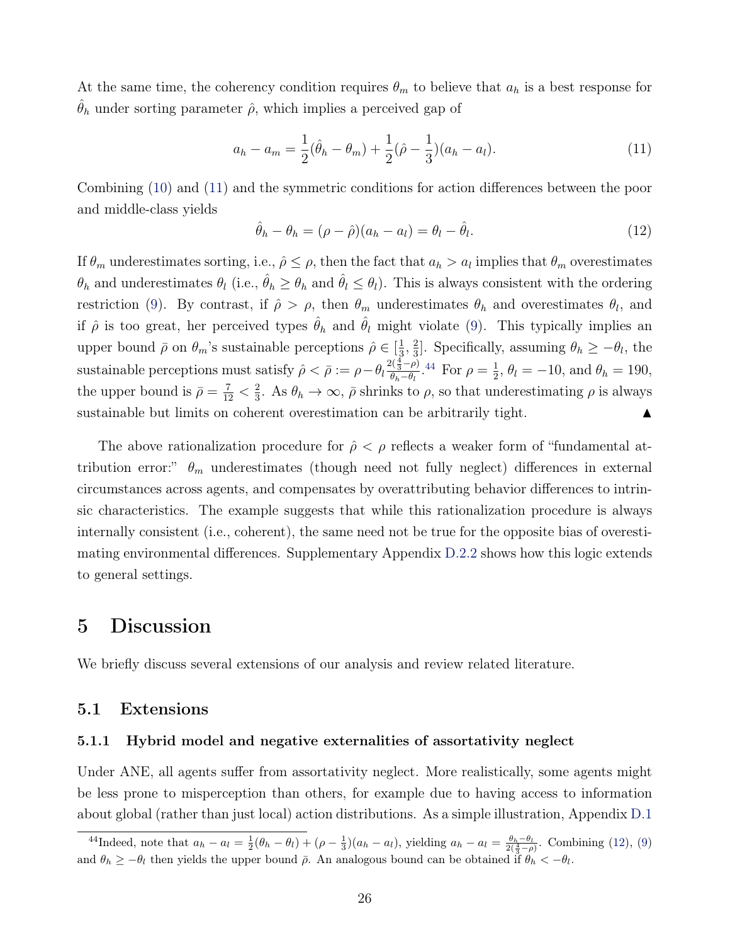At the same time, the coherency condition requires  $\theta_m$  to believe that  $a_h$  is a best response for  $\hat{\theta}_h$  under sorting parameter  $\hat{\rho}$ , which implies a perceived gap of

<span id="page-25-2"></span>
$$
a_h - a_m = \frac{1}{2}(\hat{\theta}_h - \theta_m) + \frac{1}{2}(\hat{\rho} - \frac{1}{3})(a_h - a_l). \tag{11}
$$

Combining [\(10\)](#page-24-4) and [\(11\)](#page-25-2) and the symmetric conditions for action differences between the poor and middle-class yields

<span id="page-25-4"></span>
$$
\hat{\theta}_h - \theta_h = (\rho - \hat{\rho})(a_h - a_l) = \theta_l - \hat{\theta}_l. \tag{12}
$$

If  $\theta_m$  underestimates sorting, i.e.,  $\hat{\rho} \leq \rho$ , then the fact that  $a_h > a_l$  implies that  $\theta_m$  overestimates  $\theta_h$  and underestimates  $\theta_l$  (i.e.,  $\hat{\theta}_h \ge \theta_h$  and  $\hat{\theta}_l \le \theta_l$ ). This is always consistent with the ordering restriction [\(9\)](#page-24-3). By contrast, if  $\hat{\rho} > \rho$ , then  $\theta_m$  underestimates  $\theta_h$  and overestimates  $\theta_l$ , and if  $\hat{\rho}$  is too great, her perceived types  $\hat{\theta}_h$  and  $\hat{\theta}_l$  might violate [\(9\)](#page-24-3). This typically implies an upper bound  $\bar{\rho}$  on  $\theta_m$ 's sustainable perceptions  $\hat{\rho} \in \left[\frac{1}{3}\right]$  $\frac{1}{3}, \frac{2}{3}$ <sup>2</sup>/<sub>3</sub>. Specifically, assuming  $\theta_h \geq -\theta_l$ , the sustainable perceptions must satisfy  $\hat{\rho} < \bar{\rho} := \rho - \theta_l \frac{2(\frac{4}{3} - \rho)}{\theta_L - \theta_L}$  $\frac{\partial (\frac{1}{3} - \rho)}{\partial_h - \theta_l}$ .<sup>[44](#page-25-3)</sup> For  $\rho = \frac{1}{2}$  $\frac{1}{2}$ ,  $\theta_l = -10$ , and  $\theta_h = 190$ , the upper bound is  $\bar{\rho} = \frac{7}{12} < \frac{2}{3}$  $\frac{2}{3}$ . As  $\theta_h \to \infty$ ,  $\bar{\rho}$  shrinks to  $\rho$ , so that underestimating  $\rho$  is always sustainable but limits on coherent overestimation can be arbitrarily tight.

The above rationalization procedure for  $\hat{\rho} < \rho$  reflects a weaker form of "fundamental attribution error:"  $\theta_m$  underestimates (though need not fully neglect) differences in external circumstances across agents, and compensates by overattributing behavior differences to intrinsic characteristics. The example suggests that while this rationalization procedure is always internally consistent (i.e., coherent), the same need not be true for the opposite bias of overestimating environmental differences. Supplementary Appendix [D.2.2](#page--1-1) shows how this logic extends to general settings.

## <span id="page-25-0"></span>5 Discussion

We briefly discuss several extensions of our analysis and review related literature.

### 5.1 Extensions

#### <span id="page-25-1"></span>5.1.1 Hybrid model and negative externalities of assortativity neglect

Under ANE, all agents suffer from assortativity neglect. More realistically, some agents might be less prone to misperception than others, for example due to having access to information about global (rather than just local) action distributions. As a simple illustration, Appendix [D.1](#page--1-5)

<span id="page-25-3"></span><sup>&</sup>lt;sup>44</sup>Indeed, note that  $a_h - a_l = \frac{1}{2}(\theta_h - \theta_l) + (\rho - \frac{1}{3})(a_h - a_l)$ , yielding  $a_h - a_l = \frac{\theta_h - \theta_l}{2(\frac{4}{3} - \rho)}$ . Combining [\(12\)](#page-25-4), [\(9\)](#page-24-3) and  $\theta_h \geq -\theta_l$  then yields the upper bound  $\bar{\rho}$ . An analogous bound can be obtained if  $\theta_h < -\theta_l$ .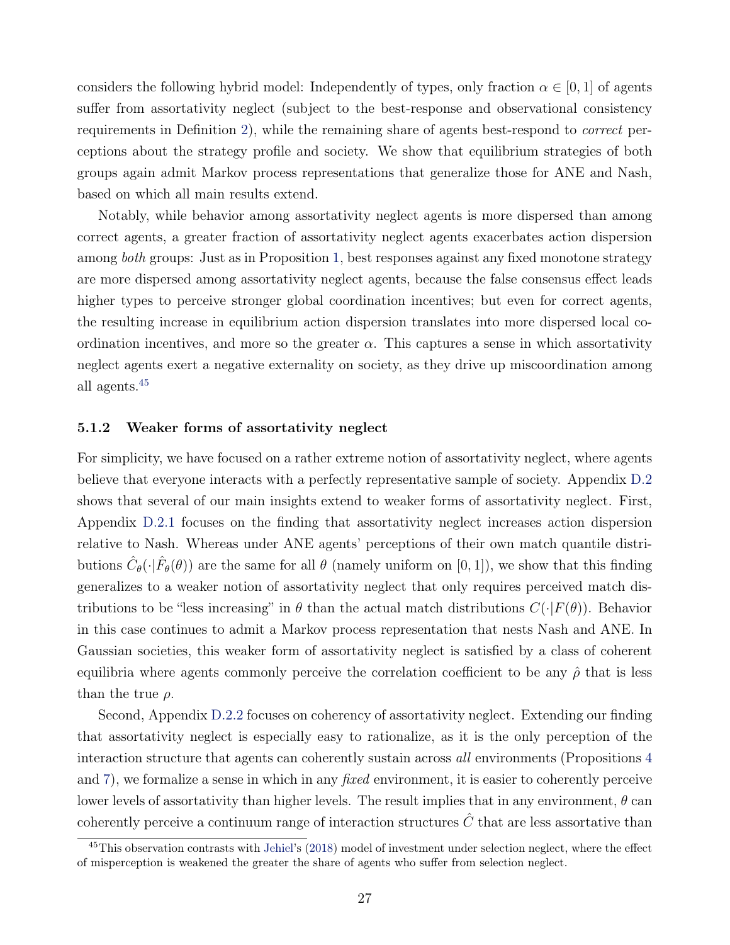considers the following hybrid model: Independently of types, only fraction  $\alpha \in [0,1]$  of agents suffer from assortativity neglect (subject to the best-response and observational consistency requirements in Definition [2\)](#page-9-2), while the remaining share of agents best-respond to correct perceptions about the strategy profile and society. We show that equilibrium strategies of both groups again admit Markov process representations that generalize those for ANE and Nash, based on which all main results extend.

Notably, while behavior among assortativity neglect agents is more dispersed than among correct agents, a greater fraction of assortativity neglect agents exacerbates action dispersion among *both* groups: Just as in Proposition [1,](#page-13-4) best responses against any fixed monotone strategy are more dispersed among assortativity neglect agents, because the false consensus effect leads higher types to perceive stronger global coordination incentives; but even for correct agents, the resulting increase in equilibrium action dispersion translates into more dispersed local coordination incentives, and more so the greater  $\alpha$ . This captures a sense in which assortativity neglect agents exert a negative externality on society, as they drive up miscoordination among all agents.[45](#page-26-1)

#### <span id="page-26-0"></span>5.1.2 Weaker forms of assortativity neglect

For simplicity, we have focused on a rather extreme notion of assortativity neglect, where agents believe that everyone interacts with a perfectly representative sample of society. Appendix [D.2](#page--1-6) shows that several of our main insights extend to weaker forms of assortativity neglect. First, Appendix [D.2.1](#page--1-7) focuses on the finding that assortativity neglect increases action dispersion relative to Nash. Whereas under ANE agents' perceptions of their own match quantile distributions  $\hat{C}_{\theta}(\cdot|\hat{F}_{\theta}(\theta))$  are the same for all  $\theta$  (namely uniform on [0, 1]), we show that this finding generalizes to a weaker notion of assortativity neglect that only requires perceived match distributions to be "less increasing" in  $\theta$  than the actual match distributions  $C(\cdot|F(\theta))$ . Behavior in this case continues to admit a Markov process representation that nests Nash and ANE. In Gaussian societies, this weaker form of assortativity neglect is satisfied by a class of coherent equilibria where agents commonly perceive the correlation coefficient to be any  $\hat{\rho}$  that is less than the true  $\rho$ .

Second, Appendix [D.2.2](#page--1-1) focuses on coherency of assortativity neglect. Extending our finding that assortativity neglect is especially easy to rationalize, as it is the only perception of the interaction structure that agents can coherently sustain across all environments (Propositions [4](#page-18-1) and [7\)](#page-23-3), we formalize a sense in which in any fixed environment, it is easier to coherently perceive lower levels of assortativity than higher levels. The result implies that in any environment,  $\theta$  can coherently perceive a continuum range of interaction structures  $\hat{C}$  that are less assortative than

<span id="page-26-1"></span><sup>&</sup>lt;sup>45</sup>This observation contrasts with [Jehiel'](#page-43-13)s [\(2018\)](#page-43-13) model of investment under selection neglect, where the effect of misperception is weakened the greater the share of agents who suffer from selection neglect.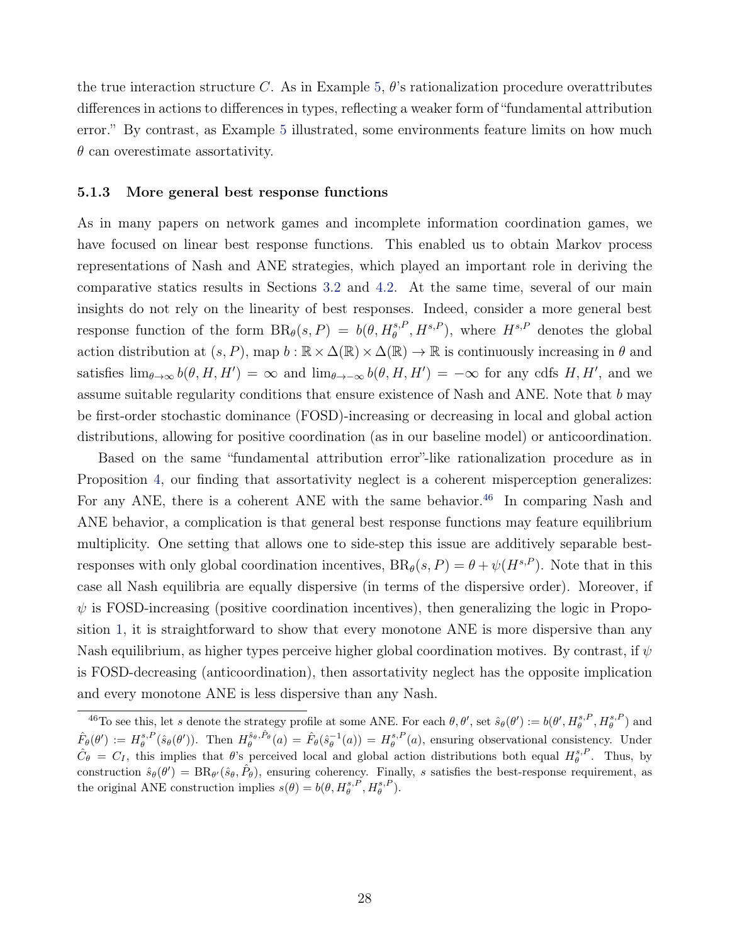the true interaction structure C. As in Example [5,](#page-24-5)  $\theta$ 's rationalization procedure overattributes differences in actions to differences in types, reflecting a weaker form of "fundamental attribution error." By contrast, as Example [5](#page-24-5) illustrated, some environments feature limits on how much  $\theta$  can overestimate assortativity.

#### <span id="page-27-0"></span>5.1.3 More general best response functions

As in many papers on network games and incomplete information coordination games, we have focused on linear best response functions. This enabled us to obtain Markov process representations of Nash and ANE strategies, which played an important role in deriving the comparative statics results in Sections [3.2](#page-14-3) and [4.2.](#page-19-0) At the same time, several of our main insights do not rely on the linearity of best responses. Indeed, consider a more general best response function of the form  $BR_{\theta}(s, P) = b(\theta, H_{\theta}^{s, P}, H^{s, P})$ , where  $H^{s, P}$  denotes the global action distribution at  $(s, P)$ , map  $b : \mathbb{R} \times \Delta(\mathbb{R}) \times \Delta(\mathbb{R}) \rightarrow \mathbb{R}$  is continuously increasing in  $\theta$  and satisfies  $\lim_{\theta\to\infty} b(\theta, H, H') = \infty$  and  $\lim_{\theta\to-\infty} b(\theta, H, H') = -\infty$  for any cdfs H, H', and we assume suitable regularity conditions that ensure existence of Nash and ANE. Note that  $b$  may be first-order stochastic dominance (FOSD)-increasing or decreasing in local and global action distributions, allowing for positive coordination (as in our baseline model) or anticoordination.

Based on the same "fundamental attribution error"-like rationalization procedure as in Proposition [4,](#page-18-1) our finding that assortativity neglect is a coherent misperception generalizes: For any ANE, there is a coherent ANE with the same behavior.<sup>[46](#page-27-1)</sup> In comparing Nash and ANE behavior, a complication is that general best response functions may feature equilibrium multiplicity. One setting that allows one to side-step this issue are additively separable bestresponses with only global coordination incentives,  $BR_{\theta}(s, P) = \theta + \psi(H^{s, P})$ . Note that in this case all Nash equilibria are equally dispersive (in terms of the dispersive order). Moreover, if  $\psi$  is FOSD-increasing (positive coordination incentives), then generalizing the logic in Proposition [1,](#page-13-4) it is straightforward to show that every monotone ANE is more dispersive than any Nash equilibrium, as higher types perceive higher global coordination motives. By contrast, if  $\psi$ is FOSD-decreasing (anticoordination), then assortativity neglect has the opposite implication and every monotone ANE is less dispersive than any Nash.

<span id="page-27-1"></span><sup>&</sup>lt;sup>46</sup>To see this, let s denote the strategy profile at some ANE. For each  $\theta$ ,  $\theta'$ , set  $\hat{s}_{\theta}(\theta') := b(\theta', H_{\theta}^{s,P}, H_{\theta}^{s,P})$  and  $\hat{F}_{\theta}(\theta') := H_{\theta}^{s,P}(\hat{s}_{\theta}(\theta'))$ . Then  $H_{\theta}^{\hat{s}_{\theta},\hat{P}_{\theta}}(a) = \hat{F}_{\theta}(\hat{s}_{\theta}^{-1}(a)) = H_{\theta}^{s,P}(a)$ , ensuring observational consistency. Under  $\hat{C}_{\theta} = C_I$ , this implies that  $\theta$ 's perceived local and global action distributions both equal  $H_{\theta}^{s,P}$ . Thus, by construction  $\hat{s}_{\theta}(\theta') = BR_{\theta'}(\hat{s}_{\theta}, \hat{P}_{\theta})$ , ensuring coherency. Finally, s satisfies the best-response requirement, as the original ANE construction implies  $s(\theta) = b(\theta, H_{\theta}^{s,P}, H_{\theta}^{s,P}).$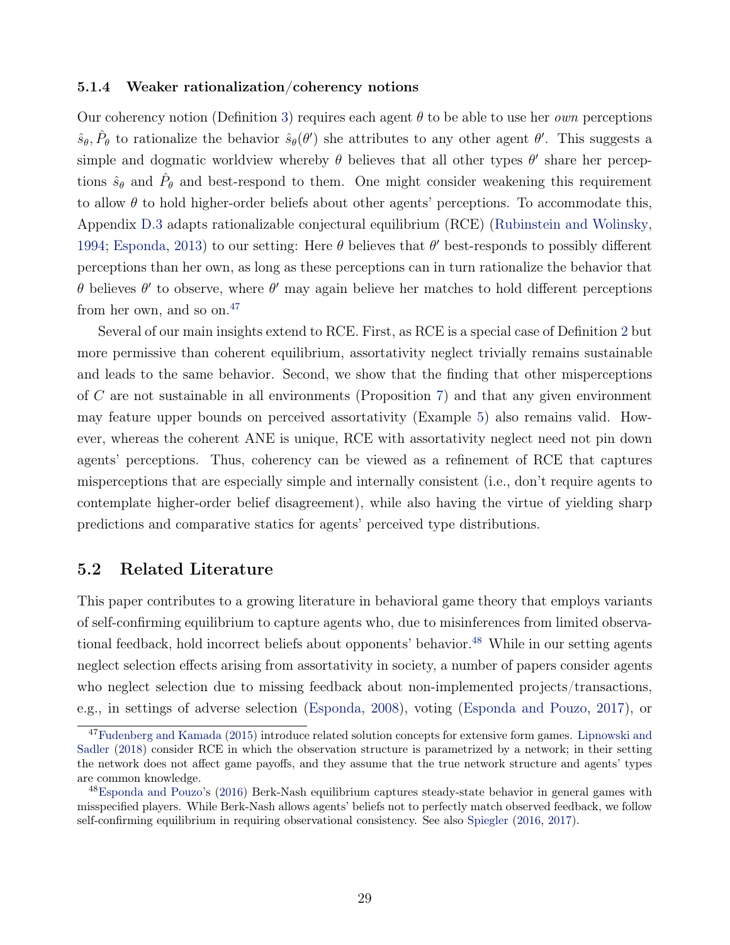#### <span id="page-28-1"></span>5.1.4 Weaker rationalization/coherency notions

Our coherency notion (Definition [3\)](#page-10-0) requires each agent  $\theta$  to be able to use her *own* perceptions  $\hat{s}_{\theta}$ ,  $\hat{P}_{\theta}$  to rationalize the behavior  $\hat{s}_{\theta}(\theta')$  she attributes to any other agent  $\theta'$ . This suggests a simple and dogmatic worldview whereby  $\theta$  believes that all other types  $\theta'$  share her perceptions  $\hat{s}_{\theta}$  and  $\hat{P}_{\theta}$  and best-respond to them. One might consider weakening this requirement to allow  $\theta$  to hold higher-order beliefs about other agents' perceptions. To accommodate this, Appendix [D.3](#page--1-8) adapts rationalizable conjectural equilibrium (RCE) [\(Rubinstein and Wolinsky,](#page-44-4) [1994;](#page-44-4) [Esponda,](#page-42-6) [2013\)](#page-42-6) to our setting: Here  $\theta$  believes that  $\theta'$  best-responds to possibly different perceptions than her own, as long as these perceptions can in turn rationalize the behavior that θ believes θ' to observe, where θ' may again believe her matches to hold different perceptions from her own, and so on. $47$ 

Several of our main insights extend to RCE. First, as RCE is a special case of Definition [2](#page-9-2) but more permissive than coherent equilibrium, assortativity neglect trivially remains sustainable and leads to the same behavior. Second, we show that the finding that other misperceptions of C are not sustainable in all environments (Proposition [7\)](#page-23-3) and that any given environment may feature upper bounds on perceived assortativity (Example [5\)](#page-24-5) also remains valid. However, whereas the coherent ANE is unique, RCE with assortativity neglect need not pin down agents' perceptions. Thus, coherency can be viewed as a refinement of RCE that captures misperceptions that are especially simple and internally consistent (i.e., don't require agents to contemplate higher-order belief disagreement), while also having the virtue of yielding sharp predictions and comparative statics for agents' perceived type distributions.

### <span id="page-28-0"></span>5.2 Related Literature

This paper contributes to a growing literature in behavioral game theory that employs variants of self-confirming equilibrium to capture agents who, due to misinferences from limited observa-tional feedback, hold incorrect beliefs about opponents' behavior.<sup>[48](#page-28-3)</sup> While in our setting agents neglect selection effects arising from assortativity in society, a number of papers consider agents who neglect selection due to missing feedback about non-implemented projects/transactions, e.g., in settings of adverse selection [\(Esponda,](#page-42-12) [2008\)](#page-42-12), voting [\(Esponda and Pouzo,](#page-42-13) [2017\)](#page-42-13), or

<span id="page-28-2"></span><sup>&</sup>lt;sup>47</sup>[Fudenberg and Kamada](#page-42-14) [\(2015\)](#page-42-14) introduce related solution concepts for extensive form games. [Lipnowski and](#page-43-14) [Sadler](#page-43-14) [\(2018\)](#page-43-14) consider RCE in which the observation structure is parametrized by a network; in their setting the network does not affect game payoffs, and they assume that the true network structure and agents' types are common knowledge.

<span id="page-28-3"></span><sup>48</sup>[Esponda and Pouzo'](#page-42-15)s [\(2016\)](#page-42-15) Berk-Nash equilibrium captures steady-state behavior in general games with misspecified players. While Berk-Nash allows agents' beliefs not to perfectly match observed feedback, we follow self-confirming equilibrium in requiring observational consistency. See also [Spiegler](#page-44-15) [\(2016,](#page-44-15) [2017\)](#page-44-16).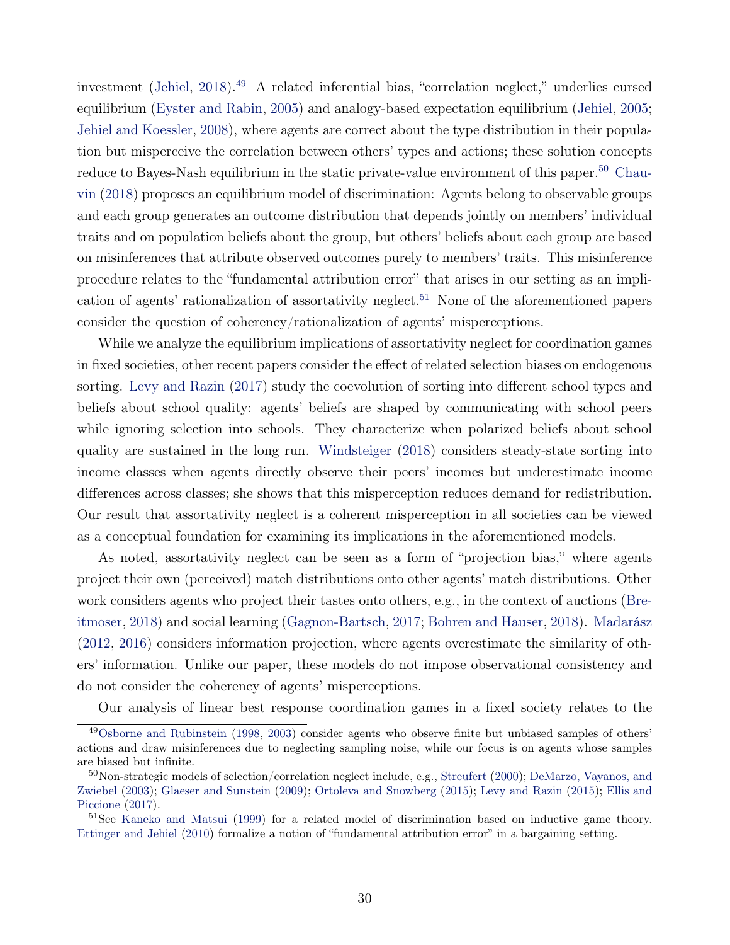investment [\(Jehiel,](#page-43-13) [2018\)](#page-43-13).<sup>[49](#page-29-0)</sup> A related inferential bias, "correlation neglect," underlies cursed equilibrium [\(Eyster and Rabin,](#page-42-5) [2005\)](#page-42-5) and analogy-based expectation equilibrium [\(Jehiel,](#page-43-5) [2005;](#page-43-5) [Jehiel and Koessler,](#page-43-6) [2008\)](#page-43-6), where agents are correct about the type distribution in their population but misperceive the correlation between others' types and actions; these solution concepts reduce to Bayes-Nash equilibrium in the static private-value environment of this paper.<sup>[50](#page-29-1)</sup> [Chau](#page-41-16)[vin](#page-41-16) [\(2018\)](#page-41-16) proposes an equilibrium model of discrimination: Agents belong to observable groups and each group generates an outcome distribution that depends jointly on members' individual traits and on population beliefs about the group, but others' beliefs about each group are based on misinferences that attribute observed outcomes purely to members' traits. This misinference procedure relates to the "fundamental attribution error" that arises in our setting as an impli-cation of agents' rationalization of assortativity neglect.<sup>[51](#page-29-2)</sup> None of the aforementioned papers consider the question of coherency/rationalization of agents' misperceptions.

While we analyze the equilibrium implications of assortativity neglect for coordination games in fixed societies, other recent papers consider the effect of related selection biases on endogenous sorting. [Levy and Razin](#page-43-15) [\(2017\)](#page-43-15) study the coevolution of sorting into different school types and beliefs about school quality: agents' beliefs are shaped by communicating with school peers while ignoring selection into schools. They characterize when polarized beliefs about school quality are sustained in the long run. [Windsteiger](#page-44-12) [\(2018\)](#page-44-12) considers steady-state sorting into income classes when agents directly observe their peers' incomes but underestimate income differences across classes; she shows that this misperception reduces demand for redistribution. Our result that assortativity neglect is a coherent misperception in all societies can be viewed as a conceptual foundation for examining its implications in the aforementioned models.

As noted, assortativity neglect can be seen as a form of "projection bias," where agents project their own (perceived) match distributions onto other agents' match distributions. Other work considers agents who project their tastes onto others, e.g., in the context of auctions [\(Bre](#page-41-17)[itmoser,](#page-41-17) [2018\)](#page-41-17) and social learning [\(Gagnon-Bartsch,](#page-42-16) [2017;](#page-42-16) [Bohren and Hauser,](#page-41-18) [2018\)](#page-41-18). [Madarász](#page-43-16) [\(2012,](#page-43-16) [2016\)](#page-43-17) considers information projection, where agents overestimate the similarity of others' information. Unlike our paper, these models do not impose observational consistency and do not consider the coherency of agents' misperceptions.

<span id="page-29-0"></span>Our analysis of linear best response coordination games in a fixed society relates to the

<sup>49</sup>[Osborne and Rubinstein](#page-44-17) [\(1998,](#page-44-17) [2003\)](#page-44-18) consider agents who observe finite but unbiased samples of others' actions and draw misinferences due to neglecting sampling noise, while our focus is on agents whose samples are biased but infinite.

<span id="page-29-1"></span><sup>&</sup>lt;sup>50</sup>Non-strategic models of selection/correlation neglect include, e.g., [Streufert](#page-44-8) [\(2000\)](#page-44-8); [DeMarzo, Vayanos, and](#page-41-19) [Zwiebel](#page-41-19) [\(2003\)](#page-41-19); [Glaeser and Sunstein](#page-42-17) [\(2009\)](#page-42-17); [Ortoleva and Snowberg](#page-43-18) [\(2015\)](#page-43-18); [Levy and Razin](#page-43-19) [\(2015\)](#page-43-19); [Ellis and](#page-41-20) [Piccione](#page-41-20) [\(2017\)](#page-41-20).

<span id="page-29-2"></span><sup>&</sup>lt;sup>51</sup>See [Kaneko and Matsui](#page-43-20) [\(1999\)](#page-43-20) for a related model of discrimination based on inductive game theory. [Ettinger and Jehiel](#page-42-18) [\(2010\)](#page-42-18) formalize a notion of "fundamental attribution error" in a bargaining setting.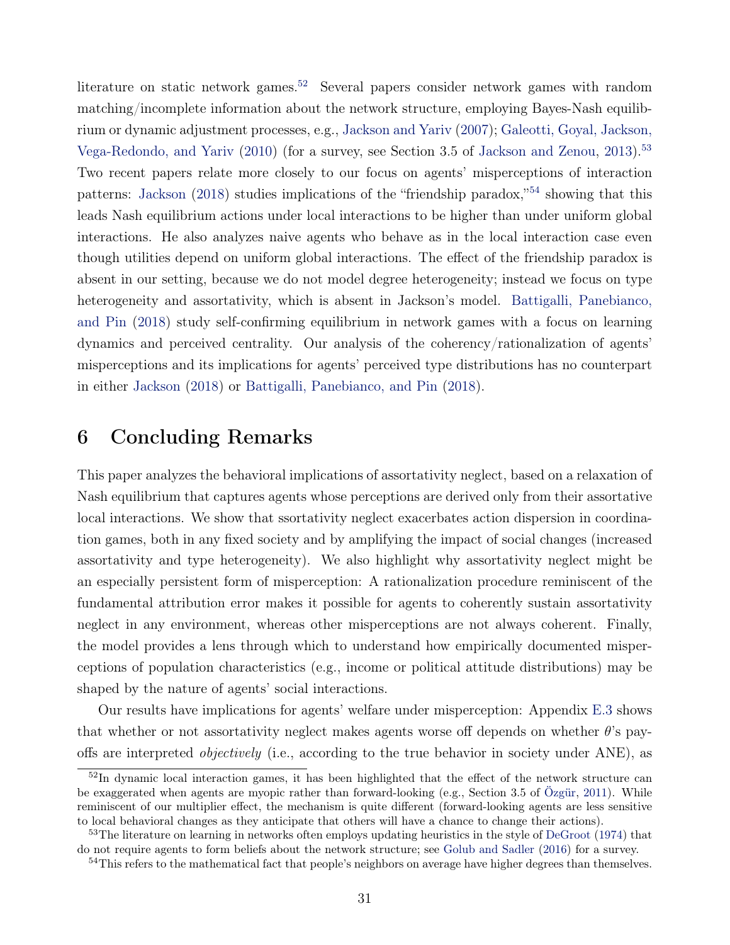literature on static network games.<sup>[52](#page-30-1)</sup> Several papers consider network games with random matching/incomplete information about the network structure, employing Bayes-Nash equilibrium or dynamic adjustment processes, e.g., [Jackson and Yariv](#page-43-21) [\(2007\)](#page-43-21); [Galeotti, Goyal, Jackson,](#page-42-19) [Vega-Redondo, and Yariv](#page-42-19) [\(2010\)](#page-42-19) (for a survey, see Section 3.5 of [Jackson and Zenou,](#page-43-3) [2013\)](#page-43-3).<sup>[53](#page-30-2)</sup> Two recent papers relate more closely to our focus on agents' misperceptions of interaction patterns: [Jackson](#page-43-22) [\(2018\)](#page-43-22) studies implications of the "friendship paradox,"<sup>[54](#page-30-3)</sup> showing that this leads Nash equilibrium actions under local interactions to be higher than under uniform global interactions. He also analyzes naive agents who behave as in the local interaction case even though utilities depend on uniform global interactions. The effect of the friendship paradox is absent in our setting, because we do not model degree heterogeneity; instead we focus on type heterogeneity and assortativity, which is absent in Jackson's model. [Battigalli, Panebianco,](#page-40-7) [and Pin](#page-40-7) [\(2018\)](#page-40-7) study self-confirming equilibrium in network games with a focus on learning dynamics and perceived centrality. Our analysis of the coherency/rationalization of agents' misperceptions and its implications for agents' perceived type distributions has no counterpart in either [Jackson](#page-43-22) [\(2018\)](#page-43-22) or [Battigalli, Panebianco, and Pin](#page-40-7) [\(2018\)](#page-40-7).

## <span id="page-30-0"></span>6 Concluding Remarks

This paper analyzes the behavioral implications of assortativity neglect, based on a relaxation of Nash equilibrium that captures agents whose perceptions are derived only from their assortative local interactions. We show that ssortativity neglect exacerbates action dispersion in coordination games, both in any fixed society and by amplifying the impact of social changes (increased assortativity and type heterogeneity). We also highlight why assortativity neglect might be an especially persistent form of misperception: A rationalization procedure reminiscent of the fundamental attribution error makes it possible for agents to coherently sustain assortativity neglect in any environment, whereas other misperceptions are not always coherent. Finally, the model provides a lens through which to understand how empirically documented misperceptions of population characteristics (e.g., income or political attitude distributions) may be shaped by the nature of agents' social interactions.

Our results have implications for agents' welfare under misperception: Appendix [E.3](#page--1-9) shows that whether or not assortativity neglect makes agents worse off depends on whether  $\theta$ 's payoffs are interpreted objectively (i.e., according to the true behavior in society under ANE), as

<span id="page-30-1"></span> $52$ In dynamic local interaction games, it has been highlighted that the effect of the network structure can be exaggerated when agents are myopic rather than forward-looking (e.g., Section 3.5 of [Özgür,](#page-44-19) [2011\)](#page-44-19). While reminiscent of our multiplier effect, the mechanism is quite different (forward-looking agents are less sensitive to local behavioral changes as they anticipate that others will have a chance to change their actions).

<span id="page-30-2"></span><sup>53</sup>The literature on learning in networks often employs updating heuristics in the style of [DeGroot](#page-41-21) [\(1974\)](#page-41-21) that do not require agents to form beliefs about the network structure; see [Golub and Sadler](#page-42-20) [\(2016\)](#page-42-20) for a survey.

<span id="page-30-3"></span><sup>54</sup>This refers to the mathematical fact that people's neighbors on average have higher degrees than themselves.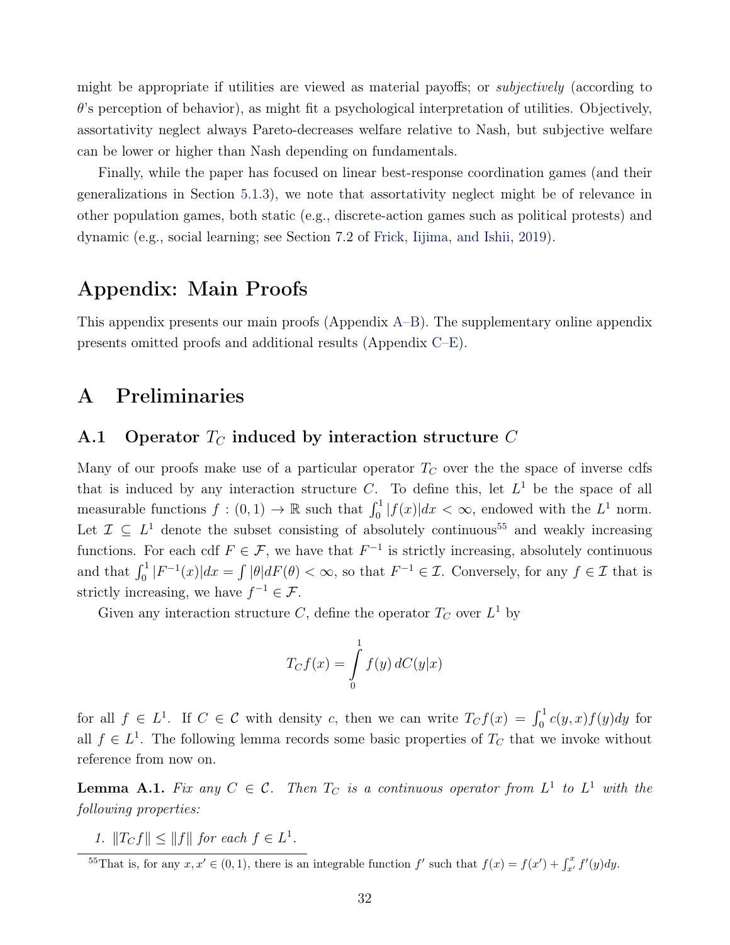might be appropriate if utilities are viewed as material payoffs; or subjectively (according to  $\theta$ 's perception of behavior), as might fit a psychological interpretation of utilities. Objectively, assortativity neglect always Pareto-decreases welfare relative to Nash, but subjective welfare can be lower or higher than Nash depending on fundamentals.

Finally, while the paper has focused on linear best-response coordination games (and their generalizations in Section [5.1.3\)](#page-27-0), we note that assortativity neglect might be of relevance in other population games, both static (e.g., discrete-action games such as political protests) and dynamic (e.g., social learning; see Section 7.2 of [Frick, Iijima, and Ishii,](#page-42-21) [2019\)](#page-42-21).

## Appendix: Main Proofs

This appendix presents our main proofs (Appendix [A–](#page-31-0)[B\)](#page-33-1). The supplementary online appendix presents omitted proofs and additional results (Appendix [C–](#page--1-10)[E\)](#page--1-11).

## <span id="page-31-0"></span>A Preliminaries

## A.1 Operator  $T_C$  induced by interaction structure C

Many of our proofs make use of a particular operator  $T<sub>C</sub>$  over the the space of inverse cdfs that is induced by any interaction structure C. To define this, let  $L^1$  be the space of all measurable functions  $f : (0,1) \to \mathbb{R}$  such that  $\int_0^1 |f(x)| dx < \infty$ , endowed with the  $L^1$  norm. Let  $\mathcal{I} \subseteq L^1$  denote the subset consisting of absolutely continuous<sup>[55](#page-31-1)</sup> and weakly increasing functions. For each cdf  $F \in \mathcal{F}$ , we have that  $F^{-1}$  is strictly increasing, absolutely continuous and that  $\int_0^1 |F^{-1}(x)| dx = \int |\theta| dF(\theta) < \infty$ , so that  $F^{-1} \in \mathcal{I}$ . Conversely, for any  $f \in \mathcal{I}$  that is strictly increasing, we have  $f^{-1} \in \mathcal{F}$ .

Given any interaction structure C, define the operator  $T_C$  over  $L^1$  by

$$
T_C f(x) = \int_{0}^{1} f(y) dC(y|x)
$$

for all  $f \in L^1$ . If  $C \in \mathcal{C}$  with density c, then we can write  $T_C f(x) = \int_0^1 c(y, x) f(y) dy$  for all  $f \in L<sup>1</sup>$ . The following lemma records some basic properties of  $T_C$  that we invoke without reference from now on.

<span id="page-31-2"></span>**Lemma A.1.** Fix any  $C \in \mathcal{C}$ . Then  $T_C$  is a continuous operator from  $L^1$  to  $L^1$  with the following properties:

1.  $||T_Cf|| \le ||f||$  for each  $f \in L^1$ .

<span id="page-31-1"></span><sup>&</sup>lt;sup>55</sup>That is, for any  $x, x' \in (0, 1)$ , there is an integrable function f' such that  $f(x) = f(x') + \int_{x'}^{x} f'(y) dy$ .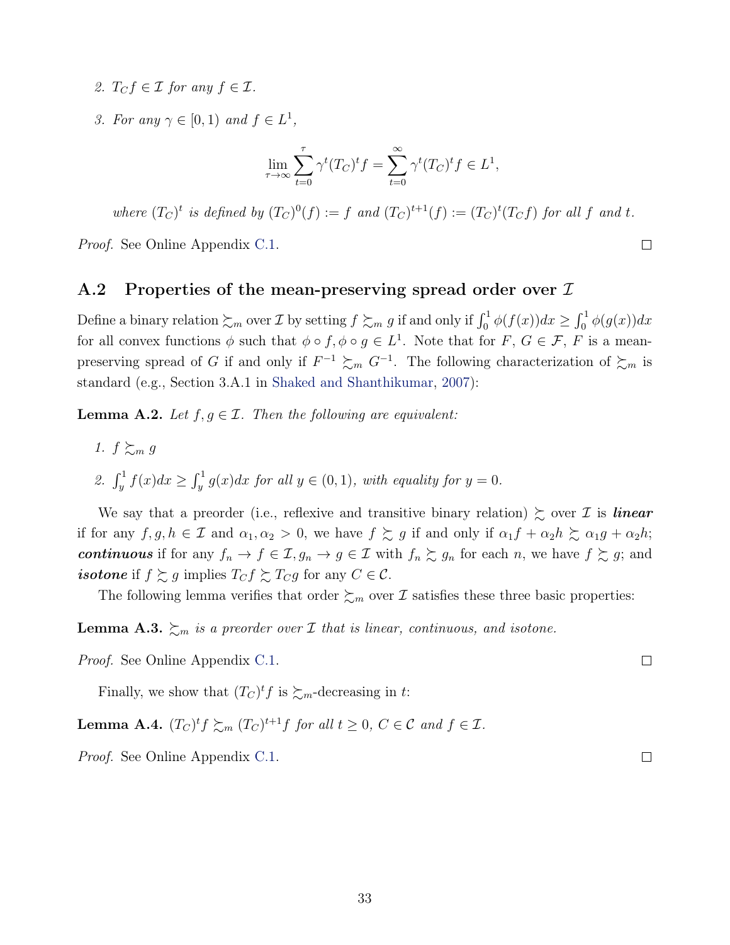- 2.  $T_{C}f \in \mathcal{I}$  for any  $f \in \mathcal{I}$ .
- 3. For any  $\gamma \in [0,1)$  and  $f \in L^1$ ,

$$
\lim_{\tau \to \infty} \sum_{t=0}^{\tau} \gamma^t (T_C)^t f = \sum_{t=0}^{\infty} \gamma^t (T_C)^t f \in L^1,
$$

where  $(T_C)^t$  is defined by  $(T_C)^0(f) := f$  and  $(T_C)^{t+1}(f) := (T_C)^t(T_Cf)$  for all f and t.

*Proof.* See Online Appendix [C.1.](#page--1-12)

#### A.2 Properties of the mean-preserving spread order over  $\mathcal I$

Define a binary relation  $\sum_m$  over  $\mathcal I$  by setting  $f \sum_m g$  if and only if  $\int_0^1 \phi(f(x))dx \ge \int_0^1 \phi(g(x))dx$ for all convex functions  $\phi$  such that  $\phi \circ f$ ,  $\phi \circ g \in L^1$ . Note that for  $F$ ,  $G \in \mathcal{F}$ ,  $F$  is a meanpreserving spread of G if and only if  $F^{-1} \succsim_m G^{-1}$ . The following characterization of  $\succsim_m$  is standard (e.g., Section 3.A.1 in [Shaked and Shanthikumar,](#page-44-6) [2007\)](#page-44-6):

**Lemma A.2.** Let  $f, g \in \mathcal{I}$ . Then the following are equivalent:

- 1.  $f \succeq_m g$
- 2.  $\int_y^1 f(x)dx \geq \int_y^1 g(x)dx$  for all  $y \in (0,1)$ , with equality for  $y = 0$ .

We say that a preorder (i.e., reflexive and transitive binary relation)  $\succsim$  over  $\mathcal I$  is **linear** if for any  $f, g, h \in \mathcal{I}$  and  $\alpha_1, \alpha_2 > 0$ , we have  $f \succeq g$  if and only if  $\alpha_1 f + \alpha_2 h \succeq \alpha_1 g + \alpha_2 h$ ; continuous if for any  $f_n \to f \in \mathcal{I}, g_n \to g \in \mathcal{I}$  with  $f_n \succsim g_n$  for each n, we have  $f \succsim g$ ; and *isotone* if  $f \succeq g$  implies  $T_C f \succeq T_C g$  for any  $C \in \mathcal{C}$ .

The following lemma verifies that order  $\succsim_m$  over  $\mathcal I$  satisfies these three basic properties:

<span id="page-32-0"></span>**Lemma A.3.**  $\sum_{m}$  is a preorder over *I* that is linear, continuous, and isotone.

Proof. See Online Appendix [C.1.](#page--1-12)

Finally, we show that  $(T_C)^t f$  is  $\sum_m$ -decreasing in t:

**Lemma A.4.**  $(T_C)^t f \succeq_m (T_C)^{t+1} f$  for all  $t \geq 0, C \in \mathcal{C}$  and  $f \in \mathcal{I}$ .

Proof. See Online Appendix [C.1.](#page--1-12)

 $\Box$ 

 $\Box$ 

 $\Box$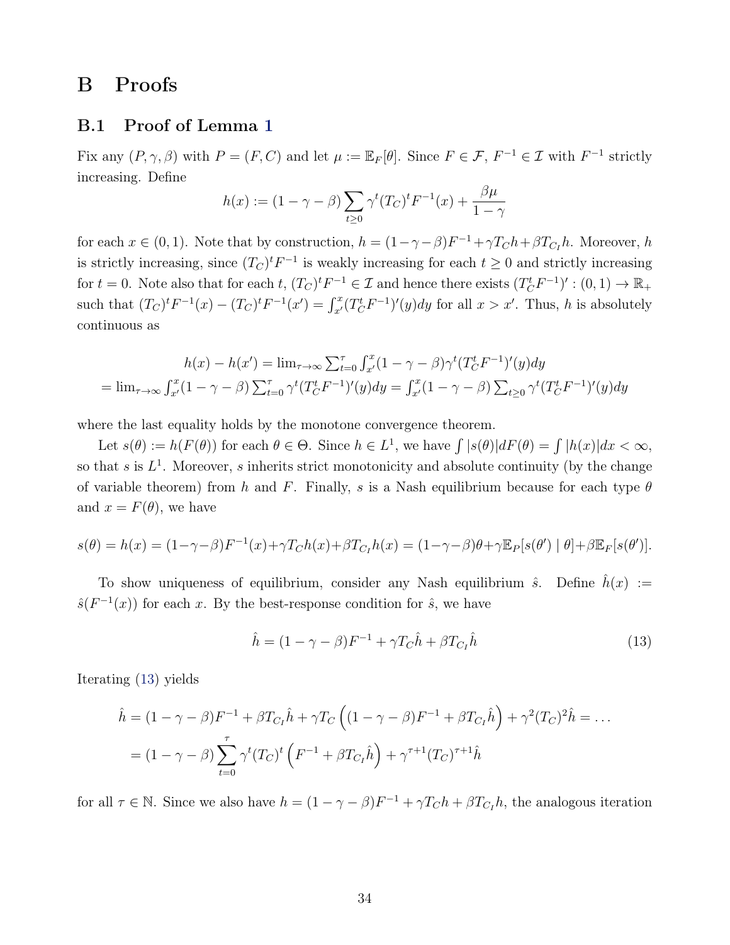## <span id="page-33-1"></span>B Proofs

## <span id="page-33-0"></span>B.1 Proof of Lemma [1](#page-12-3)

Fix any  $(P, \gamma, \beta)$  with  $P = (F, C)$  and let  $\mu := \mathbb{E}_F[\theta]$ . Since  $F \in \mathcal{F}$ ,  $F^{-1} \in \mathcal{I}$  with  $F^{-1}$  strictly increasing. Define

$$
h(x) := (1 - \gamma - \beta) \sum_{t \ge 0} \gamma^t (T_C)^t F^{-1}(x) + \frac{\beta \mu}{1 - \gamma}
$$

for each  $x \in (0, 1)$ . Note that by construction,  $h = (1 - \gamma - \beta)F^{-1} + \gamma T_C h + \beta T_{C_I} h$ . Moreover, h is strictly increasing, since  $(T_C)^t F^{-1}$  is weakly increasing for each  $t \geq 0$  and strictly increasing for  $t = 0$ . Note also that for each  $t$ ,  $(T_C)^t F^{-1} \in \mathcal{I}$  and hence there exists  $(T_C^t F^{-1})' : (0, 1) \to \mathbb{R}_+$ such that  $(T_C)^t F^{-1}(x) - (T_C)^t F^{-1}(x') = \int_{x'}^x (T_C^t F^{-1})'(y) dy$  for all  $x > x'$ . Thus, h is absolutely continuous as

$$
h(x) - h(x') = \lim_{\tau \to \infty} \sum_{t=0}^{\tau} \int_{x'}^{x} (1 - \gamma - \beta) \gamma^{t} (T_C^{t} F^{-1})'(y) dy
$$
  
= 
$$
\lim_{\tau \to \infty} \int_{x'}^{x} (1 - \gamma - \beta) \sum_{t=0}^{\tau} \gamma^{t} (T_C^{t} F^{-1})'(y) dy = \int_{x'}^{x} (1 - \gamma - \beta) \sum_{t \ge 0} \gamma^{t} (T_C^{t} F^{-1})'(y) dy
$$

where the last equality holds by the monotone convergence theorem.

Let  $s(\theta) := h(F(\theta))$  for each  $\theta \in \Theta$ . Since  $h \in L^1$ , we have  $\int |s(\theta)| dF(\theta) = \int |h(x)| dx < \infty$ , so that s is  $L^1$ . Moreover, s inherits strict monotonicity and absolute continuity (by the change of variable theorem) from h and F. Finally, s is a Nash equilibrium because for each type  $\theta$ and  $x = F(\theta)$ , we have

$$
s(\theta) = h(x) = (1 - \gamma - \beta)F^{-1}(x) + \gamma T_C h(x) + \beta T_{C_I} h(x) = (1 - \gamma - \beta)\theta + \gamma \mathbb{E}_P[s(\theta') | \theta] + \beta \mathbb{E}_F[s(\theta')].
$$

To show uniqueness of equilibrium, consider any Nash equilibrium  $\hat{s}$ . Define  $h(x) :=$  $\hat{s}(F^{-1}(x))$  for each x. By the best-response condition for  $\hat{s}$ , we have

<span id="page-33-2"></span>
$$
\hat{h} = (1 - \gamma - \beta)F^{-1} + \gamma T_C \hat{h} + \beta T_{C_I} \hat{h}
$$
\n(13)

Iterating [\(13\)](#page-33-2) yields

$$
\hat{h} = (1 - \gamma - \beta)F^{-1} + \beta T_{C_I}\hat{h} + \gamma T_C \left( (1 - \gamma - \beta)F^{-1} + \beta T_{C_I}\hat{h} \right) + \gamma^2 (T_C)^2 \hat{h} = \dots
$$
  
=  $(1 - \gamma - \beta) \sum_{t=0}^{\tau} \gamma^t (T_C)^t \left( F^{-1} + \beta T_{C_I}\hat{h} \right) + \gamma^{\tau+1} (T_C)^{\tau+1} \hat{h}$ 

for all  $\tau \in \mathbb{N}$ . Since we also have  $h = (1 - \gamma - \beta)F^{-1} + \gamma T_C h + \beta T_{C_I} h$ , the analogous iteration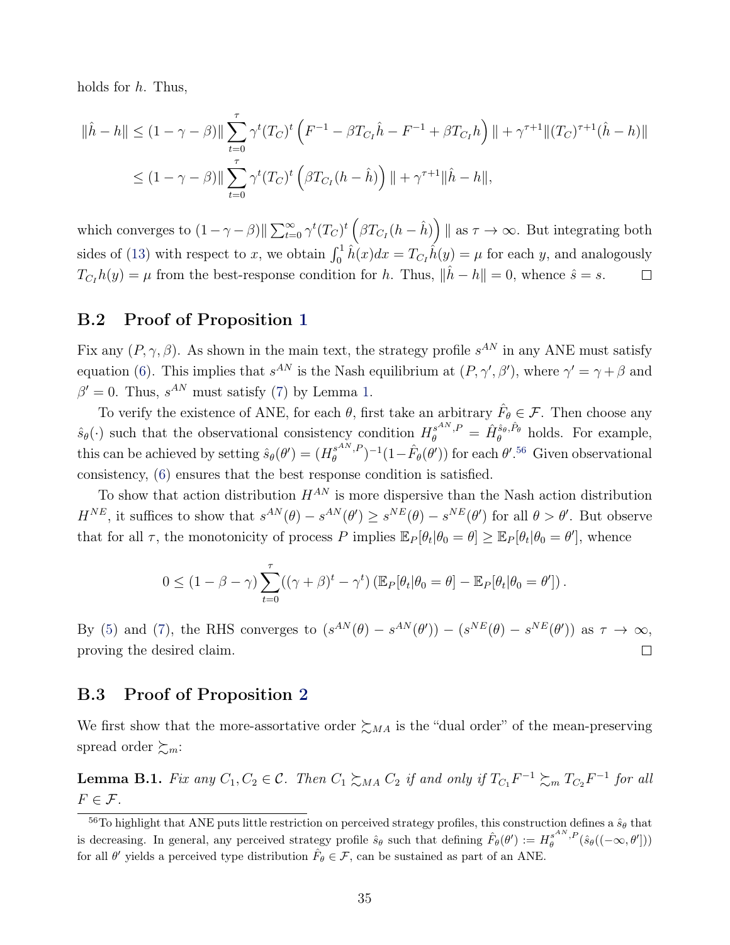holds for  $h$ . Thus,

$$
\|\hat{h} - h\| \le (1 - \gamma - \beta) \|\sum_{t=0}^{\tau} \gamma^t (T_C)^t \left( F^{-1} - \beta T_{C_I} \hat{h} - F^{-1} + \beta T_{C_I} h \right) \| + \gamma^{\tau+1} \| (T_C)^{\tau+1} (\hat{h} - h) \|
$$
  

$$
\le (1 - \gamma - \beta) \|\sum_{t=0}^{\tau} \gamma^t (T_C)^t \left( \beta T_{C_I} (h - \hat{h}) \right) \| + \gamma^{\tau+1} \|\hat{h} - h\|,
$$

which converges to  $(1-\gamma-\beta)\|\sum_{t=0}^{\infty}\gamma^t(T_C)^t\left(\beta T_{C_I}(h-\hat{h})\right)\|$  as  $\tau\to\infty$ . But integrating both sides of [\(13\)](#page-33-2) with respect to x, we obtain  $\int_0^1 \hat{h}(x)dx = T_{C_I}\hat{h}(y) = \mu$  for each y, and analogously  $T_{C_I}h(y) = \mu$  from the best-response condition for h. Thus,  $\|\hat{h} - h\| = 0$ , whence  $\hat{s} = s$ .  $\Box$ 

### <span id="page-34-0"></span>B.2 Proof of Proposition [1](#page-13-4)

Fix any  $(P, \gamma, \beta)$ . As shown in the main text, the strategy profile  $s^{AN}$  in any ANE must satisfy equation [\(6\)](#page-13-0). This implies that  $s^{AN}$  is the Nash equilibrium at  $(P, \gamma', \beta')$ , where  $\gamma' = \gamma + \beta$  and  $\beta' = 0$ . Thus,  $s^{AN}$  must satisfy [\(7\)](#page-13-2) by Lemma [1.](#page-12-3)

To verify the existence of ANE, for each  $\theta$ , first take an arbitrary  $\hat{F}_{\theta} \in \mathcal{F}$ . Then choose any  $\hat{s}_{\theta}(\cdot)$  such that the observational consistency condition  $H_{\theta}^{s^{AN},P} = \hat{H}_{\theta}^{\hat{s}_{\theta},\hat{P}_{\theta}}$  holds. For example, this can be achieved by setting  $\hat{s}_{\theta}(\theta') = (H_{\theta}^{s^{AN},P})$  $(\theta_{\theta}^{sAN,P})^{-1}(1-\hat{F}_{\theta}(\theta'))$  for each  $\theta'.^{56}$  $\theta'.^{56}$  $\theta'.^{56}$  Given observational consistency, [\(6\)](#page-13-0) ensures that the best response condition is satisfied.

To show that action distribution  $H^{AN}$  is more dispersive than the Nash action distribution  $H^{NE}$ , it suffices to show that  $s^{AN}(\theta) - s^{AN}(\theta') \geq s^{NE}(\theta) - s^{NE}(\theta')$  for all  $\theta > \theta'$ . But observe that for all  $\tau$ , the monotonicity of process P implies  $\mathbb{E}_P[\theta_t|\theta_0 = \theta] \geq \mathbb{E}_P[\theta_t|\theta_0 = \theta']$ , whence

$$
0 \leq (1 - \beta - \gamma) \sum_{t=0}^{\tau} ((\gamma + \beta)^t - \gamma^t) \left( \mathbb{E}_P[\theta_t | \theta_0 = \theta] - \mathbb{E}_P[\theta_t | \theta_0 = \theta'] \right).
$$

By [\(5\)](#page-12-2) and [\(7\)](#page-13-2), the RHS converges to  $(s^{AN}(\theta) - s^{AN}(\theta')) - (s^{NE}(\theta) - s^{NE}(\theta'))$  as  $\tau \to \infty$ ,  $\Box$ proving the desired claim.

### <span id="page-34-1"></span>B.3 Proof of Proposition [2](#page-15-3)

We first show that the more-assortative order  $\succsim_{MA}$  is the "dual order" of the mean-preserving spread order  $\succsim_{m}:$ 

<span id="page-34-2"></span>**Lemma B.1.** Fix any  $C_1, C_2 \in \mathcal{C}$ . Then  $C_1 \succsim_{MA} C_2$  if and only if  $T_{C_1}F^{-1} \succsim_{m} T_{C_2}F^{-1}$  for all  $F \in \mathcal{F}$ .

<span id="page-34-3"></span> $\frac{56}{10}$  highlight that ANE puts little restriction on perceived strategy profiles, this construction defines a  $\hat{s}_{\theta}$  that is decreasing. In general, any perceived strategy profile  $\hat{s}_{\theta}$  such that defining  $\hat{F}_{\theta}(\theta') := H_{\theta}^{s^{AN},P}(\hat{s}_{\theta}((-\infty,\theta')))$ for all  $\theta'$  yields a perceived type distribution  $\hat{F}_{\theta} \in \mathcal{F}$ , can be sustained as part of an ANE.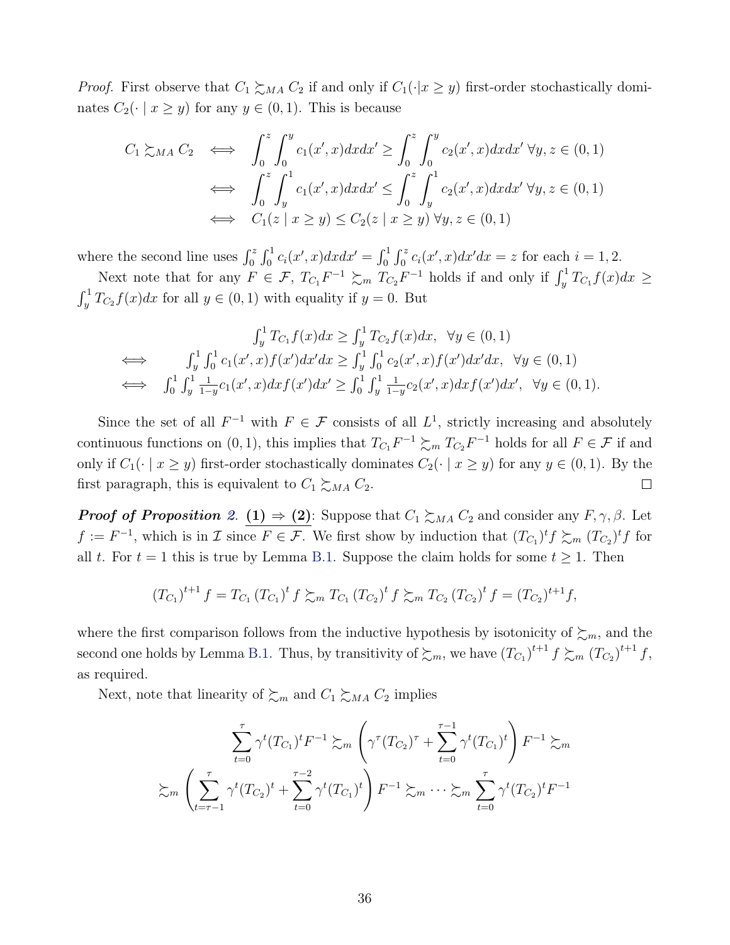*Proof.* First observe that  $C_1 \succsim_{MA} C_2$  if and only if  $C_1(\cdot|x \geq y)$  first-order stochastically dominates  $C_2(\cdot \mid x \ge y)$  for any  $y \in (0,1)$ . This is because

$$
C_1 \gtrsim_{MA} C_2 \iff \int_0^z \int_0^y c_1(x',x) dx dx' \ge \int_0^z \int_0^y c_2(x',x) dx dx' \ \forall y, z \in (0,1)
$$
  

$$
\iff \int_0^z \int_y^1 c_1(x',x) dx dx' \le \int_0^z \int_y^1 c_2(x',x) dx dx' \ \forall y, z \in (0,1)
$$
  

$$
\iff C_1(z \mid x \ge y) \le C_2(z \mid x \ge y) \ \forall y, z \in (0,1)
$$

where the second line uses  $\int_0^z \int_0^1 c_i(x',x) dx dx' = \int_0^1 \int_0^z c_i(x',x) dx' dx = z$  for each  $i = 1, 2$ .

Next note that for any  $F \in \mathcal{F}$ ,  $T_{C_1}F^{-1} \succsim_m T_{C_2}F^{-1}$  holds if and only if  $\int_y^1 T_{C_1}f(x)dx \ge$  $\int_y^1 T_{C_2} f(x) dx$  for all  $y \in (0, 1)$  with equality if  $y = 0$ . But

$$
\int_{y}^{1} T_{C_1} f(x) dx \ge \int_{y}^{1} T_{C_2} f(x) dx, \quad \forall y \in (0, 1)
$$
  
\n
$$
\iff \int_{y}^{1} \int_{0}^{1} c_1(x', x) f(x') dx' dx \ge \int_{y}^{1} \int_{0}^{1} c_2(x', x) f(x') dx' dx, \quad \forall y \in (0, 1)
$$
  
\n
$$
\iff \int_{0}^{1} \int_{y}^{1} \frac{1}{1 - y} c_1(x', x) dx f(x') dx' \ge \int_{0}^{1} \int_{y}^{1} \frac{1}{1 - y} c_2(x', x) dx f(x') dx', \quad \forall y \in (0, 1).
$$

Since the set of all  $F^{-1}$  with  $F \in \mathcal{F}$  consists of all  $L^1$ , strictly increasing and absolutely continuous functions on  $(0, 1)$ , this implies that  $T_{C_1}F^{-1} \succsim_m T_{C_2}F^{-1}$  holds for all  $F \in \mathcal{F}$  if and only if  $C_1(\cdot \mid x \ge y)$  first-order stochastically dominates  $C_2(\cdot \mid x \ge y)$  for any  $y \in (0,1)$ . By the first paragraph, this is equivalent to  $C_1 \succsim_{MA} C_2$ .  $\Box$ 

**Proof of Proposition** [2](#page-15-3). (1)  $\Rightarrow$  (2): Suppose that  $C_1 \succsim_{MA} C_2$  and consider any  $F, \gamma, \beta$ . Let  $f := F^{-1}$ , which is in  $\mathcal I$  since  $F \in \mathcal F$ . We first show by induction that  $(T_{C_1})^t f \succeq_m (T_{C_2})^t f$  for all t. For  $t = 1$  this is true by Lemma [B.1.](#page-34-2) Suppose the claim holds for some  $t \geq 1$ . Then

$$
(T_{C_1})^{t+1} f = T_{C_1} (T_{C_1})^t f \succeq_m T_{C_1} (T_{C_2})^t f \succeq_m T_{C_2} (T_{C_2})^t f = (T_{C_2})^{t+1} f,
$$

where the first comparison follows from the inductive hypothesis by isotonicity of  $\zeta_m$ , and the second one holds by Lemma [B.1.](#page-34-2) Thus, by transitivity of  $\sum_m$ , we have  $(T_{C_1})^{t+1} f \sum_m (T_{C_2})^{t+1} f$ , as required.

Next, note that linearity of  $\succsim_m$  and  $C_1 \succeq_{MA} C_2$  implies

$$
\sum_{t=0}^{\tau} \gamma^{t} (T_{C_{1}})^{t} F^{-1} \succsim_{m} \left( \gamma^{\tau} (T_{C_{2}})^{\tau} + \sum_{t=0}^{\tau-1} \gamma^{t} (T_{C_{1}})^{t} \right) F^{-1} \succsim_{m} \sum_{t=\tau-1}^{\tau} \gamma^{t} (T_{C_{2}})^{t} + \sum_{t=0}^{\tau-2} \gamma^{t} (T_{C_{1}})^{t} \right) F^{-1} \succsim_{m} \sum_{t=0}^{\tau} \gamma^{t} (T_{C_{2}})^{t} F^{-1}
$$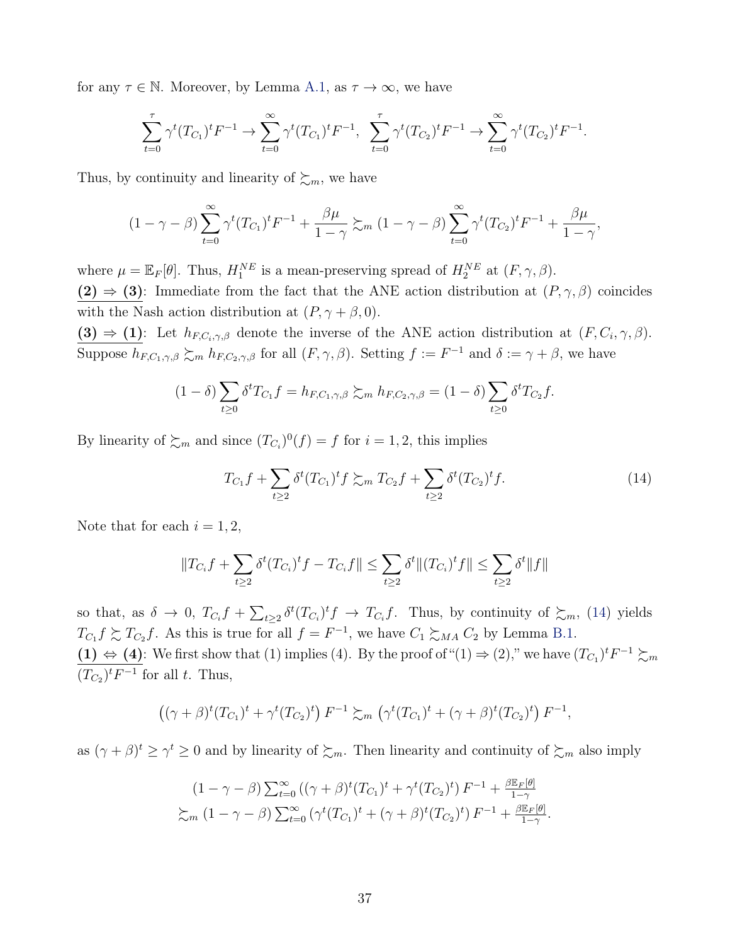for any  $\tau \in \mathbb{N}$ . Moreover, by Lemma [A.1,](#page-31-2) as  $\tau \to \infty$ , we have

$$
\sum_{t=0}^{\tau} \gamma^t (T_{C_1})^t F^{-1} \to \sum_{t=0}^{\infty} \gamma^t (T_{C_1})^t F^{-1}, \quad \sum_{t=0}^{\tau} \gamma^t (T_{C_2})^t F^{-1} \to \sum_{t=0}^{\infty} \gamma^t (T_{C_2})^t F^{-1}.
$$

Thus, by continuity and linearity of  $\succsim_m$ , we have

$$
(1-\gamma-\beta)\sum_{t=0}^{\infty}\gamma^t(T_{C_1})^tF^{-1}+\frac{\beta\mu}{1-\gamma}\succsim_m(1-\gamma-\beta)\sum_{t=0}^{\infty}\gamma^t(T_{C_2})^tF^{-1}+\frac{\beta\mu}{1-\gamma},
$$

where  $\mu = \mathbb{E}_F[\theta]$ . Thus,  $H_1^{NE}$  is a mean-preserving spread of  $H_2^{NE}$  at  $(F, \gamma, \beta)$ . (2)  $\Rightarrow$  (3): Immediate from the fact that the ANE action distribution at  $(P, \gamma, \beta)$  coincides with the Nash action distribution at  $(P, \gamma + \beta, 0)$ .

(3)  $\Rightarrow$  (1): Let  $h_{F,C_i,\gamma,\beta}$  denote the inverse of the ANE action distribution at  $(F, C_i, \gamma, \beta)$ . Suppose  $h_{F,C_1,\gamma,\beta} \succsim_m h_{F,C_2,\gamma,\beta}$  for all  $(F,\gamma,\beta)$ . Setting  $f := F^{-1}$  and  $\delta := \gamma + \beta$ , we have

$$
(1 - \delta) \sum_{t \ge 0} \delta^t T_{C_1} f = h_{F,C_1,\gamma,\beta} \succsim_m h_{F,C_2,\gamma,\beta} = (1 - \delta) \sum_{t \ge 0} \delta^t T_{C_2} f.
$$

By linearity of  $\succsim_m$  and since  $(T_{C_i})^0(f) = f$  for  $i = 1, 2$ , this implies

<span id="page-36-0"></span>
$$
T_{C_1}f + \sum_{t \ge 2} \delta^t (T_{C_1})^t f \succeq_m T_{C_2}f + \sum_{t \ge 2} \delta^t (T_{C_2})^t f. \tag{14}
$$

Note that for each  $i = 1, 2$ ,

$$
||T_{C_i}f + \sum_{t \ge 2} \delta^t (T_{C_i})^t f - T_{C_i}f|| \le \sum_{t \ge 2} \delta^t ||(T_{C_i})^t f|| \le \sum_{t \ge 2} \delta^t ||f||
$$

so that, as  $\delta \to 0$ ,  $T_{C_i}f + \sum_{t\geq 2} \delta^t(T_{C_i})^t f \to T_{C_i}f$ . Thus, by continuity of  $\succsim_m$ , [\(14\)](#page-36-0) yields  $T_{C_1} f \succeq T_{C_2} f$ . As this is true for all  $f = F^{-1}$ , we have  $C_1 \succeq_{MA} C_2$  by Lemma [B.1.](#page-34-2) (1)  $\Leftrightarrow$  (4): We first show that (1) implies (4). By the proof of "(1)  $\Rightarrow$  (2)," we have  $(T_{C_1})^t F^{-1} \succsim_m$  $(T_{C_2})^t F^{-1}$  for all t. Thus,

$$
((\gamma + \beta)^t (T_{C_1})^t + \gamma^t (T_{C_2})^t) F^{-1} \succsim_m (\gamma^t (T_{C_1})^t + (\gamma + \beta)^t (T_{C_2})^t) F^{-1},
$$

as  $(\gamma + \beta)^t \ge \gamma^t \ge 0$  and by linearity of  $\succsim_m$ . Then linearity and continuity of  $\succsim_m$  also imply

$$
(1 - \gamma - \beta) \sum_{t=0}^{\infty} ((\gamma + \beta)^t (T_{C_1})^t + \gamma^t (T_{C_2})^t) F^{-1} + \frac{\beta \mathbb{E}_F[\theta]}{1 - \gamma}
$$
  
 
$$
\sum_m (1 - \gamma - \beta) \sum_{t=0}^{\infty} (\gamma^t (T_{C_1})^t + (\gamma + \beta)^t (T_{C_2})^t) F^{-1} + \frac{\beta \mathbb{E}_F[\theta]}{1 - \gamma}.
$$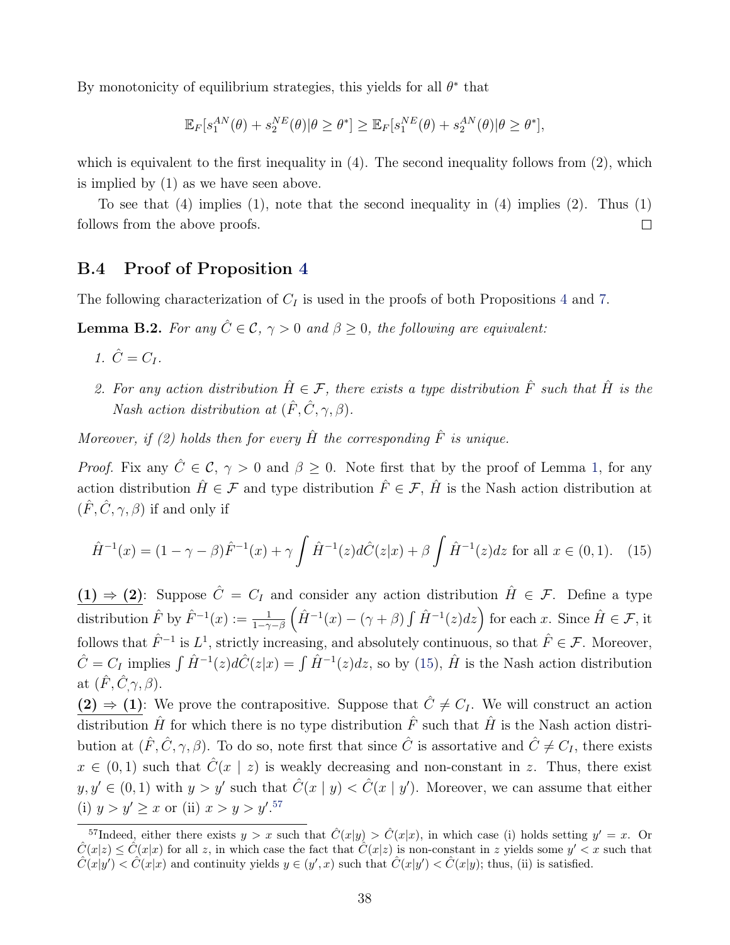By monotonicity of equilibrium strategies, this yields for all  $\theta^*$  that

$$
\mathbb{E}_F[s_1^{AN}(\theta) + s_2^{NE}(\theta)|\theta \ge \theta^*] \ge \mathbb{E}_F[s_1^{NE}(\theta) + s_2^{AN}(\theta)|\theta \ge \theta^*],
$$

which is equivalent to the first inequality in  $(4)$ . The second inequality follows from  $(2)$ , which is implied by (1) as we have seen above.

To see that (4) implies (1), note that the second inequality in (4) implies (2). Thus (1) follows from the above proofs.  $\Box$ 

## <span id="page-37-1"></span>B.4 Proof of Proposition [4](#page-18-1)

The following characterization of  $C_I$  is used in the proofs of both Propositions [4](#page-18-1) and [7.](#page-23-3)

<span id="page-37-0"></span>**Lemma B.2.** For any  $\hat{C} \in \mathcal{C}$ ,  $\gamma > 0$  and  $\beta \geq 0$ , the following are equivalent:

- 1.  $\hat{C} = C_I$ .
- 2. For any action distribution  $\hat{H} \in \mathcal{F}$ , there exists a type distribution  $\hat{F}$  such that  $\hat{H}$  is the Nash action distribution at  $(\hat{F}, \hat{C}, \gamma, \beta)$ .

Moreover, if (2) holds then for every  $\hat{H}$  the corresponding  $\hat{F}$  is unique.

*Proof.* Fix any  $\hat{C} \in \mathcal{C}$ ,  $\gamma > 0$  and  $\beta \geq 0$ . Note first that by the proof of Lemma [1,](#page-12-3) for any action distribution  $\hat{H} \in \mathcal{F}$  and type distribution  $\hat{F} \in \mathcal{F}$ ,  $\hat{H}$  is the Nash action distribution at  $(\hat{F}, \hat{C}, \gamma, \beta)$  if and only if

<span id="page-37-2"></span>
$$
\hat{H}^{-1}(x) = (1 - \gamma - \beta)\hat{F}^{-1}(x) + \gamma \int \hat{H}^{-1}(z)d\hat{C}(z|x) + \beta \int \hat{H}^{-1}(z)dz \text{ for all } x \in (0,1). \tag{15}
$$

(1)  $\Rightarrow$  (2): Suppose  $\hat{C} = C_I$  and consider any action distribution  $\hat{H} \in \mathcal{F}$ . Define a type distribution  $\hat{F}$  by  $\hat{F}^{-1}(x) := \frac{1}{1-\gamma-\beta} \left( \hat{H}^{-1}(x) - (\gamma + \beta) \int \hat{H}^{-1}(z) dz \right)$  for each x. Since  $\hat{H} \in \mathcal{F}$ , it follows that  $\hat{F}^{-1}$  is  $L^1$ , strictly increasing, and absolutely continuous, so that  $\hat{F} \in \mathcal{F}$ . Moreover,  $\hat{C} = C_I$  implies  $\int \hat{H}^{-1}(z) d\hat{C}(z|x) = \int \hat{H}^{-1}(z) dz$ , so by [\(15\)](#page-37-2),  $\hat{H}$  is the Nash action distribution at  $(\hat{F}, \hat{C}, \gamma, \beta)$ .

(2)  $\Rightarrow$  (1): We prove the contrapositive. Suppose that  $\hat{C} \neq C_I$ . We will construct an action distribution  $\hat{H}$  for which there is no type distribution  $\hat{F}$  such that  $\hat{H}$  is the Nash action distribution at  $(\hat{F}, \hat{C}, \gamma, \beta)$ . To do so, note first that since  $\hat{C}$  is assortative and  $\hat{C} \neq C_I$ , there exists  $x \in (0,1)$  such that  $\hat{C}(x \mid z)$  is weakly decreasing and non-constant in z. Thus, there exist  $y, y' \in (0, 1)$  with  $y > y'$  such that  $\hat{C}(x \mid y) < \hat{C}(x \mid y')$ . Moreover, we can assume that either (i)  $y > y' \geq x$  or (ii)  $x > y > y'.57$  $x > y > y'.57$ 

<span id="page-37-3"></span><sup>&</sup>lt;sup>57</sup>Indeed, either there exists  $y > x$  such that  $\hat{C}(x|y) > \hat{C}(x|x)$ , in which case (i) holds setting  $y' = x$ . Or  $\hat{C}(x|z) \leq \hat{C}(x|x)$  for all z, in which case the fact that  $\hat{C}(x|z)$  is non-constant in z yields some  $y' < x$  such that  $\hat{C}(x|y') < \hat{C}(x|x)$  and continuity yields  $y \in (y',x)$  such that  $\hat{C}(x|y') < \hat{C}(x|y)$ ; thus, (ii) is satisfied.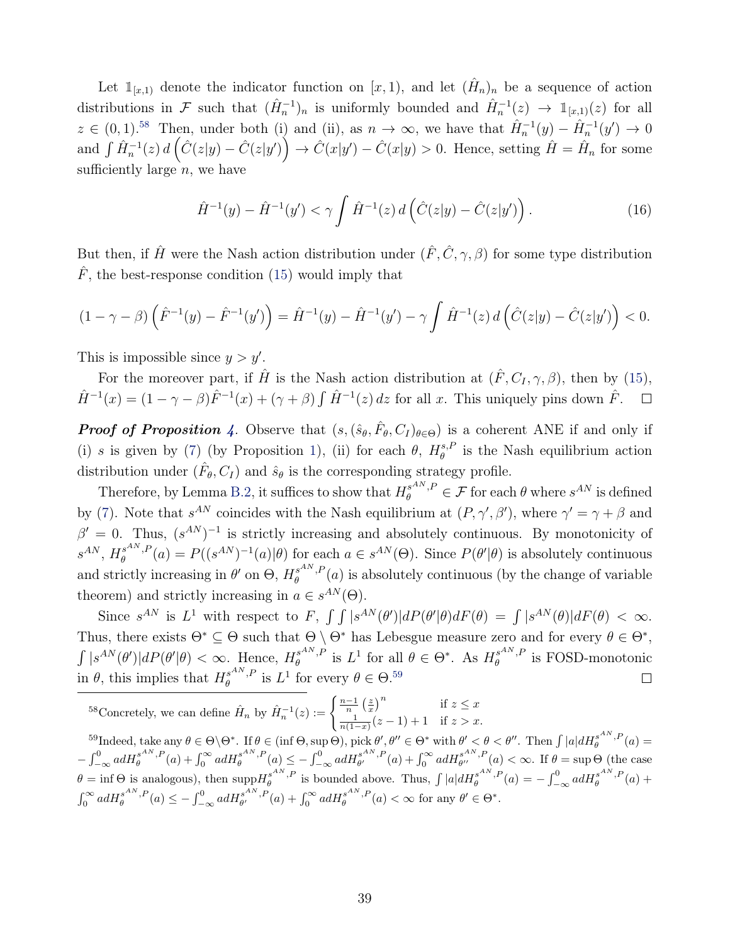Let  $\mathbb{1}_{[x,1]}$  denote the indicator function on  $[x,1)$ , and let  $(\hat{H}_n)_n$  be a sequence of action distributions in F such that  $(\hat{H}_n^{-1})_n$  is uniformly bounded and  $\hat{H}_n^{-1}(z) \to 1_{[x,1)}(z)$  for all  $z \in (0,1).^{58}$  $z \in (0,1).^{58}$  $z \in (0,1).^{58}$  Then, under both (i) and (ii), as  $n \to \infty$ , we have that  $\hat{H}_n^{-1}(y) - \hat{H}_n^{-1}(y') \to 0$ and  $\int \hat{H}_n^{-1}(z) d\left(\hat{C}(z|y) - \hat{C}(z|y')\right) \to \hat{C}(x|y') - \hat{C}(x|y) > 0$ . Hence, setting  $\hat{H} = \hat{H}_n$  for some sufficiently large  $n$ , we have

$$
\hat{H}^{-1}(y) - \hat{H}^{-1}(y') < \gamma \int \hat{H}^{-1}(z) \, d\left(\hat{C}(z|y) - \hat{C}(z|y')\right). \tag{16}
$$

But then, if  $\hat{H}$  were the Nash action distribution under  $(\hat{F}, \hat{C}, \gamma, \beta)$  for some type distribution  $\hat{F}$ , the best-response condition [\(15\)](#page-37-2) would imply that

$$
(1 - \gamma - \beta) \left( \hat{F}^{-1}(y) - \hat{F}^{-1}(y') \right) = \hat{H}^{-1}(y) - \hat{H}^{-1}(y') - \gamma \int \hat{H}^{-1}(z) d \left( \hat{C}(z|y) - \hat{C}(z|y') \right) < 0.
$$

This is impossible since  $y > y'$ .

For the moreover part, if  $\hat{H}$  is the Nash action distribution at  $(\hat{F}, C_I, \gamma, \beta)$ , then by [\(15\)](#page-37-2),  $\hat{H}^{-1}(x) = (1 - \gamma - \beta)\hat{F}^{-1}(x) + (\gamma + \beta)\int \hat{H}^{-1}(z) dz$  for all x. This uniquely pins down  $\hat{F}$ .  $\Box$ 

**Proof of Proposition** [4](#page-18-1). Observe that  $(s, (\hat{s}_{\theta}, \hat{F}_{\theta}, C_I)_{\theta \in \Theta})$  is a coherent ANE if and only if (i) s is given by [\(7\)](#page-13-2) (by Proposition [1\)](#page-13-4), (ii) for each  $\theta$ ,  $H^{s,F}_\theta$  $\theta_{\theta}^{s,P}$  is the Nash equilibrium action distribution under  $(\hat{F}_{\theta}, C_I)$  and  $\hat{s}_{\theta}$  is the corresponding strategy profile.

Therefore, by Lemma [B.2,](#page-37-0) it suffices to show that  $H_{\theta}^{s^{AN},P} \in \mathcal{F}$  for each  $\theta$  where  $s^{AN}$  is defined by [\(7\)](#page-13-2). Note that  $s^{AN}$  coincides with the Nash equilibrium at  $(P, \gamma', \beta')$ , where  $\gamma' = \gamma + \beta$  and  $\beta' = 0$ . Thus,  $(s^{AN})^{-1}$  is strictly increasing and absolutely continuous. By monotonicity of  $s^{AN}, H_s^{s^{AN},P}$  $\theta_{\theta}^{s^{AN},P}(a) = P((s^{AN})^{-1}(a)|\theta)$  for each  $a \in s^{AN}(\Theta)$ . Since  $P(\theta'|\theta)$  is absolutely continuous and strictly increasing in  $\theta'$  on  $\Theta$ ,  $H^{s^{AN},F}_{\theta}$  $e^{\sin\theta}$ ,  $P(a)$  is absolutely continuous (by the change of variable theorem) and strictly increasing in  $a \in s^{AN}(\Theta)$ .

Since  $s^{AN}$  is  $L^1$  with respect to F,  $\int \int |s^{AN}(\theta')| dP(\theta'|\theta) dF(\theta) = \int |s^{AN}(\theta)| dF(\theta) < \infty$ . Thus, there exists  $\Theta^* \subseteq \Theta$  such that  $\Theta \setminus \Theta^*$  has Lebesgue measure zero and for every  $\theta \in \Theta^*$ ,  $\int |s^{AN}(\theta')|dP(\theta'|\theta) < \infty$ . Hence,  $H^{s^{AN},P}_{\theta}$  $\mathcal{E}_{\theta}^{s^{AN},P}$  is  $L^1$  for all  $\theta \in \Theta^*$ . As  $H_{\theta}^{s^{AN},P}$  $\theta$ <sup>s…,  $\mu$ </sup> is FOSD-monotonic in  $\theta$ , this implies that  $H_{\theta}^{s^{AN},F}$  $\theta_{\theta}^{s^{AN},P}$  is  $L^1$  for every  $\theta \in \Theta$ .<sup>[59](#page-38-1)</sup>  $\Box$ 

<span id="page-38-0"></span><sup>58</sup>Concretely, we can define  $\hat{H}_n$  by  $\hat{H}_n^{-1}(z) := \begin{cases} \frac{n-1}{n} \left(\frac{z}{x}\right)^n & \text{if } z \leq x \\ \frac{1}{n} \left(\frac{z}{x}-1\right) + 1 & \text{if } z > x \end{cases}$  $\frac{1}{n(1-x)}(z-1)+1$  if  $z > x$ .

<span id="page-38-1"></span><sup>59</sup>Indeed, take any  $\theta \in \Theta \backslash \Theta^*$ . If  $\theta \in (\inf \Theta, \sup \Theta)$ , pick  $\theta', \theta'' \in \Theta^*$  with  $\theta' < \theta < \theta''$ . Then  $\int |a| dH_{\theta}^{s^{AN},P}(a)$  $-\int_{-\infty}^{0} adH_{\theta}^{s^{AN},P}(a) + \int_{0}^{\infty} adH_{\theta}^{s^{AN},P}(a) \leq -\int_{-\infty}^{0} adH_{\theta'}^{s^{AN},P}(a) + \int_{0}^{\infty} adH_{\theta''}^{s^{AN},P}(a) < \infty$ . If  $\theta = \sup \Theta$  (the case  $\theta = \inf \Theta$  is analogous), then  $\sup H_{\theta}^{s^{AN},P}$  is bounded above. Thus,  $\int |a|dH_{\theta}^{s^{AN},P}(a) = -\int_{-\infty}^{0} adH_{\theta}^{s^{AN},P}(a) +$  $\int_0^\infty a dH_{\theta}^{s^{AN},P}(a) \leq -\int_{-\infty}^0 a dH_{\theta'}^{s^{AN},P}(a) + \int_0^\infty a dH_{\theta}^{s^{AN},P}(a) < \infty$  for any  $\theta' \in \Theta^*$ .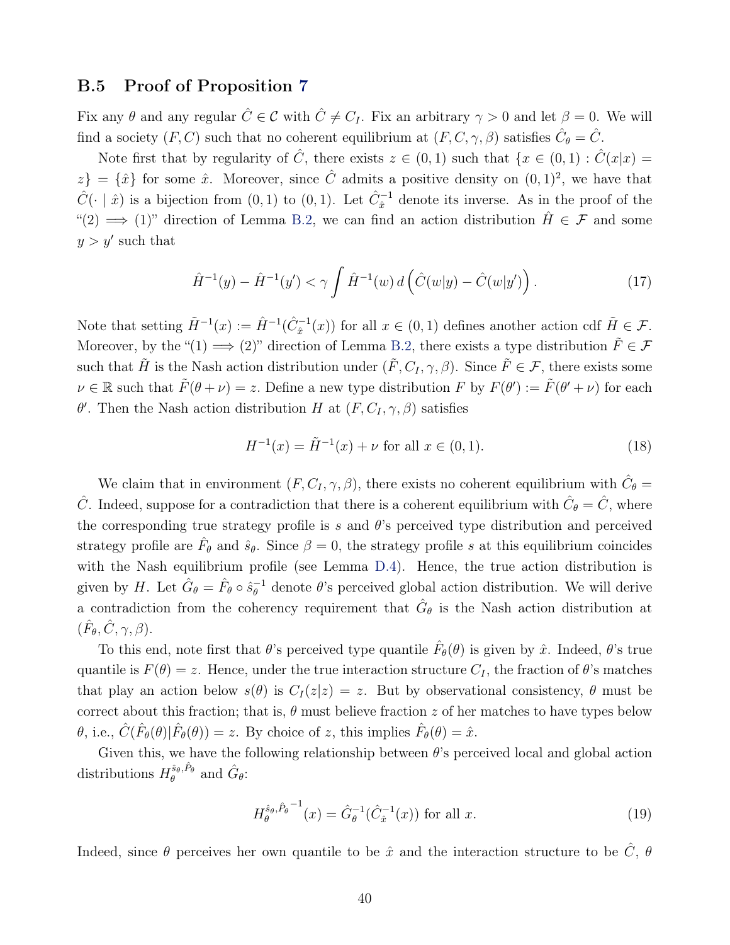### B.5 Proof of Proposition [7](#page-23-3)

Fix any  $\theta$  and any regular  $\hat{C} \in \mathcal{C}$  with  $\hat{C} \neq C_I$ . Fix an arbitrary  $\gamma > 0$  and let  $\beta = 0$ . We will find a society  $(F, C)$  such that no coherent equilibrium at  $(F, C, \gamma, \beta)$  satisfies  $\hat{C}_{\theta} = \hat{C}$ .

Note first that by regularity of  $\hat{C}$ , there exists  $z \in (0,1)$  such that  $\{x \in (0,1) : \hat{C}(x|x) =$  $z\} = \{\hat{x}\}\$ for some  $\hat{x}$ . Moreover, since  $\hat{C}$  admits a positive density on  $(0, 1)^2$ , we have that  $\hat{C}(\cdot | \hat{x})$  is a bijection from  $(0, 1)$  to  $(0, 1)$ . Let  $\hat{C}_{\hat{x}}^{-1}$  denote its inverse. As in the proof of the "(2)  $\implies$  (1)" direction of Lemma [B.2,](#page-37-0) we can find an action distribution  $\hat{H} \in \mathcal{F}$  and some  $y > y'$  such that

<span id="page-39-2"></span>
$$
\hat{H}^{-1}(y) - \hat{H}^{-1}(y') < \gamma \int \hat{H}^{-1}(w) \, d\left(\hat{C}(w|y) - \hat{C}(w|y')\right). \tag{17}
$$

Note that setting  $\tilde{H}^{-1}(x) := \hat{H}^{-1}(\hat{C}_{\hat{x}}^{-1}(x))$  for all  $x \in (0,1)$  defines another action cdf  $\tilde{H} \in \mathcal{F}$ . Moreover, by the " $(1) \implies (2)$ " direction of Lemma [B.2,](#page-37-0) there exists a type distribution  $\tilde{F} \in \mathcal{F}$ such that  $\tilde{H}$  is the Nash action distribution under  $(\tilde{F}, C_I, \gamma, \beta)$ . Since  $\tilde{F} \in \mathcal{F}$ , there exists some  $\nu \in \mathbb{R}$  such that  $\tilde{F}(\theta + \nu) = z$ . Define a new type distribution F by  $F(\theta') := \tilde{F}(\theta' + \nu)$  for each  $\theta'$ . Then the Nash action distribution H at  $(F, C_I, \gamma, \beta)$  satisfies

<span id="page-39-1"></span>
$$
H^{-1}(x) = \tilde{H}^{-1}(x) + \nu \text{ for all } x \in (0, 1).
$$
 (18)

We claim that in environment  $(F, C_I, \gamma, \beta)$ , there exists no coherent equilibrium with  $\hat{C}_{\theta} =$  $\hat{C}$ . Indeed, suppose for a contradiction that there is a coherent equilibrium with  $\hat{C}_{\theta} = \hat{C}$ , where the corresponding true strategy profile is s and  $\theta$ 's perceived type distribution and perceived strategy profile are  $\hat{F}_{\theta}$  and  $\hat{s}_{\theta}$ . Since  $\beta = 0$ , the strategy profile s at this equilibrium coincides with the Nash equilibrium profile (see Lemma [D.4\)](#page--1-13). Hence, the true action distribution is given by H. Let  $\hat{G}_{\theta} = \hat{F}_{\theta} \circ \hat{s}_{\theta}^{-1}$  $_{\theta}^{-1}$  denote  $\theta$ 's perceived global action distribution. We will derive a contradiction from the coherency requirement that  $\hat{G}_{\theta}$  is the Nash action distribution at  $(\hat{F}_{\theta}, \hat{C}, \gamma, \beta).$ 

To this end, note first that  $\theta$ 's perceived type quantile  $\hat{F}_{\theta}(\theta)$  is given by  $\hat{x}$ . Indeed,  $\theta$ 's true quantile is  $F(\theta) = z$ . Hence, under the true interaction structure  $C_I$ , the fraction of  $\theta$ 's matches that play an action below  $s(\theta)$  is  $C_I(z|z) = z$ . But by observational consistency,  $\theta$  must be correct about this fraction; that is,  $\theta$  must believe fraction z of her matches to have types below  $\hat{\theta}$ , i.e.,  $\hat{C}(\hat{F}_{\theta}(\theta)|\hat{F}_{\theta}(\theta)) = z$ . By choice of z, this implies  $\hat{F}_{\theta}(\theta) = \hat{x}$ .

Given this, we have the following relationship between  $\theta$ 's perceived local and global action distributions  $H_{\theta}^{\hat{s}_{\theta}, \hat{P}_{\theta}}$  and  $\hat{G}_{\theta}$ :

<span id="page-39-0"></span>
$$
H_{\theta}^{\hat{s}_{\theta},\hat{P}_{\theta}}^{-1}(x) = \hat{G}_{\theta}^{-1}(\hat{C}_{\hat{x}}^{-1}(x)) \text{ for all } x.
$$
 (19)

Indeed, since  $\theta$  perceives her own quantile to be  $\hat{x}$  and the interaction structure to be  $\hat{C}$ ,  $\theta$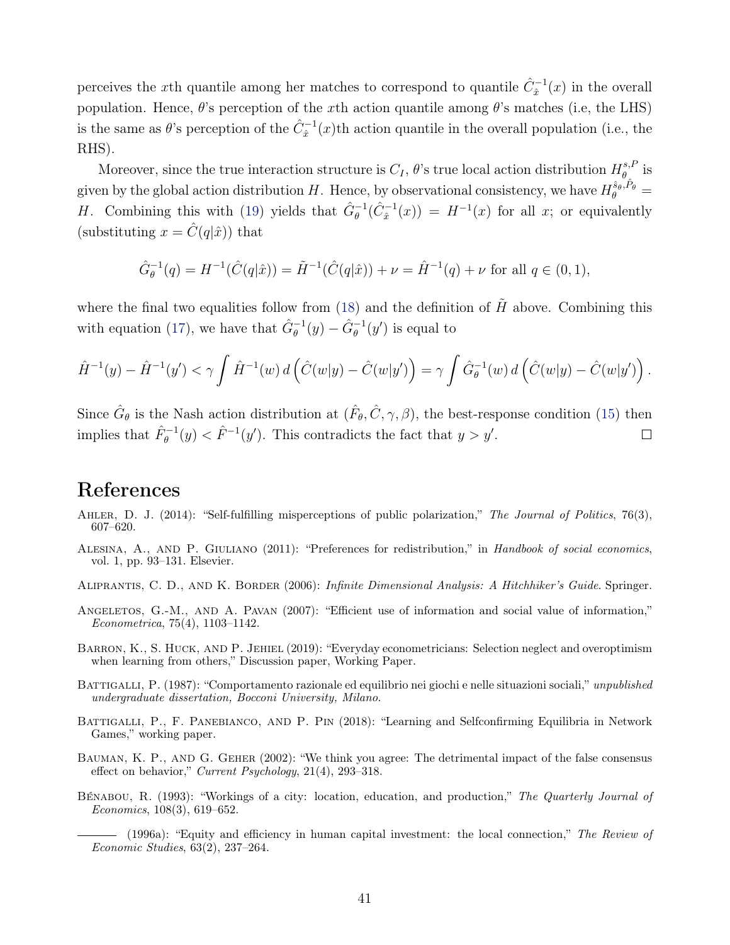perceives the x<sup>th</sup> quantile among her matches to correspond to quantile  $\hat{C}_{\hat{x}}^{-1}(x)$  in the overall population. Hence,  $\theta$ 's perception of the xth action quantile among  $\theta$ 's matches (i.e, the LHS) is the same as  $\theta$ 's perception of the  $\hat{C}_{\hat{x}}^{-1}(x)$ <sup>th</sup> action quantile in the overall population (i.e., the RHS).

Moreover, since the true interaction structure is  $C_I$ ,  $\theta$ 's true local action distribution  $H^{s,F}_\theta$  $\stackrel{s,P}{\theta}$  is given by the global action distribution H. Hence, by observational consistency, we have  $H_{\theta}^{\hat{s}_{\theta},\hat{P}_{\theta}} =$ H. Combining this with [\(19\)](#page-39-0) yields that  $\hat{G}_{\theta}^{-1}(\hat{C}_{\hat{x}}^{-1}(x)) = H^{-1}(x)$  for all x; or equivalently (substituting  $x = \hat{C}(q|\hat{x})$ ) that

$$
\hat{G}_{\theta}^{-1}(q) = H^{-1}(\hat{C}(q|\hat{x})) = \tilde{H}^{-1}(\hat{C}(q|\hat{x})) + \nu = \hat{H}^{-1}(q) + \nu \text{ for all } q \in (0,1),
$$

where the final two equalities follow from [\(18\)](#page-39-1) and the definition of  $\tilde{H}$  above. Combining this with equation [\(17\)](#page-39-2), we have that  $\hat{G}_{\theta}^{-1}(y) - \hat{G}_{\theta}^{-1}(y')$  is equal to

$$
\hat{H}^{-1}(y) - \hat{H}^{-1}(y') < \gamma \int \hat{H}^{-1}(w) \, d\left(\hat{C}(w|y) - \hat{C}(w|y')\right) = \gamma \int \hat{G}_{\theta}^{-1}(w) \, d\left(\hat{C}(w|y) - \hat{C}(w|y')\right).
$$

Since  $\hat{G}_{\theta}$  is the Nash action distribution at  $(\hat{F}_{\theta}, \hat{C}, \gamma, \beta)$ , the best-response condition [\(15\)](#page-37-2) then implies that  $\hat{F}_{\theta}^{-1}(y) < \hat{F}^{-1}(y')$ . This contradicts the fact that  $y > y'$ .  $\Box$ 

## References

- <span id="page-40-6"></span>AHLER, D. J. (2014): "Self-fulfilling misperceptions of public polarization," The Journal of Politics, 76(3), 607–620.
- ALESINA, A., AND P. GIULIANO (2011): "Preferences for redistribution," in Handbook of social economics, vol. 1, pp. 93–131. Elsevier.
- ALIPRANTIS, C. D., AND K. BORDER (2006): *Infinite Dimensional Analysis: A Hitchhiker's Guide*. Springer.
- <span id="page-40-3"></span>ANGELETOS, G.-M., AND A. PAVAN (2007): "Efficient use of information and social value of information," Econometrica, 75(4), 1103–1142.
- <span id="page-40-4"></span>Barron, K., S. Huck, and P. Jehiel (2019): "Everyday econometricians: Selection neglect and overoptimism when learning from others," Discussion paper, Working Paper.
- <span id="page-40-0"></span>BATTIGALLI, P. (1987): "Comportamento razionale ed equilibrio nei giochi e nelle situazioni sociali," unpublished undergraduate dissertation, Bocconi University, Milano.
- <span id="page-40-7"></span>BATTIGALLI, P., F. PANEBIANCO, AND P. PIN (2018): "Learning and Selfconfirming Equilibria in Network Games," working paper.
- <span id="page-40-5"></span>BAUMAN, K. P., AND G. GEHER (2002): "We think you agree: The detrimental impact of the false consensus effect on behavior," Current Psychology, 21(4), 293–318.
- <span id="page-40-2"></span><span id="page-40-1"></span>Bénabou, R. (1993): "Workings of a city: location, education, and production," The Quarterly Journal of Economics, 108(3), 619–652.
	- (1996a): "Equity and efficiency in human capital investment: the local connection," The Review of Economic Studies, 63(2), 237–264.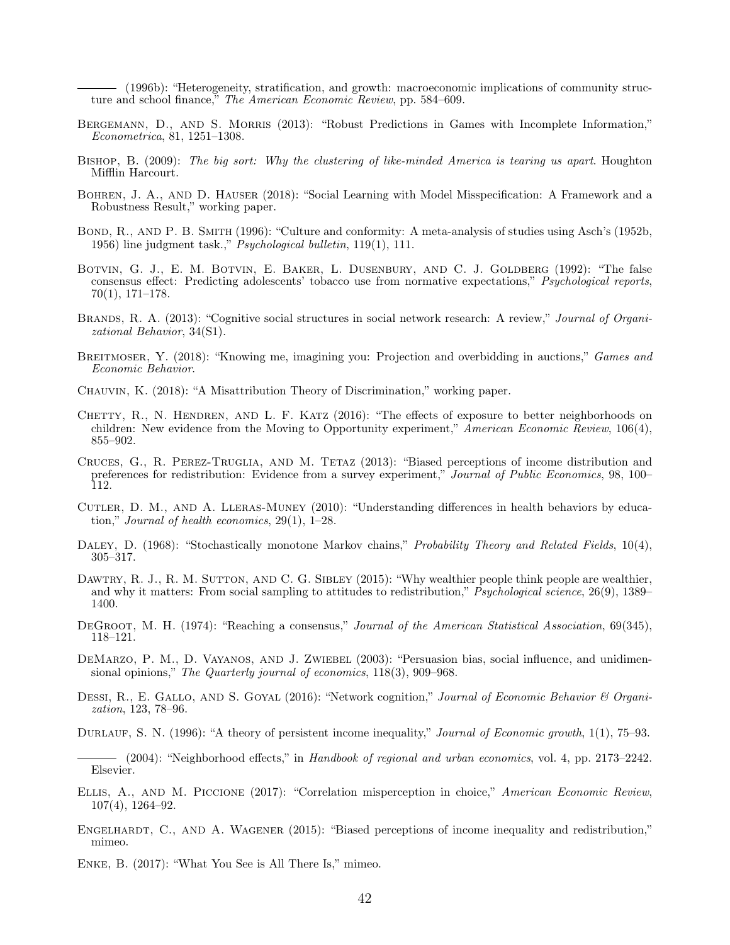(1996b): "Heterogeneity, stratification, and growth: macroeconomic implications of community structure and school finance," The American Economic Review, pp. 584–609.

- <span id="page-41-3"></span><span id="page-41-1"></span>BERGEMANN, D., AND S. MORRIS (2013): "Robust Predictions in Games with Incomplete Information," Econometrica, 81, 1251–1308.
- <span id="page-41-0"></span>Bishop, B. (2009): The big sort: Why the clustering of like-minded America is tearing us apart. Houghton Mifflin Harcourt.
- <span id="page-41-18"></span>Bohren, J. A., and D. Hauser (2018): "Social Learning with Model Misspecification: A Framework and a Robustness Result," working paper.
- <span id="page-41-14"></span>BOND, R., AND P. B. SMITH (1996): "Culture and conformity: A meta-analysis of studies using Asch's (1952b, 1956) line judgment task.,"  $P<sub>5</sub>ychological bullet in, 119(1), 111.$
- <span id="page-41-9"></span>BOTVIN, G. J., E. M. BOTVIN, E. BAKER, L. DUSENBURY, AND C. J. GOLDBERG (1992): "The false consensus effect: Predicting adolescents' tobacco use from normative expectations," Psychological reports, 70(1), 171–178.
- <span id="page-41-6"></span>BRANDS, R. A. (2013): "Cognitive social structures in social network research: A review," *Journal of Organi*zational Behavior, 34(S1).
- <span id="page-41-17"></span>BREITMOSER, Y. (2018): "Knowing me, imagining you: Projection and overbidding in auctions," Games and Economic Behavior.
- <span id="page-41-16"></span>Chauvin, K. (2018): "A Misattribution Theory of Discrimination," working paper.
- <span id="page-41-10"></span>CHETTY, R., N. HENDREN, AND L. F. KATZ  $(2016)$ : "The effects of exposure to better neighborhoods on children: New evidence from the Moving to Opportunity experiment," American Economic Review, 106(4), 855–902.
- <span id="page-41-13"></span>CRUCES, G., R. PEREZ-TRUGLIA, AND M. TETAZ (2013): "Biased perceptions of income distribution and preferences for redistribution: Evidence from a survey experiment," Journal of Public Economics, 98, 100– 112.
- <span id="page-41-12"></span>Cutler, D. M., and A. Lleras-Muney (2010): "Understanding differences in health behaviors by education," Journal of health economics, 29(1), 1–28.
- <span id="page-41-7"></span>DALEY, D. (1968): "Stochastically monotone Markov chains," Probability Theory and Related Fields, 10(4), 305–317.
- <span id="page-41-8"></span>DAWTRY, R. J., R. M. SUTTON, AND C. G. SIBLEY (2015): "Why wealthier people think people are wealthier, and why it matters: From social sampling to attitudes to redistribution," Psychological science, 26(9), 1389– 1400.
- <span id="page-41-21"></span>DEGROOT, M. H. (1974): "Reaching a consensus," Journal of the American Statistical Association, 69(345), 118–121.
- <span id="page-41-19"></span>DEMARZO, P. M., D. VAYANOS, AND J. ZWIEBEL (2003): "Persuasion bias, social influence, and unidimensional opinions," The Quarterly journal of economics, 118(3), 909–968.
- <span id="page-41-5"></span>DESSI, R., E. GALLO, AND S. GOYAL (2016): "Network cognition," Journal of Economic Behavior & Organization, 123, 78–96.
- <span id="page-41-2"></span>DURLAUF, S. N. (1996): "A theory of persistent income inequality," Journal of Economic growth, 1(1), 75–93.

<span id="page-41-11"></span> $-$  (2004): "Neighborhood effects," in Handbook of regional and urban economics, vol. 4, pp. 2173–2242. Elsevier.

- <span id="page-41-20"></span>ELLIS, A., AND M. PICCIONE (2017): "Correlation misperception in choice," American Economic Review, 107(4), 1264–92.
- <span id="page-41-15"></span>ENGELHARDT, C., AND A. WAGENER (2015): "Biased perceptions of income inequality and redistribution," mimeo.
- <span id="page-41-4"></span>Enke, B. (2017): "What You See is All There Is," mimeo.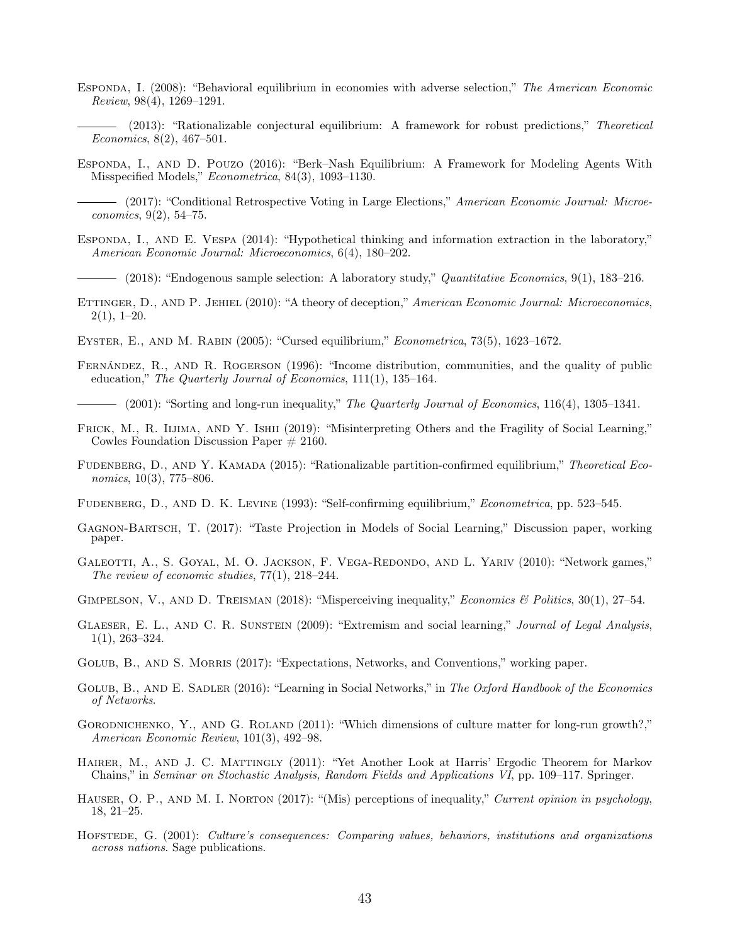- <span id="page-42-12"></span>Esponda, I. (2008): "Behavioral equilibrium in economies with adverse selection," The American Economic Review, 98(4), 1269–1291.
	- (2013): "Rationalizable conjectural equilibrium: A framework for robust predictions," Theoretical Economics, 8(2), 467–501.
- <span id="page-42-15"></span><span id="page-42-6"></span>Esponda, I., and D. Pouzo (2016): "Berk–Nash Equilibrium: A Framework for Modeling Agents With Misspecified Models," Econometrica, 84(3), 1093–1130.
- <span id="page-42-13"></span>- (2017): "Conditional Retrospective Voting in Large Elections," American Economic Journal: Microeconomics, 9(2), 54–75.
- <span id="page-42-3"></span>ESPONDA, I., AND E. VESPA (2014): "Hypothetical thinking and information extraction in the laboratory," American Economic Journal: Microeconomics, 6(4), 180–202.

 $-$  (2018): "Endogenous sample selection: A laboratory study," Quantitative Economics, 9(1), 183–216.

- <span id="page-42-18"></span><span id="page-42-4"></span>ETTINGER, D., AND P. JEHIEL (2010): "A theory of deception," American Economic Journal: Microeconomics,  $2(1), 1-20.$
- <span id="page-42-5"></span>Eyster, E., and M. Rabin (2005): "Cursed equilibrium," Econometrica, 73(5), 1623–1672.
- <span id="page-42-1"></span>Fernández, R., and R. Rogerson (1996): "Income distribution, communities, and the quality of public education," The Quarterly Journal of Economics, 111(1), 135–164.

 $-$  (2001): "Sorting and long-run inequality," The Quarterly Journal of Economics, 116(4), 1305–1341.

- <span id="page-42-21"></span><span id="page-42-2"></span>FRICK, M., R. IIJIMA, AND Y. ISHII (2019): "Misinterpreting Others and the Fragility of Social Learning," Cowles Foundation Discussion Paper  $\#$  2160.
- <span id="page-42-14"></span>FUDENBERG, D., AND Y. KAMADA (2015): "Rationalizable partition-confirmed equilibrium," Theoretical Economics, 10(3), 775–806.
- <span id="page-42-0"></span>Fudenberg, D., and D. K. Levine (1993): "Self-confirming equilibrium," Econometrica, pp. 523–545.
- <span id="page-42-16"></span>Gagnon-Bartsch, T. (2017): "Taste Projection in Models of Social Learning," Discussion paper, working paper.
- <span id="page-42-19"></span>GALEOTTI, A., S. GOYAL, M. O. JACKSON, F. VEGA-REDONDO, AND L. YARIV (2010): "Network games," The review of economic studies, 77(1), 218–244.
- <span id="page-42-11"></span>GIMPELSON, V., AND D. TREISMAN (2018): "Misperceiving inequality," *Economics & Politics*, 30(1), 27–54.
- <span id="page-42-17"></span>GLAESER, E. L., AND C. R. SUNSTEIN (2009): "Extremism and social learning," Journal of Legal Analysis, 1(1), 263–324.
- <span id="page-42-7"></span>GOLUB, B., AND S. MORRIS (2017): "Expectations, Networks, and Conventions," working paper.
- <span id="page-42-20"></span>GOLUB, B., AND E. SADLER (2016): "Learning in Social Networks," in The Oxford Handbook of the Economics of Networks.
- <span id="page-42-9"></span>GORODNICHENKO, Y., AND G. ROLAND (2011): "Which dimensions of culture matter for long-run growth?," American Economic Review, 101(3), 492–98.
- HAIRER, M., AND J. C. MATTINGLY (2011): "Yet Another Look at Harris' Ergodic Theorem for Markov Chains," in Seminar on Stochastic Analysis, Random Fields and Applications VI, pp. 109–117. Springer.
- <span id="page-42-8"></span>HAUSER, O. P., AND M. I. NORTON (2017): "(Mis) perceptions of inequality," Current opinion in psychology, 18, 21–25.
- <span id="page-42-10"></span>HOFSTEDE, G. (2001): Culture's consequences: Comparing values, behaviors, institutions and organizations across nations. Sage publications.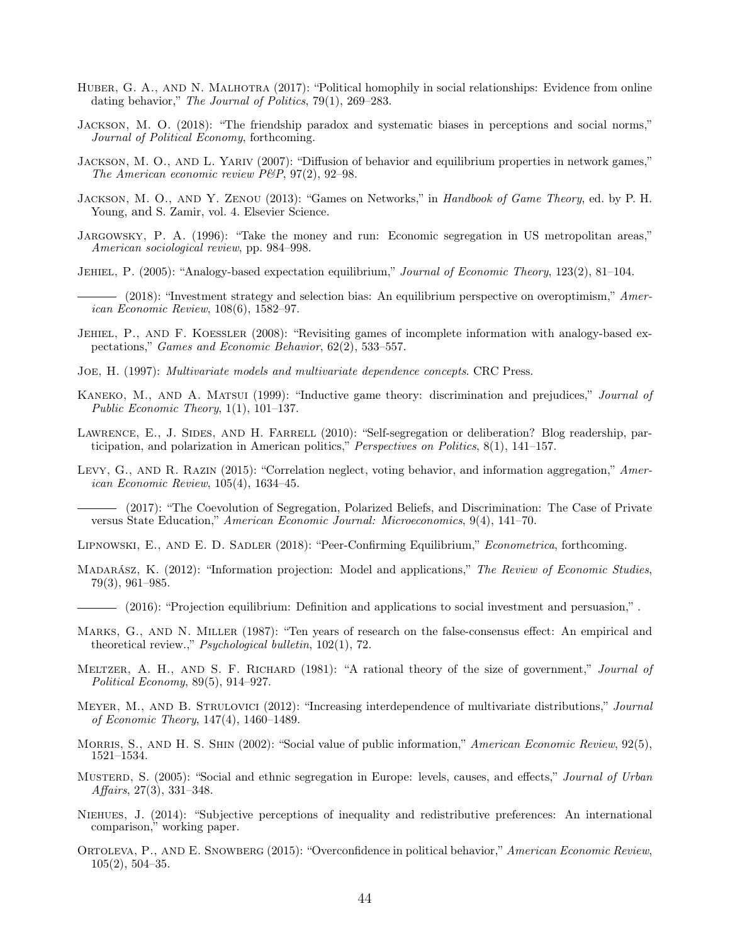- <span id="page-43-2"></span>HUBER, G. A., AND N. MALHOTRA (2017): "Political homophily in social relationships: Evidence from online dating behavior," The Journal of Politics, 79(1), 269–283.
- <span id="page-43-22"></span>Jackson, M. O. (2018): "The friendship paradox and systematic biases in perceptions and social norms," Journal of Political Economy, forthcoming.
- <span id="page-43-21"></span>Jackson, M. O., and L. Yariv (2007): "Diffusion of behavior and equilibrium properties in network games," The American economic review P&P, 97(2), 92-98.
- <span id="page-43-3"></span>JACKSON, M. O., AND Y. ZENOU (2013): "Games on Networks," in Handbook of Game Theory, ed. by P. H. Young, and S. Zamir, vol. 4. Elsevier Science.
- <span id="page-43-0"></span>Jargowsky, P. A. (1996): "Take the money and run: Economic segregation in US metropolitan areas," American sociological review, pp. 984–998.
- <span id="page-43-5"></span>JEHIEL, P. (2005): "Analogy-based expectation equilibrium," Journal of Economic Theory, 123(2), 81–104.
- <span id="page-43-13"></span>- (2018): "Investment strategy and selection bias: An equilibrium perspective on overoptimism," American Economic Review, 108(6), 1582–97.
- <span id="page-43-6"></span>Jehiel, P., and F. Koessler (2008): "Revisiting games of incomplete information with analogy-based expectations," Games and Economic Behavior, 62(2), 533–557.
- <span id="page-43-8"></span>Joe, H. (1997): Multivariate models and multivariate dependence concepts. CRC Press.
- <span id="page-43-20"></span>KANEKO, M., AND A. MATSUI (1999): "Inductive game theory: discrimination and prejudices," *Journal of* Public Economic Theory,  $1(1)$ ,  $101-137$ .
- <span id="page-43-1"></span>LAWRENCE, E., J. SIDES, AND H. FARRELL (2010): "Self-segregation or deliberation? Blog readership, participation, and polarization in American politics," Perspectives on Politics, 8(1), 141–157.
- <span id="page-43-19"></span>Levy, G., AND R. RAZIN (2015): "Correlation neglect, voting behavior, and information aggregation," American Economic Review, 105(4), 1634–45.
	- (2017): "The Coevolution of Segregation, Polarized Beliefs, and Discrimination: The Case of Private versus State Education," American Economic Journal: Microeconomics, 9(4), 141–70.
- <span id="page-43-15"></span><span id="page-43-14"></span>Lipnowski, E., and E. D. Sadler (2018): "Peer-Confirming Equilibrium," Econometrica, forthcoming.
- <span id="page-43-16"></span>MADARÁSZ, K. (2012): "Information projection: Model and applications," The Review of Economic Studies, 79(3), 961–985.
- <span id="page-43-17"></span>(2016): "Projection equilibrium: Definition and applications to social investment and persuasion,".
- <span id="page-43-7"></span>Marks, G., and N. Miller (1987): "Ten years of research on the false-consensus effect: An empirical and theoretical review.," Psychological bulletin, 102(1), 72.
- <span id="page-43-12"></span>MELTZER, A. H., AND S. F. RICHARD (1981): "A rational theory of the size of government," Journal of Political Economy, 89(5), 914–927.
- <span id="page-43-9"></span>MEYER, M., AND B. STRULOVICI (2012): "Increasing interdependence of multivariate distributions," Journal of Economic Theory, 147(4), 1460–1489.
- <span id="page-43-4"></span>MORRIS, S., AND H. S. SHIN (2002): "Social value of public information," American Economic Review, 92(5), 1521–1534.
- <span id="page-43-11"></span>Mustern, S. (2005): "Social and ethnic segregation in Europe: levels, causes, and effects," *Journal of Urban* Affairs, 27(3), 331–348.
- <span id="page-43-10"></span>Niehues, J. (2014): "Subjective perceptions of inequality and redistributive preferences: An international comparison," working paper.
- <span id="page-43-18"></span>ORTOLEVA, P., AND E. SNOWBERG (2015): "Overconfidence in political behavior," American Economic Review, 105(2), 504–35.